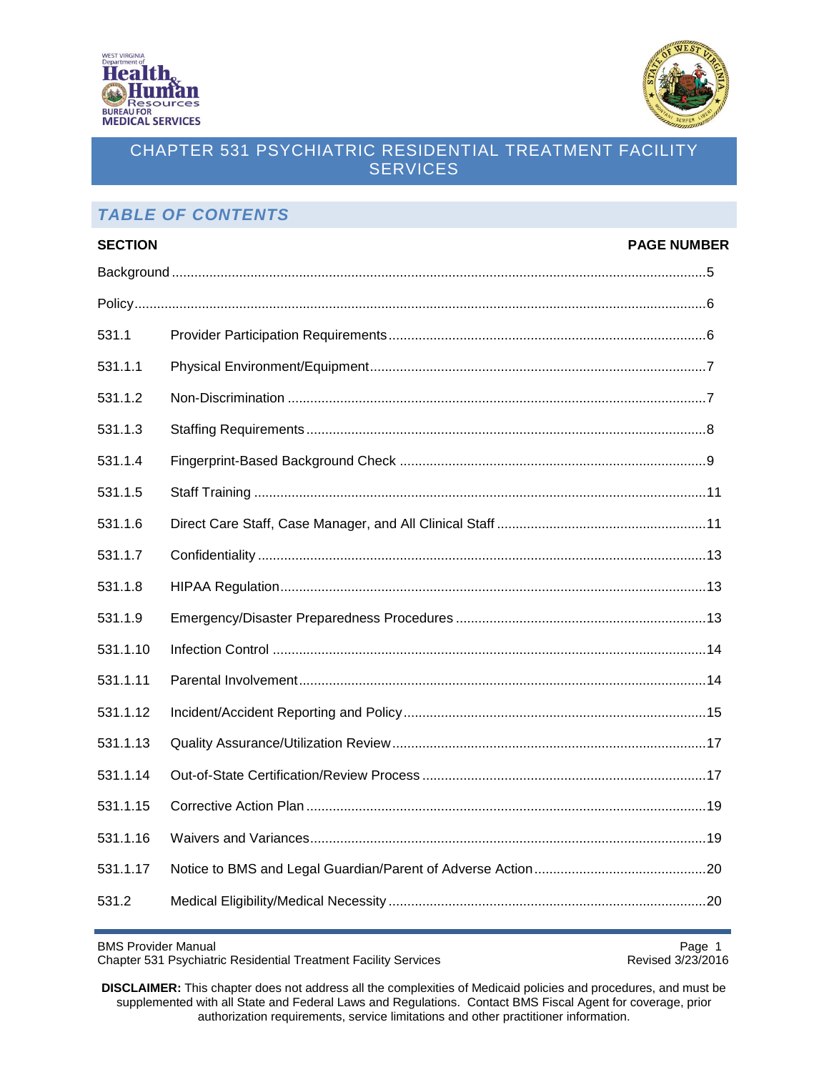



## *TABLE OF CONTENTS*

| <b>SECTION</b> | <b>PAGE NUMBER</b> |
|----------------|--------------------|
|                |                    |
|                |                    |
| 531.1          |                    |
| 531.1.1        |                    |
| 531.1.2        |                    |
| 531.1.3        |                    |
| 531.1.4        |                    |
| 531.1.5        |                    |
| 531.1.6        |                    |
| 531.1.7        |                    |
| 531.1.8        |                    |
| 531.1.9        |                    |
| 531.1.10       |                    |
| 531.1.11       |                    |
| 531.1.12       |                    |
| 531.1.13       |                    |
| 531.1.14       |                    |
| 531.1.15       |                    |
| 531.1.16       |                    |
| 531.1.17       |                    |
| 531.2          |                    |

BMS Provider Manual Page 1<br>Chapter 531 Psychiatric Residential Treatment Facility Services Revised 3/23/2016 Chapter 531 Psychiatric Residential Treatment Facility Services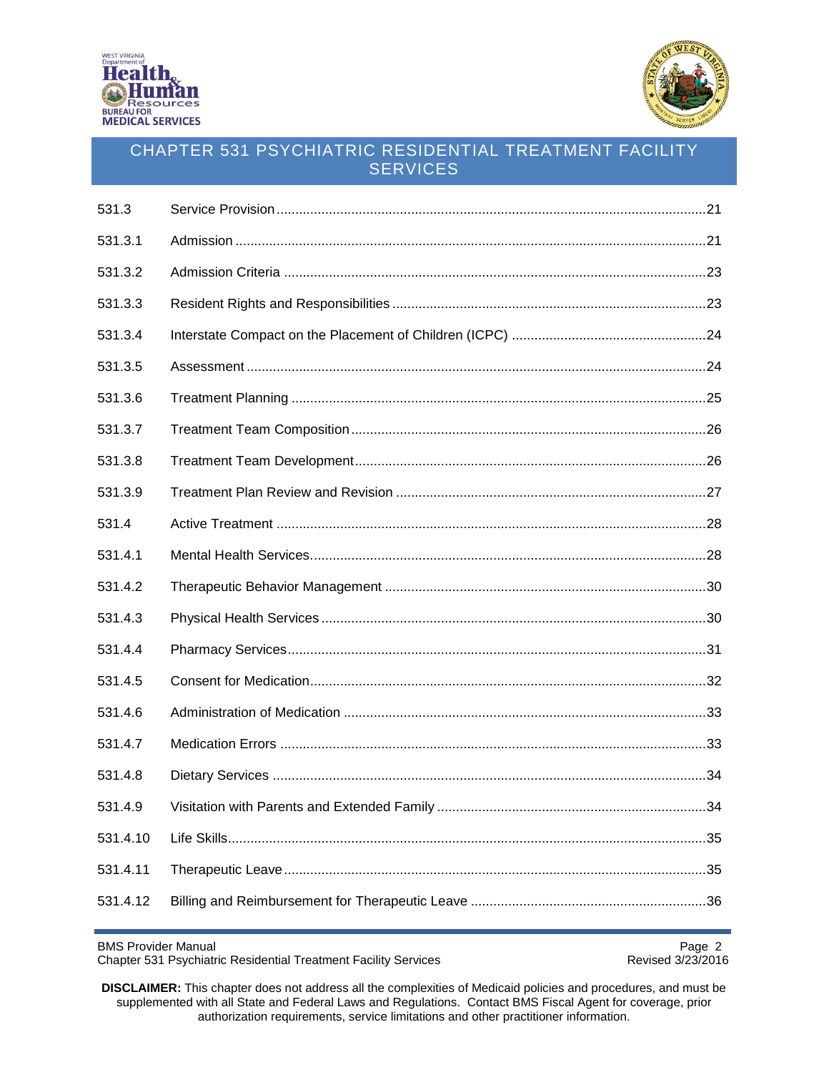



| 531.3    |  |
|----------|--|
| 531.3.1  |  |
| 531.3.2  |  |
| 531.3.3  |  |
| 531.3.4  |  |
| 531.3.5  |  |
| 531.3.6  |  |
| 531.3.7  |  |
| 531.3.8  |  |
| 531.3.9  |  |
| 531.4    |  |
| 531.4.1  |  |
| 531.4.2  |  |
| 531.4.3  |  |
| 531.4.4  |  |
| 531.4.5  |  |
| 531.4.6  |  |
| 531.4.7  |  |
| 531.4.8  |  |
| 531.4.9  |  |
| 531.4.10 |  |
| 531.4.11 |  |
| 531.4.12 |  |

BMS Provider Manual<br>Chapter 531 Psychiatric Residential Treatment Facility Services<br>Revised 3/23/2016 Chapter 531 Psychiatric Residential Treatment Facility Services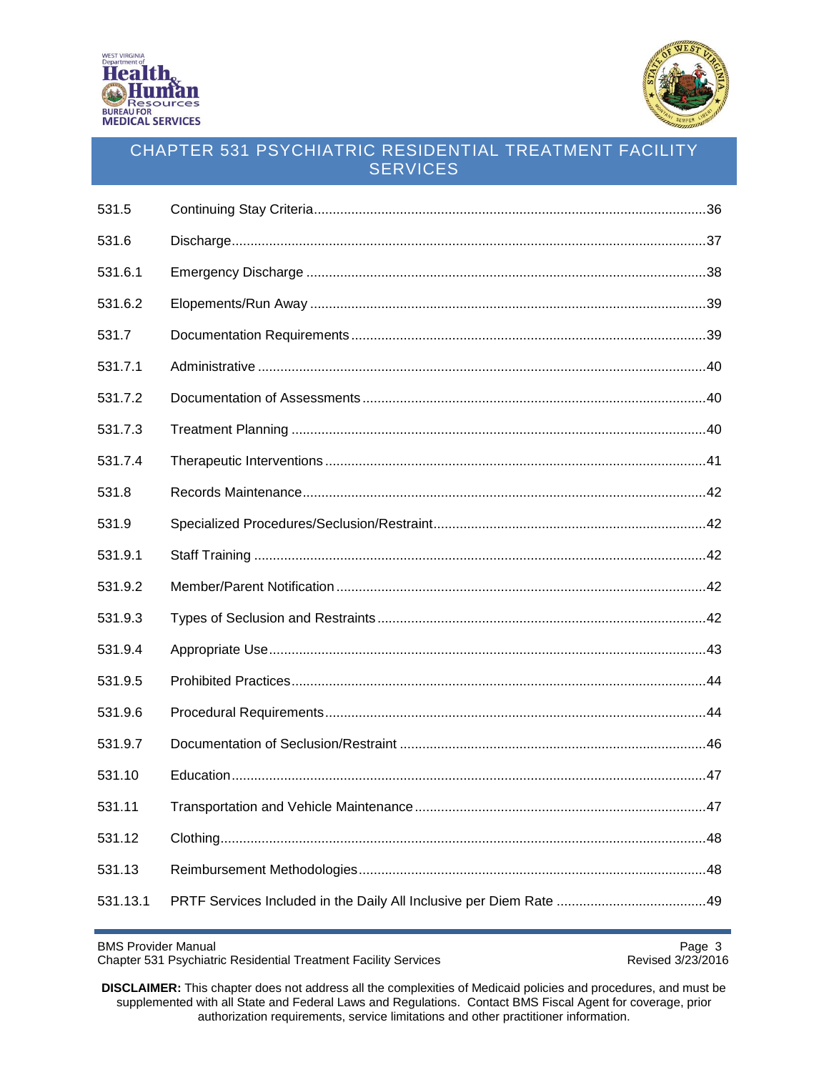



| 531.5    |  |
|----------|--|
| 531.6    |  |
| 531.6.1  |  |
| 531.6.2  |  |
| 531.7    |  |
| 531.7.1  |  |
| 531.7.2  |  |
| 531.7.3  |  |
| 531.7.4  |  |
| 531.8    |  |
| 531.9    |  |
| 531.9.1  |  |
| 531.9.2  |  |
| 531.9.3  |  |
| 531.9.4  |  |
| 531.9.5  |  |
| 531.9.6  |  |
| 531.9.7  |  |
| 531.10   |  |
| 531.11   |  |
| 531.12   |  |
| 531.13   |  |
| 531.13.1 |  |

BMS Provider Manual Page 3<br>Chapter 531 Psychiatric Residential Treatment Facility Services **Accord Page 1999** Revised 3/23/2016 Chapter 531 Psychiatric Residential Treatment Facility Services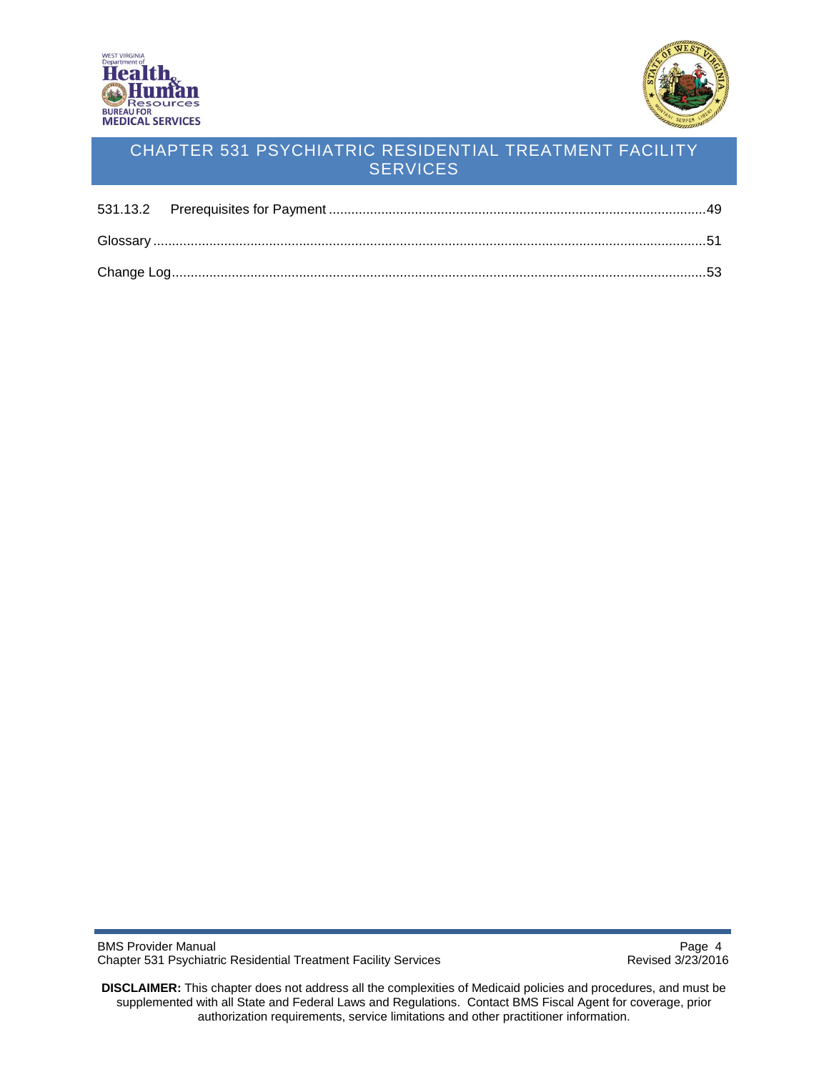



<span id="page-3-0"></span>

BMS Provider Manual<br>Chapter 531 Psychiatric Residential Treatment Facility Services<br>Revised 3/23/2016 Chapter 531 Psychiatric Residential Treatment Facility Services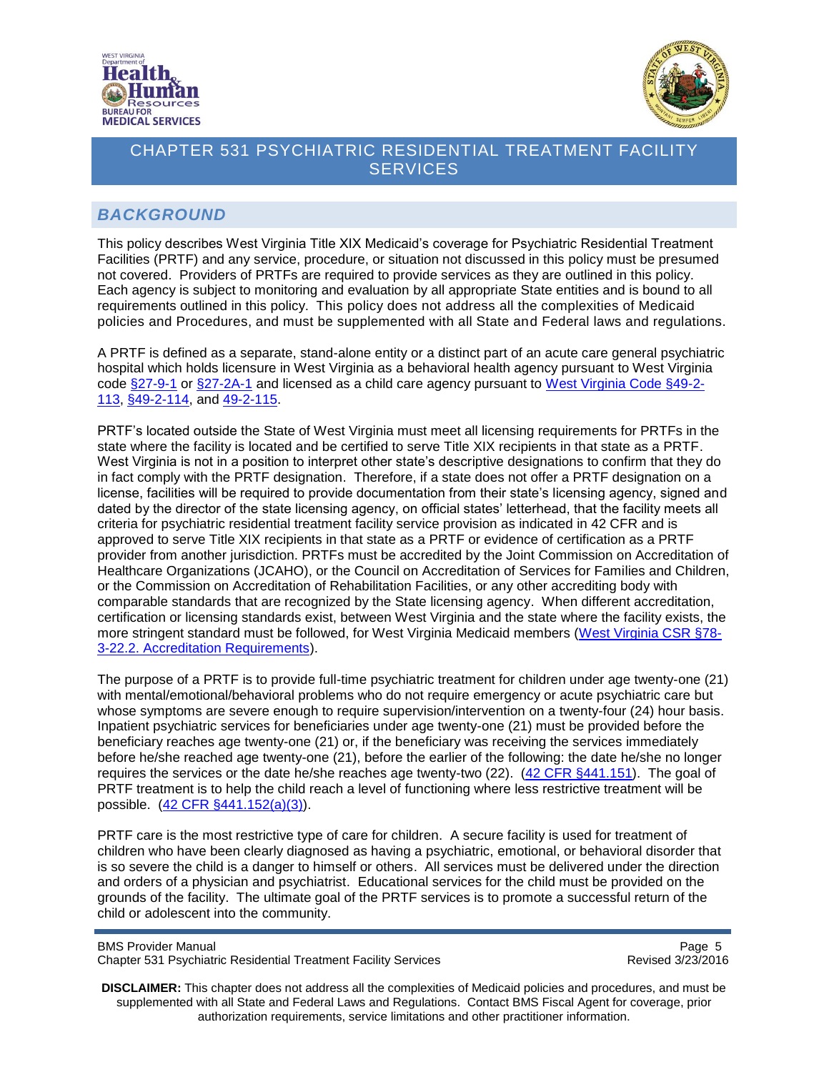



### *BACKGROUND*

This policy describes West Virginia Title XIX Medicaid's coverage for Psychiatric Residential Treatment Facilities (PRTF) and any service, procedure, or situation not discussed in this policy must be presumed not covered. Providers of PRTFs are required to provide services as they are outlined in this policy. Each agency is subject to monitoring and evaluation by all appropriate State entities and is bound to all requirements outlined in this policy. This policy does not address all the complexities of Medicaid policies and Procedures, and must be supplemented with all State and Federal laws and regulations.

A PRTF is defined as a separate, stand-alone entity or a distinct part of an acute care general psychiatric hospital which holds licensure in West Virginia as a behavioral health agency pursuant to West Virginia code [§27-9-1](http://www.legis.state.wv.us/legisdocs/code/27/WVC%2027%20%20-%20%209%20%20-%20%20%201%20%20.htm) or [§27-2A-1](http://www.legis.state.wv.us/legisdocs/code/27/WVC%2027%20%20-%20%202%20A-%20%20%201%20%20.htm) and licensed as a child care agency pursuant to [West Virginia Code §49-2-](http://www.legis.state.wv.us/WVCODE/ChapterEntire.cfm?chap=49&art=2§ion=113#02) [113,](http://www.legis.state.wv.us/WVCODE/ChapterEntire.cfm?chap=49&art=2§ion=113#02) [§49-2-114,](http://www.legis.state.wv.us/WVCODE/ChapterEntire.cfm?chap=49&art=2§ion=114#02) and [49-2-115.](http://www.legis.state.wv.us/WVCODE/ChapterEntire.cfm?chap=49&art=2§ion=115#02)

PRTF's located outside the State of West Virginia must meet all licensing requirements for PRTFs in the state where the facility is located and be certified to serve Title XIX recipients in that state as a PRTF. West Virginia is not in a position to interpret other state's descriptive designations to confirm that they do in fact comply with the PRTF designation. Therefore, if a state does not offer a PRTF designation on a license, facilities will be required to provide documentation from their state's licensing agency, signed and dated by the director of the state licensing agency, on official states' letterhead, that the facility meets all criteria for psychiatric residential treatment facility service provision as indicated in 42 CFR and is approved to serve Title XIX recipients in that state as a PRTF or evidence of certification as a PRTF provider from another jurisdiction. PRTFs must be accredited by the Joint Commission on Accreditation of Healthcare Organizations (JCAHO), or the Council on Accreditation of Services for Families and Children, or the Commission on Accreditation of Rehabilitation Facilities, or any other accrediting body with comparable standards that are recognized by the State licensing agency. When different accreditation, certification or licensing standards exist, between West Virginia and the state where the facility exists, the more stringent standard must be followed, for West Virginia Medicaid members [\(West Virginia CSR §78-](https://www.wvdhhr.org/bcf/reschildcarelic/documents/78-csr-03.pdf) [3-22.2. Accreditation Requirements\)](https://www.wvdhhr.org/bcf/reschildcarelic/documents/78-csr-03.pdf).

The purpose of a PRTF is to provide full-time psychiatric treatment for children under age twenty-one (21) with mental/emotional/behavioral problems who do not require emergency or acute psychiatric care but whose symptoms are severe enough to require supervision/intervention on a twenty-four (24) hour basis. Inpatient psychiatric services for beneficiaries under age twenty-one (21) must be provided before the beneficiary reaches age twenty-one (21) or, if the beneficiary was receiving the services immediately before he/she reached age twenty-one (21), before the earlier of the following: the date he/she no longer requires the services or the date he/she reaches age twenty-two (22). [\(42 CFR §441.151\)](http://www.ecfr.gov/cgi-bin/text-idx?SID=a25071f56ef4feade888bca3530ed641&node=pt42.4.441&rgn=div5#se42.4.441_1151). The goal of PRTF treatment is to help the child reach a level of functioning where less restrictive treatment will be possible. [\(42 CFR §441.152\(a\)\(3\)\)](http://www.ecfr.gov/cgi-bin/text-idx?SID=a25071f56ef4feade888bca3530ed641&node=se42.4.441_1152&rgn=div8).

PRTF care is the most restrictive type of care for children. A secure facility is used for treatment of children who have been clearly diagnosed as having a psychiatric, emotional, or behavioral disorder that is so severe the child is a danger to himself or others. All services must be delivered under the direction and orders of a physician and psychiatrist. Educational services for the child must be provided on the grounds of the facility. The ultimate goal of the PRTF services is to promote a successful return of the child or adolescent into the community.

BMS Provider Manual Page 5<br>Chapter 531 Psychiatric Residential Treatment Facility Services Chapter 531 Psychiatric Residential Treatment Facility Services Chapter 531 Psychiatric Residential Treatment Facility Services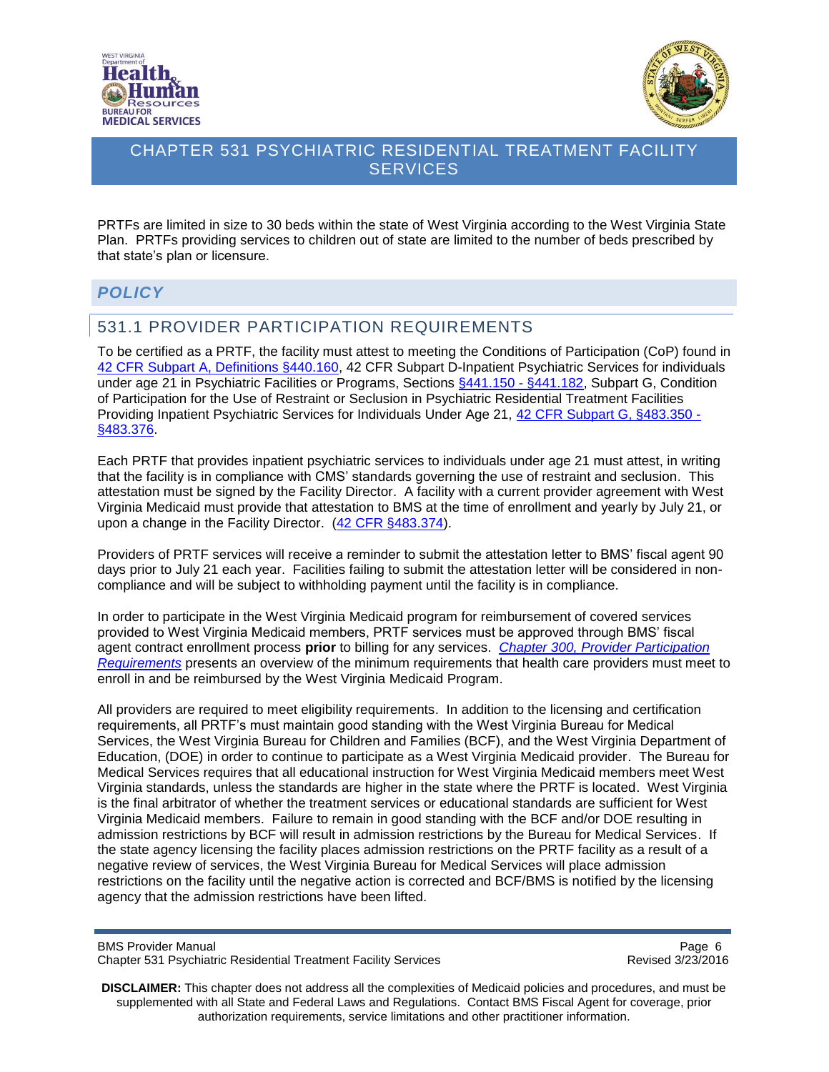



PRTFs are limited in size to 30 beds within the state of West Virginia according to the West Virginia State Plan. PRTFs providing services to children out of state are limited to the number of beds prescribed by that state's plan or licensure.

### <span id="page-5-0"></span>*POLICY*

### <span id="page-5-1"></span>531.1 PROVIDER PARTICIPATION REQUIREMENTS

To be certified as a PRTF, the facility must attest to meeting the Conditions of Participation (CoP) found in [42 CFR Subpart A, Definitions §440.160,](http://cfr.regstoday.com/42cfr440.aspx#42_CFR_440p160) 42 CFR Subpart D-Inpatient Psychiatric Services for individuals under age 21 in Psychiatric Facilities or Programs, Sections [§441.150 -](http://cfr.regstoday.com/42cfr441.aspx#42_CFR_441pSUBPART_D) §441.182, Subpart G, Condition of Participation for the Use of Restraint or Seclusion in Psychiatric Residential Treatment Facilities Providing Inpatient Psychiatric Services for Individuals Under Age 21, [42 CFR Subpart G, §483.350 -](http://www.ecfr.gov/cgi-bin/text-idx?SID=6a1de67f582c8b890c6f2c60c2648646&node=42:5.0.1.1.2.7&rgn=div6) [§483.376.](http://www.ecfr.gov/cgi-bin/text-idx?SID=6a1de67f582c8b890c6f2c60c2648646&node=42:5.0.1.1.2.7&rgn=div6)

Each PRTF that provides inpatient psychiatric services to individuals under age 21 must attest, in writing that the facility is in compliance with CMS' standards governing the use of restraint and seclusion. This attestation must be signed by the Facility Director. A facility with a current provider agreement with West Virginia Medicaid must provide that attestation to BMS at the time of enrollment and yearly by July 21, or upon a change in the Facility Director. [\(42 CFR §483.374\)](http://www.ecfr.gov/cgi-bin/text-idx?SID=6a1de67f582c8b890c6f2c60c2648646&node=42:5.0.1.1.2.7&rgn=div6#42:5.0.1.1.2.7.7.13).

Providers of PRTF services will receive a reminder to submit the attestation letter to BMS' fiscal agent 90 days prior to July 21 each year. Facilities failing to submit the attestation letter will be considered in noncompliance and will be subject to withholding payment until the facility is in compliance.

In order to participate in the West Virginia Medicaid program for reimbursement of covered services provided to West Virginia Medicaid members, PRTF services must be approved through BMS' fiscal agent contract enrollment process **prior** to billing for any services. *Chapter 300, [Provider Participation](http://www.dhhr.wv.gov/bms/Pages/Manuals.aspx)  [Requirements](http://www.dhhr.wv.gov/bms/Pages/Manuals.aspx)* presents an overview of the minimum requirements that health care providers must meet to enroll in and be reimbursed by the West Virginia Medicaid Program.

All providers are required to meet eligibility requirements. In addition to the licensing and certification requirements, all PRTF's must maintain good standing with the West Virginia Bureau for Medical Services, the West Virginia Bureau for Children and Families (BCF), and the West Virginia Department of Education, (DOE) in order to continue to participate as a West Virginia Medicaid provider. The Bureau for Medical Services requires that all educational instruction for West Virginia Medicaid members meet West Virginia standards, unless the standards are higher in the state where the PRTF is located. West Virginia is the final arbitrator of whether the treatment services or educational standards are sufficient for West Virginia Medicaid members. Failure to remain in good standing with the BCF and/or DOE resulting in admission restrictions by BCF will result in admission restrictions by the Bureau for Medical Services. If the state agency licensing the facility places admission restrictions on the PRTF facility as a result of a negative review of services, the West Virginia Bureau for Medical Services will place admission restrictions on the facility until the negative action is corrected and BCF/BMS is notified by the licensing agency that the admission restrictions have been lifted.

BMS Provider Manual Page 6<br>Chapter 531 Psychiatric Residential Treatment Facility Services Chapter 531 Psychiatric Residential Treatment Facility Services Chapter 531 Psychiatric Residential Treatment Facility Services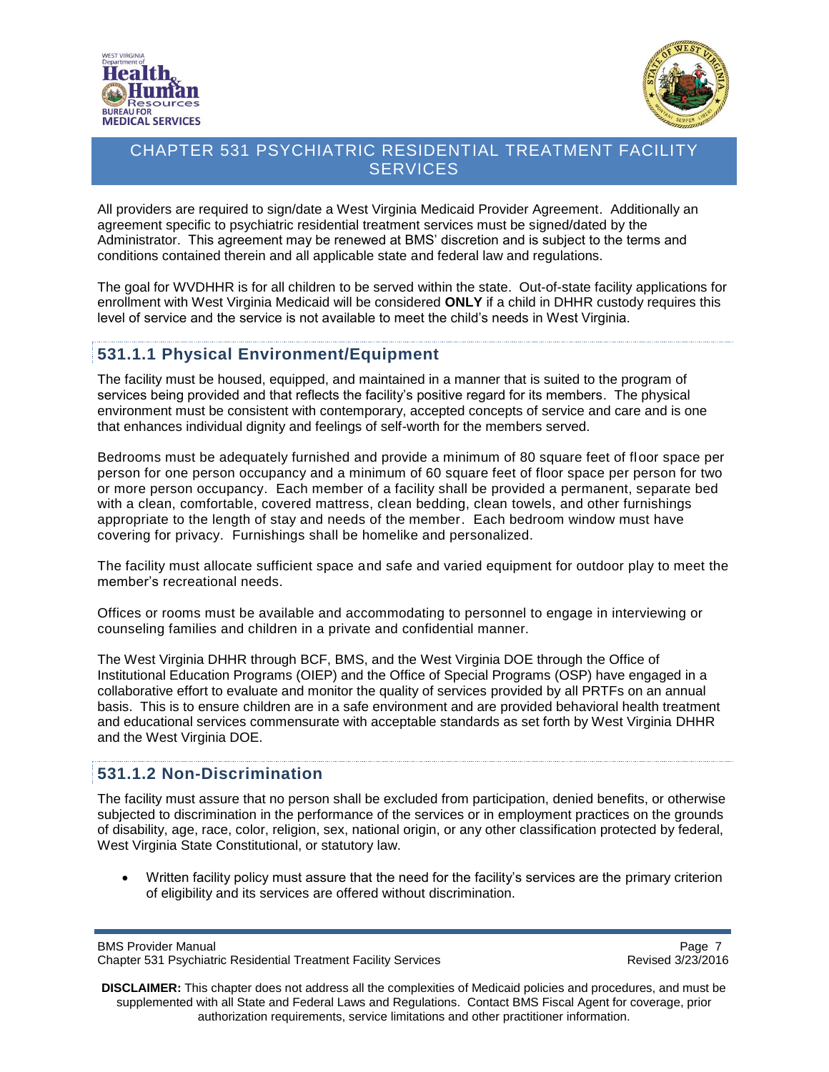



All providers are required to sign/date a West Virginia Medicaid Provider Agreement. Additionally an agreement specific to psychiatric residential treatment services must be signed/dated by the Administrator. This agreement may be renewed at BMS' discretion and is subject to the terms and conditions contained therein and all applicable state and federal law and regulations.

The goal for WVDHHR is for all children to be served within the state. Out-of-state facility applications for enrollment with West Virginia Medicaid will be considered **ONLY** if a child in DHHR custody requires this level of service and the service is not available to meet the child's needs in West Virginia.

### <span id="page-6-0"></span>**531.1.1 Physical Environment/Equipment**

The facility must be housed, equipped, and maintained in a manner that is suited to the program of services being provided and that reflects the facility's positive regard for its members. The physical environment must be consistent with contemporary, accepted concepts of service and care and is one that enhances individual dignity and feelings of self-worth for the members served.

Bedrooms must be adequately furnished and provide a minimum of 80 square feet of floor space per person for one person occupancy and a minimum of 60 square feet of floor space per person for two or more person occupancy. Each member of a facility shall be provided a permanent, separate bed with a clean, comfortable, covered mattress, clean bedding, clean towels, and other furnishings appropriate to the length of stay and needs of the member. Each bedroom window must have covering for privacy. Furnishings shall be homelike and personalized.

The facility must allocate sufficient space and safe and varied equipment for outdoor play to meet the member's recreational needs.

Offices or rooms must be available and accommodating to personnel to engage in interviewing or counseling families and children in a private and confidential manner.

The West Virginia DHHR through BCF, BMS, and the West Virginia DOE through the Office of Institutional Education Programs (OIEP) and the Office of Special Programs (OSP) have engaged in a collaborative effort to evaluate and monitor the quality of services provided by all PRTFs on an annual basis. This is to ensure children are in a safe environment and are provided behavioral health treatment and educational services commensurate with acceptable standards as set forth by West Virginia DHHR and the West Virginia DOE.

#### <span id="page-6-1"></span>**531.1.2 Non-Discrimination**

The facility must assure that no person shall be excluded from participation, denied benefits, or otherwise subjected to discrimination in the performance of the services or in employment practices on the grounds of disability, age, race, color, religion, sex, national origin, or any other classification protected by federal, West Virginia State Constitutional, or statutory law.

 Written facility policy must assure that the need for the facility's services are the primary criterion of eligibility and its services are offered without discrimination.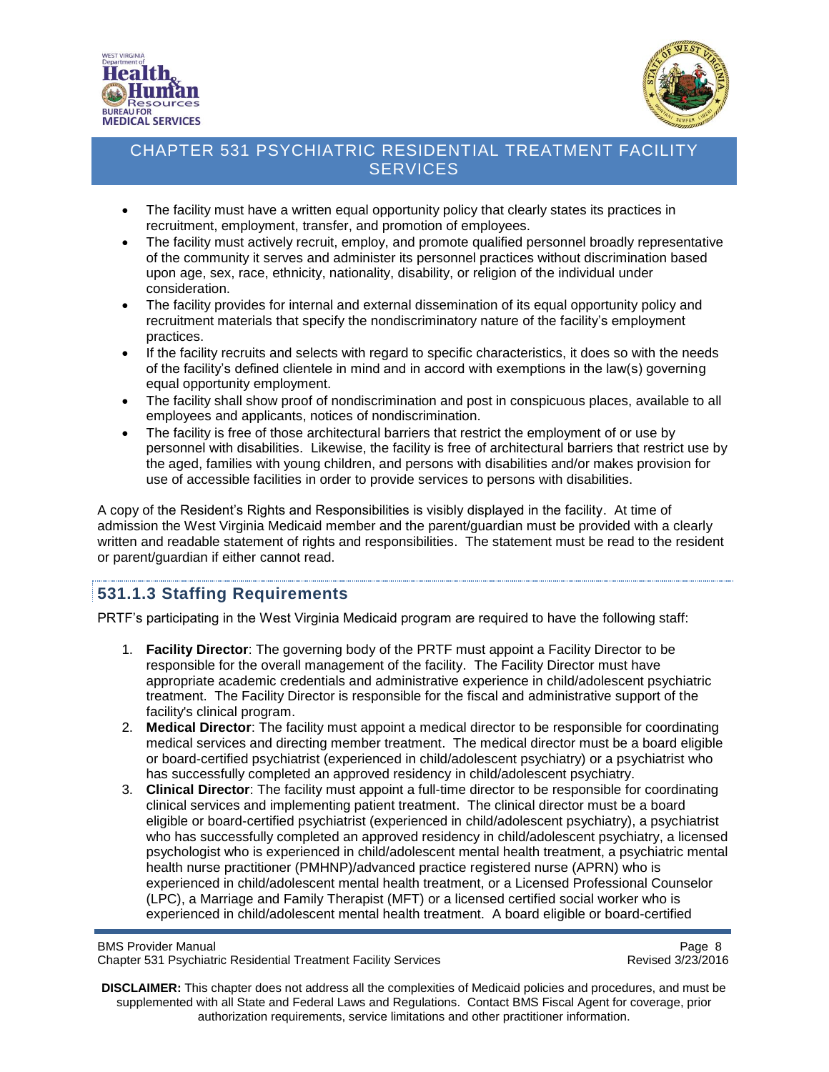



- The facility must have a written equal opportunity policy that clearly states its practices in recruitment, employment, transfer, and promotion of employees.
- The facility must actively recruit, employ, and promote qualified personnel broadly representative of the community it serves and administer its personnel practices without discrimination based upon age, sex, race, ethnicity, nationality, disability, or religion of the individual under consideration.
- The facility provides for internal and external dissemination of its equal opportunity policy and recruitment materials that specify the nondiscriminatory nature of the facility's employment practices.
- If the facility recruits and selects with regard to specific characteristics, it does so with the needs of the facility's defined clientele in mind and in accord with exemptions in the law(s) governing equal opportunity employment.
- The facility shall show proof of nondiscrimination and post in conspicuous places, available to all employees and applicants, notices of nondiscrimination.
- The facility is free of those architectural barriers that restrict the employment of or use by personnel with disabilities. Likewise, the facility is free of architectural barriers that restrict use by the aged, families with young children, and persons with disabilities and/or makes provision for use of accessible facilities in order to provide services to persons with disabilities.

A copy of the Resident's Rights and Responsibilities is visibly displayed in the facility. At time of admission the West Virginia Medicaid member and the parent/guardian must be provided with a clearly written and readable statement of rights and responsibilities. The statement must be read to the resident or parent/guardian if either cannot read.

### <span id="page-7-0"></span>**531.1.3 Staffing Requirements**

PRTF's participating in the West Virginia Medicaid program are required to have the following staff:

- 1. **Facility Director**: The governing body of the PRTF must appoint a Facility Director to be responsible for the overall management of the facility. The Facility Director must have appropriate academic credentials and administrative experience in child/adolescent psychiatric treatment. The Facility Director is responsible for the fiscal and administrative support of the facility's clinical program.
- 2. **Medical Director**: The facility must appoint a medical director to be responsible for coordinating medical services and directing member treatment. The medical director must be a board eligible or board-certified psychiatrist (experienced in child/adolescent psychiatry) or a psychiatrist who has successfully completed an approved residency in child/adolescent psychiatry.
- 3. **Clinical Director**: The facility must appoint a full-time director to be responsible for coordinating clinical services and implementing patient treatment. The clinical director must be a board eligible or board-certified psychiatrist (experienced in child/adolescent psychiatry), a psychiatrist who has successfully completed an approved residency in child/adolescent psychiatry, a licensed psychologist who is experienced in child/adolescent mental health treatment, a psychiatric mental health nurse practitioner (PMHNP)/advanced practice registered nurse (APRN) who is experienced in child/adolescent mental health treatment, or a Licensed Professional Counselor (LPC), a Marriage and Family Therapist (MFT) or a licensed certified social worker who is experienced in child/adolescent mental health treatment. A board eligible or board-certified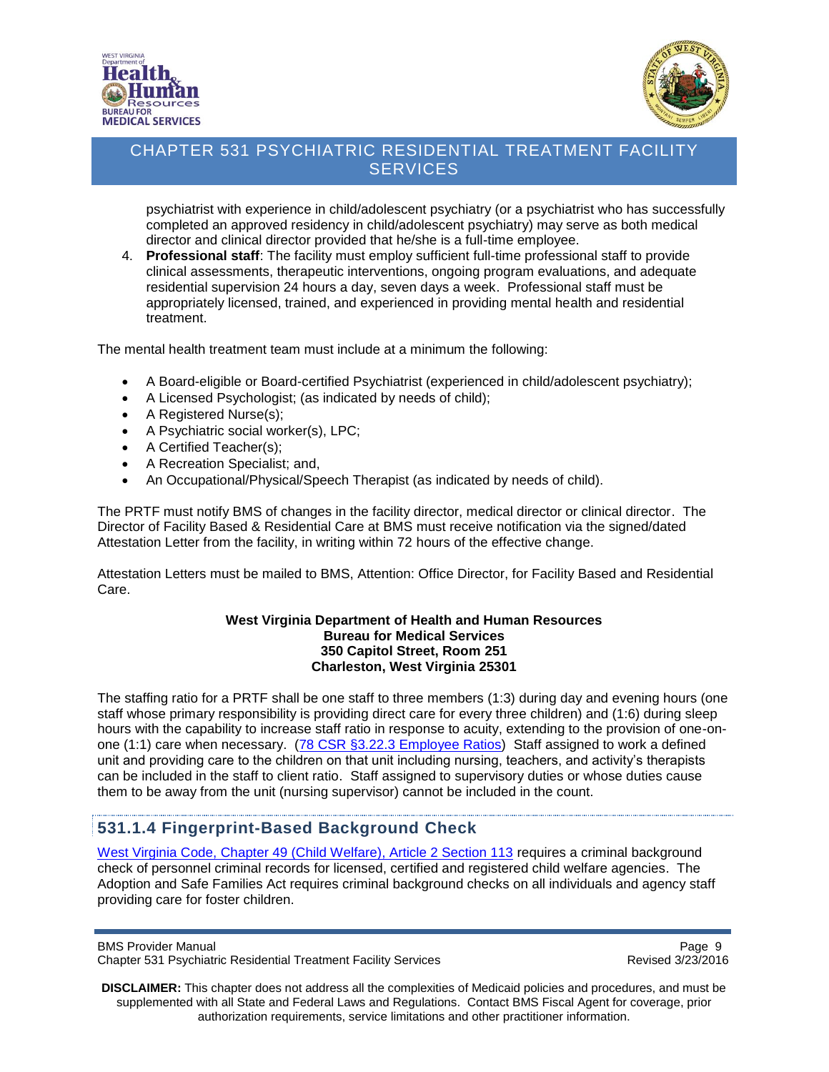



psychiatrist with experience in child/adolescent psychiatry (or a psychiatrist who has successfully completed an approved residency in child/adolescent psychiatry) may serve as both medical director and clinical director provided that he/she is a full-time employee.

4. **Professional staff**: The facility must employ sufficient full-time professional staff to provide clinical assessments, therapeutic interventions, ongoing program evaluations, and adequate residential supervision 24 hours a day, seven days a week. Professional staff must be appropriately licensed, trained, and experienced in providing mental health and residential treatment.

The mental health treatment team must include at a minimum the following:

- A Board-eligible or Board-certified Psychiatrist (experienced in child/adolescent psychiatry);
- A Licensed Psychologist; (as indicated by needs of child);
- A Registered Nurse(s);
- A Psychiatric social worker(s), LPC;
- A Certified Teacher(s);
- A Recreation Specialist; and,
- An Occupational/Physical/Speech Therapist (as indicated by needs of child).

The PRTF must notify BMS of changes in the facility director, medical director or clinical director. The Director of Facility Based & Residential Care at BMS must receive notification via the signed/dated Attestation Letter from the facility, in writing within 72 hours of the effective change.

Attestation Letters must be mailed to BMS, Attention: Office Director, for Facility Based and Residential Care.

#### **West Virginia Department of Health and Human Resources Bureau for Medical Services 350 Capitol Street, Room 251 Charleston, West Virginia 25301**

The staffing ratio for a PRTF shall be one staff to three members (1:3) during day and evening hours (one staff whose primary responsibility is providing direct care for every three children) and (1:6) during sleep hours with the capability to increase staff ratio in response to acuity, extending to the provision of one-on-one (1:1) care when necessary. (78 CSR §3.22.3 [Employee Ratios\)](https://www.wvdhhr.org/bcf/reschildcarelic/documents/78-csr-03.pdf) Staff assigned to work a defined unit and providing care to the children on that unit including nursing, teachers, and activity's therapists can be included in the staff to client ratio. Staff assigned to supervisory duties or whose duties cause them to be away from the unit (nursing supervisor) cannot be included in the count.

#### <span id="page-8-0"></span>**531.1.4 Fingerprint-Based Background Check**

[West Virginia Code, Chapter 49 \(Child Welfare\), Article 2 Section 113](http://www.legis.state.wv.us/WVCODE/ChapterEntire.cfm?chap=49&art=2§ion=113#02) requires a criminal background check of personnel criminal records for licensed, certified and registered child welfare agencies. The Adoption and Safe Families Act requires criminal background checks on all individuals and agency staff providing care for foster children.

BMS Provider Manual Page 9<br>Chapter 531 Psychiatric Residential Treatment Facility Services Chapter 531 Psychiatric Residential Treatment Facility Services Chapter 531 Psychiatric Residential Treatment Facility Services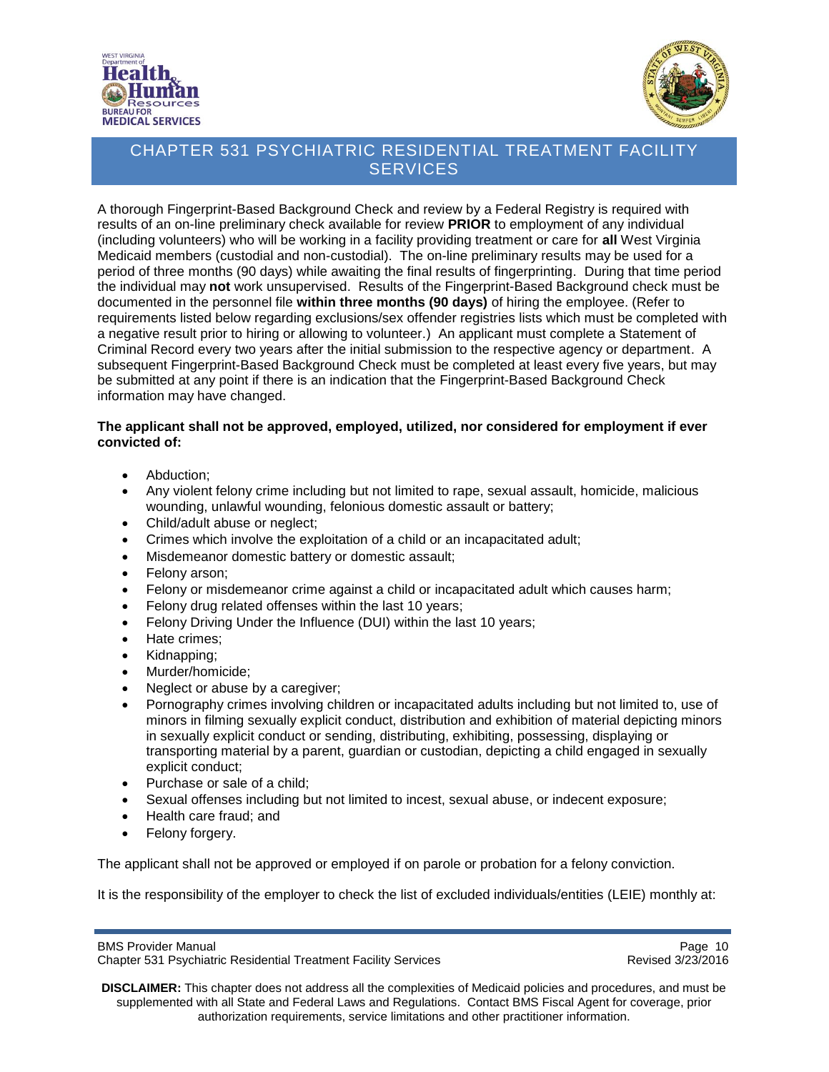



A thorough Fingerprint-Based Background Check and review by a Federal Registry is required with results of an on-line preliminary check available for review **PRIOR** to employment of any individual (including volunteers) who will be working in a facility providing treatment or care for **all** West Virginia Medicaid members (custodial and non-custodial). The on-line preliminary results may be used for a period of three months (90 days) while awaiting the final results of fingerprinting. During that time period the individual may **not** work unsupervised. Results of the Fingerprint-Based Background check must be documented in the personnel file **within three months (90 days)** of hiring the employee. (Refer to requirements listed below regarding exclusions/sex offender registries lists which must be completed with a negative result prior to hiring or allowing to volunteer.) An applicant must complete a Statement of Criminal Record every two years after the initial submission to the respective agency or department. A subsequent Fingerprint-Based Background Check must be completed at least every five years, but may be submitted at any point if there is an indication that the Fingerprint-Based Background Check information may have changed.

#### **The applicant shall not be approved, employed, utilized, nor considered for employment if ever convicted of:**

- Abduction;
- Any violent felony crime including but not limited to rape, sexual assault, homicide, malicious wounding, unlawful wounding, felonious domestic assault or battery;
- Child/adult abuse or neglect:
- Crimes which involve the exploitation of a child or an incapacitated adult;
- Misdemeanor domestic battery or domestic assault;
- Felony arson;
- Felony or misdemeanor crime against a child or incapacitated adult which causes harm;
- Felony drug related offenses within the last 10 years;
- Felony Driving Under the Influence (DUI) within the last 10 years;
- Hate crimes;
- Kidnapping;
- Murder/homicide;
- Neglect or abuse by a caregiver;
- Pornography crimes involving children or incapacitated adults including but not limited to, use of minors in filming sexually explicit conduct, distribution and exhibition of material depicting minors in sexually explicit conduct or sending, distributing, exhibiting, possessing, displaying or transporting material by a parent, guardian or custodian, depicting a child engaged in sexually explicit conduct;
- Purchase or sale of a child;
- Sexual offenses including but not limited to incest, sexual abuse, or indecent exposure;
- Health care fraud; and
- Felony forgery.

The applicant shall not be approved or employed if on parole or probation for a felony conviction.

It is the responsibility of the employer to check the list of excluded individuals/entities (LEIE) monthly at:

BMS Provider Manual Page 10<br>Chapter 531 Psychiatric Residential Treatment Facility Services Chapter 1999 Revised 3/23/2016 Chapter 531 Psychiatric Residential Treatment Facility Services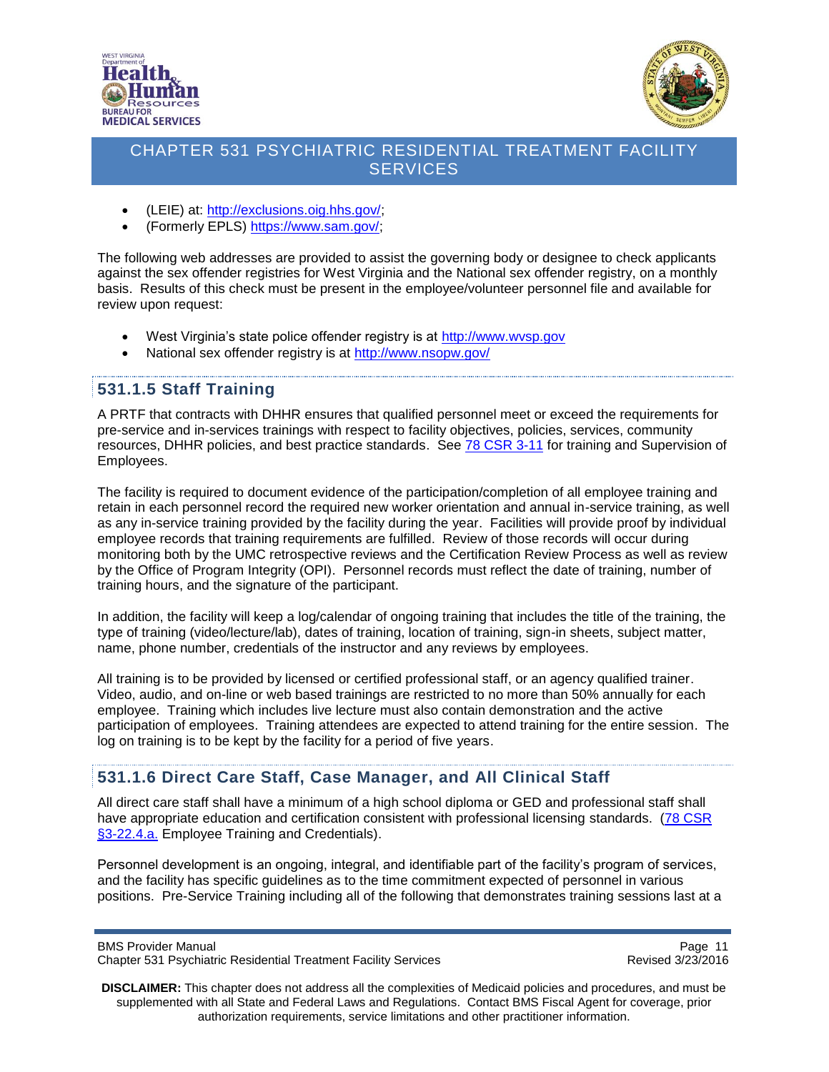



- (LEIE) at: [http://exclusions.oig.hhs.gov/;](http://exclusions.oig.hhs.gov/)
- (Formerly EPLS) [https://www.sam.gov/;](https://www.sam.gov/)

The following web addresses are provided to assist the governing body or designee to check applicants against the sex offender registries for West Virginia and the National sex offender registry, on a monthly basis. Results of this check must be present in the employee/volunteer personnel file and available for review upon request:

- West Virginia's state police offender registry is at [http://www.wvsp.gov](http://www.wvsp.gov/)
- National sex offender registry is at<http://www.nsopw.gov/>

## <span id="page-10-0"></span>**531.1.5 Staff Training**

A PRTF that contracts with DHHR ensures that qualified personnel meet or exceed the requirements for pre-service and in-services trainings with respect to facility objectives, policies, services, community resources, DHHR policies, and best practice standards. See [78 CSR 3-11](https://www.wvdhhr.org/bcf/reschildcarelic/documents/78-csr-03.pdf) for training and Supervision of Employees.

The facility is required to document evidence of the participation/completion of all employee training and retain in each personnel record the required new worker orientation and annual in-service training, as well as any in-service training provided by the facility during the year. Facilities will provide proof by individual employee records that training requirements are fulfilled. Review of those records will occur during monitoring both by the UMC retrospective reviews and the Certification Review Process as well as review by the Office of Program Integrity (OPI). Personnel records must reflect the date of training, number of training hours, and the signature of the participant.

In addition, the facility will keep a log/calendar of ongoing training that includes the title of the training, the type of training (video/lecture/lab), dates of training, location of training, sign-in sheets, subject matter, name, phone number, credentials of the instructor and any reviews by employees.

All training is to be provided by licensed or certified professional staff, or an agency qualified trainer. Video, audio, and on-line or web based trainings are restricted to no more than 50% annually for each employee. Training which includes live lecture must also contain demonstration and the active participation of employees. Training attendees are expected to attend training for the entire session. The log on training is to be kept by the facility for a period of five years.

### <span id="page-10-1"></span>**531.1.6 Direct Care Staff, Case Manager, and All Clinical Staff**

All direct care staff shall have a minimum of a high school diploma or GED and professional staff shall have appropriate education and certification consistent with professional licensing standards. [\(78 CSR](https://www.wvdhhr.org/bcf/reschildcarelic/documents/78-csr-03.pdf)  [§3-22.4.a.](https://www.wvdhhr.org/bcf/reschildcarelic/documents/78-csr-03.pdf) Employee Training and Credentials).

Personnel development is an ongoing, integral, and identifiable part of the facility's program of services, and the facility has specific guidelines as to the time commitment expected of personnel in various positions. Pre-Service Training including all of the following that demonstrates training sessions last at a

Page 11<br>Chapter 531 Psychiatric Residential Treatment Facility Services<br>Revised 3/23/2016 Chapter 531 Psychiatric Residential Treatment Facility Services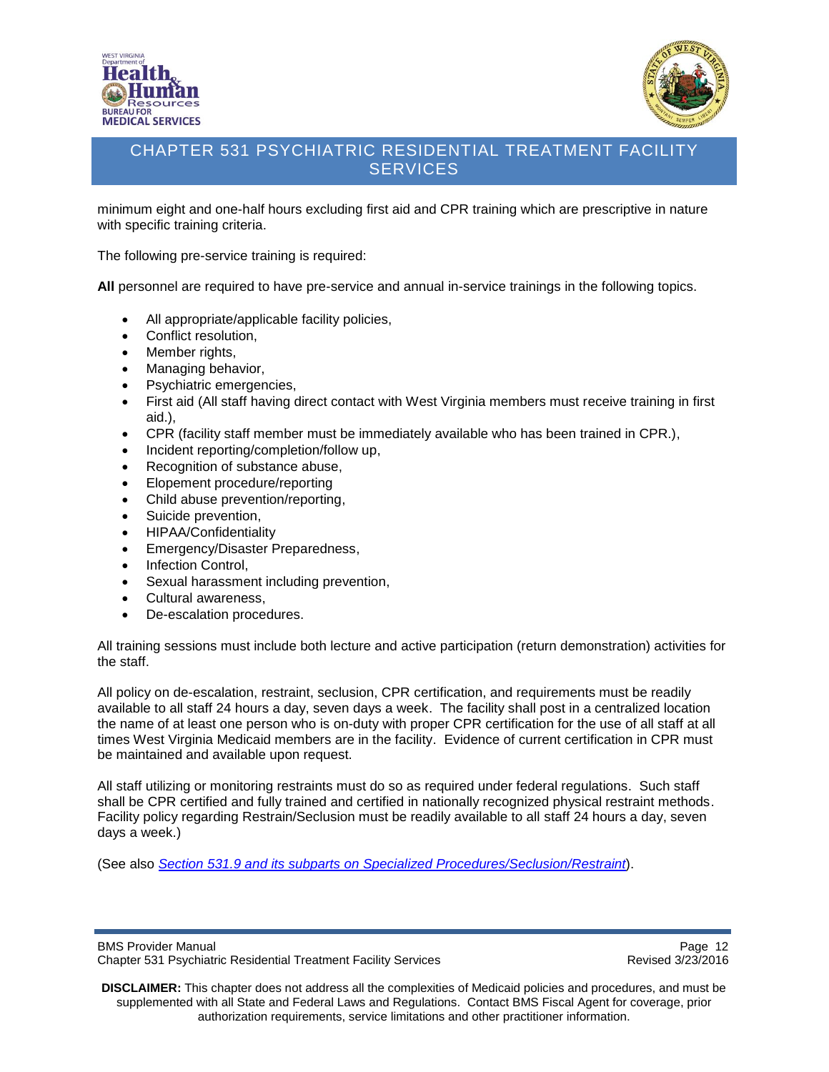



minimum eight and one-half hours excluding first aid and CPR training which are prescriptive in nature with specific training criteria.

The following pre-service training is required:

**All** personnel are required to have pre-service and annual in-service trainings in the following topics.

- All appropriate/applicable facility policies,
- Conflict resolution,
- Member rights,
- Managing behavior,
- Psychiatric emergencies,
- First aid (All staff having direct contact with West Virginia members must receive training in first aid.),
- CPR (facility staff member must be immediately available who has been trained in CPR.),
- Incident reporting/completion/follow up.
- Recognition of substance abuse,
- Elopement procedure/reporting
- Child abuse prevention/reporting,
- Suicide prevention,
- HIPAA/Confidentiality
- **Emergency/Disaster Preparedness,**
- Infection Control,
- Sexual harassment including prevention,
- Cultural awareness,
- De-escalation procedures.

All training sessions must include both lecture and active participation (return demonstration) activities for the staff.

All policy on de-escalation, restraint, seclusion, CPR certification, and requirements must be readily available to all staff 24 hours a day, seven days a week. The facility shall post in a centralized location the name of at least one person who is on-duty with proper CPR certification for the use of all staff at all times West Virginia Medicaid members are in the facility. Evidence of current certification in CPR must be maintained and available upon request.

All staff utilizing or monitoring restraints must do so as required under federal regulations. Such staff shall be CPR certified and fully trained and certified in nationally recognized physical restraint methods. Facility policy regarding Restrain/Seclusion must be readily available to all staff 24 hours a day, seven days a week.)

(See also *[Section 531.9 and its subparts on Specialized Procedures/Seclusion/Restraint](#page-41-1)*).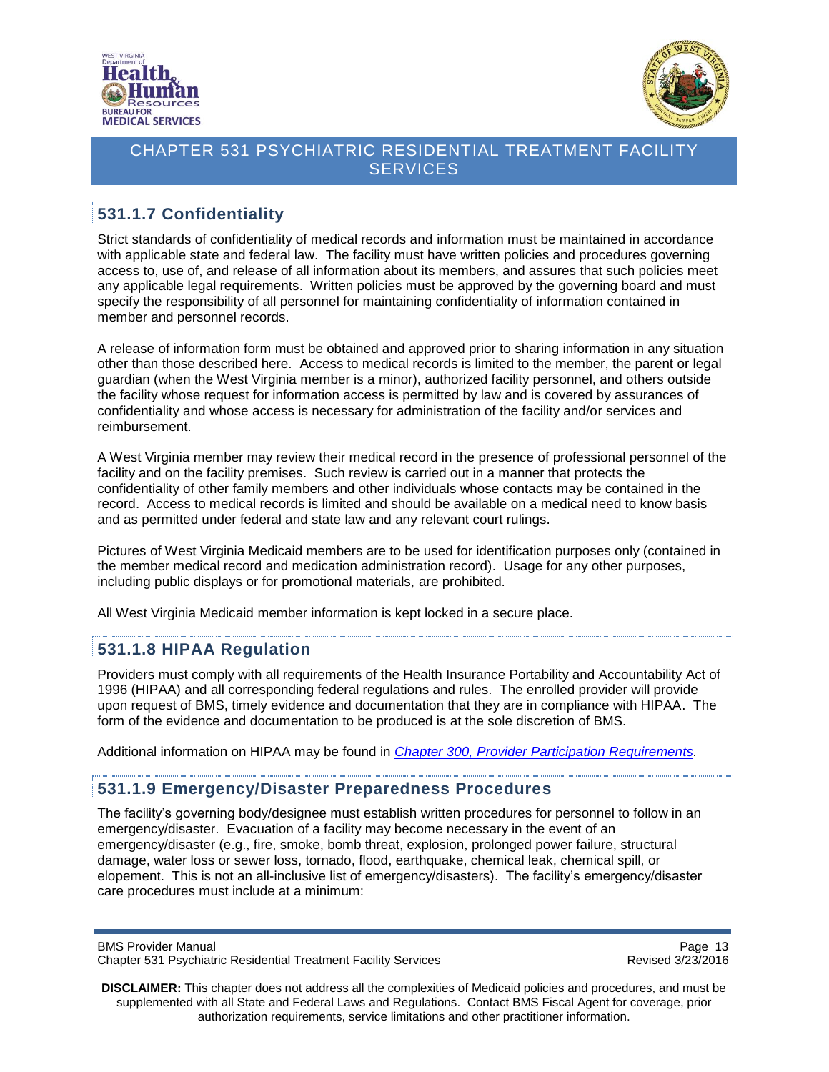



## <span id="page-12-0"></span>**531.1.7 Confidentiality**

Strict standards of confidentiality of medical records and information must be maintained in accordance with applicable state and federal law. The facility must have written policies and procedures governing access to, use of, and release of all information about its members, and assures that such policies meet any applicable legal requirements. Written policies must be approved by the governing board and must specify the responsibility of all personnel for maintaining confidentiality of information contained in member and personnel records.

A release of information form must be obtained and approved prior to sharing information in any situation other than those described here. Access to medical records is limited to the member, the parent or legal guardian (when the West Virginia member is a minor), authorized facility personnel, and others outside the facility whose request for information access is permitted by law and is covered by assurances of confidentiality and whose access is necessary for administration of the facility and/or services and reimbursement.

A West Virginia member may review their medical record in the presence of professional personnel of the facility and on the facility premises. Such review is carried out in a manner that protects the confidentiality of other family members and other individuals whose contacts may be contained in the record. Access to medical records is limited and should be available on a medical need to know basis and as permitted under federal and state law and any relevant court rulings.

Pictures of West Virginia Medicaid members are to be used for identification purposes only (contained in the member medical record and medication administration record). Usage for any other purposes, including public displays or for promotional materials, are prohibited.

All West Virginia Medicaid member information is kept locked in a secure place.

#### <span id="page-12-1"></span>**531.1.8 HIPAA Regulation**

Providers must comply with all requirements of the Health Insurance Portability and Accountability Act of 1996 (HIPAA) and all corresponding federal regulations and rules. The enrolled provider will provide upon request of BMS, timely evidence and documentation that they are in compliance with HIPAA. The form of the evidence and documentation to be produced is at the sole discretion of BMS.

Additional information on HIPAA may be found in *[Chapter 300, Provider Participation Requirements.](http://www.dhhr.wv.gov/bms/Pages/Manuals.aspx)*

#### **531.1.9 Emergency/Disaster Preparedness Procedures**

The facility's governing body/designee must establish written procedures for personnel to follow in an emergency/disaster. Evacuation of a facility may become necessary in the event of an emergency/disaster (e.g., fire, smoke, bomb threat, explosion, prolonged power failure, structural damage, water loss or sewer loss, tornado, flood, earthquake, chemical leak, chemical spill, or elopement. This is not an all-inclusive list of emergency/disasters). The facility's emergency/disaster care procedures must include at a minimum:

Page 13<br>Chapter 531 Psychiatric Residential Treatment Facility Services<br>Revised 3/23/2016 Chapter 531 Psychiatric Residential Treatment Facility Services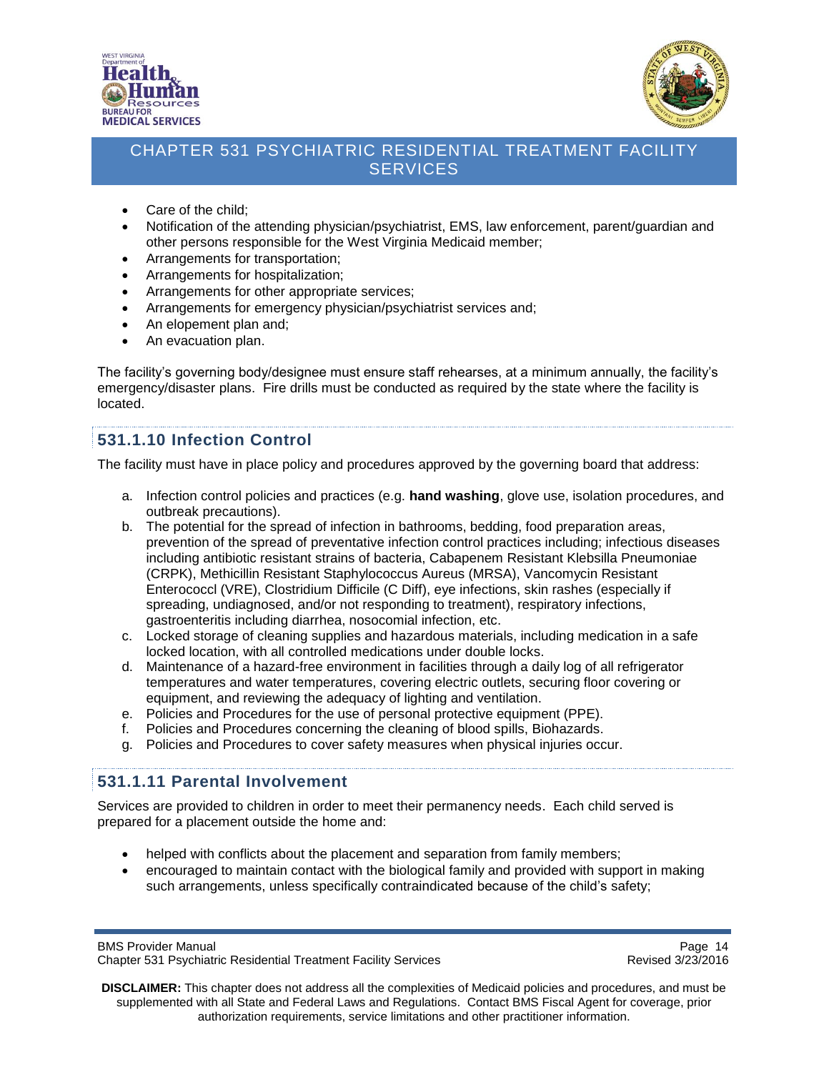



- Care of the child;
- Notification of the attending physician/psychiatrist, EMS, law enforcement, parent/guardian and other persons responsible for the West Virginia Medicaid member;
- Arrangements for transportation;
- Arrangements for hospitalization;
- Arrangements for other appropriate services;
- Arrangements for emergency physician/psychiatrist services and;
- An elopement plan and;
- An evacuation plan.

The facility's governing body/designee must ensure staff rehearses, at a minimum annually, the facility's emergency/disaster plans. Fire drills must be conducted as required by the state where the facility is located.

#### <span id="page-13-0"></span>**531.1.10 Infection Control**

The facility must have in place policy and procedures approved by the governing board that address:

- a. Infection control policies and practices (e.g. **hand washing**, glove use, isolation procedures, and outbreak precautions).
- b. The potential for the spread of infection in bathrooms, bedding, food preparation areas, prevention of the spread of preventative infection control practices including; infectious diseases including antibiotic resistant strains of bacteria, Cabapenem Resistant Klebsilla Pneumoniae (CRPK), Methicillin Resistant Staphylococcus Aureus (MRSA), Vancomycin Resistant Enterococcl (VRE), Clostridium Difficile (C Diff), eye infections, skin rashes (especially if spreading, undiagnosed, and/or not responding to treatment), respiratory infections, gastroenteritis including diarrhea, nosocomial infection, etc.
- c. Locked storage of cleaning supplies and hazardous materials, including medication in a safe locked location, with all controlled medications under double locks.
- d. Maintenance of a hazard-free environment in facilities through a daily log of all refrigerator temperatures and water temperatures, covering electric outlets, securing floor covering or equipment, and reviewing the adequacy of lighting and ventilation.
- e. Policies and Procedures for the use of personal protective equipment (PPE).
- f. Policies and Procedures concerning the cleaning of blood spills, Biohazards.
- g. Policies and Procedures to cover safety measures when physical injuries occur.

#### <span id="page-13-1"></span>**531.1.11 Parental Involvement**

Services are provided to children in order to meet their permanency needs. Each child served is prepared for a placement outside the home and:

- helped with conflicts about the placement and separation from family members;
- encouraged to maintain contact with the biological family and provided with support in making such arrangements, unless specifically contraindicated because of the child's safety;

```
BMS Provider Manual Page 14<br>Chapter 531 Psychiatric Residential Treatment Facility Services Chapter 1988 Revised 3/23/2016
Chapter 531 Psychiatric Residential Treatment Facility Services
```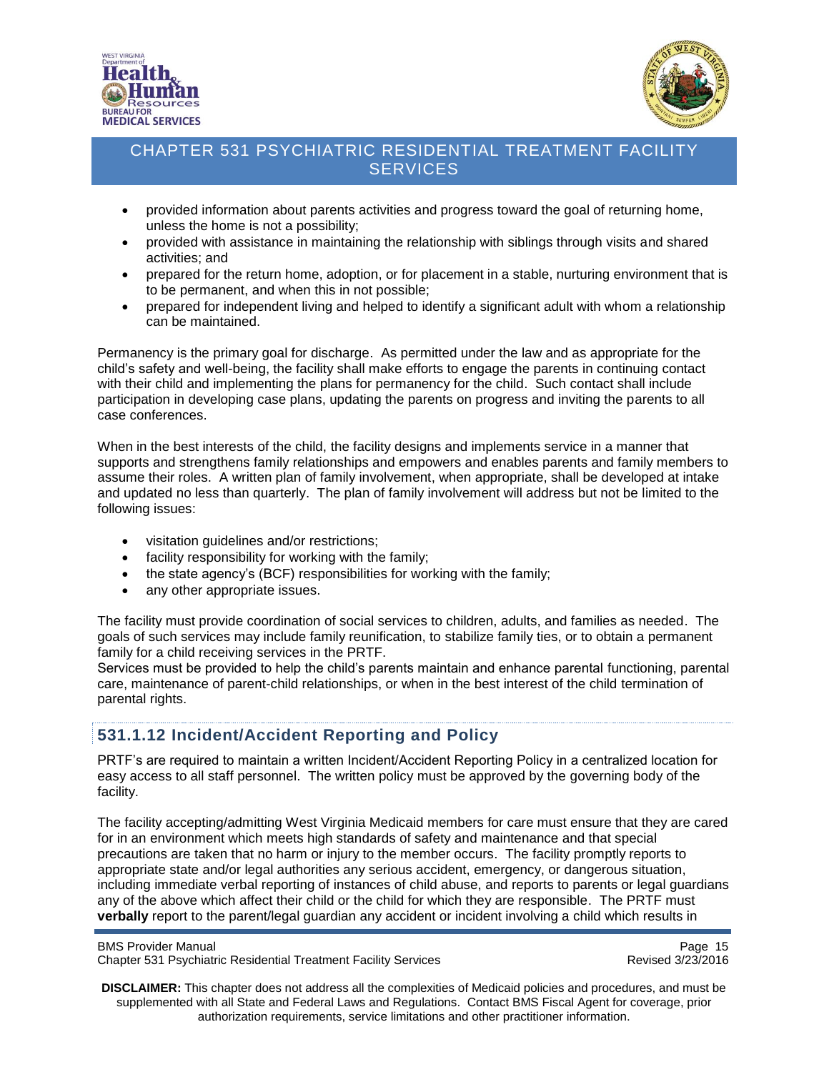



- provided information about parents activities and progress toward the goal of returning home, unless the home is not a possibility;
- provided with assistance in maintaining the relationship with siblings through visits and shared activities; and
- prepared for the return home, adoption, or for placement in a stable, nurturing environment that is to be permanent, and when this in not possible;
- prepared for independent living and helped to identify a significant adult with whom a relationship can be maintained.

Permanency is the primary goal for discharge. As permitted under the law and as appropriate for the child's safety and well-being, the facility shall make efforts to engage the parents in continuing contact with their child and implementing the plans for permanency for the child. Such contact shall include participation in developing case plans, updating the parents on progress and inviting the parents to all case conferences.

When in the best interests of the child, the facility designs and implements service in a manner that supports and strengthens family relationships and empowers and enables parents and family members to assume their roles. A written plan of family involvement, when appropriate, shall be developed at intake and updated no less than quarterly. The plan of family involvement will address but not be limited to the following issues:

- visitation guidelines and/or restrictions;
- facility responsibility for working with the family;
- the state agency's (BCF) responsibilities for working with the family;
- any other appropriate issues.

The facility must provide coordination of social services to children, adults, and families as needed. The goals of such services may include family reunification, to stabilize family ties, or to obtain a permanent family for a child receiving services in the PRTF.

Services must be provided to help the child's parents maintain and enhance parental functioning, parental care, maintenance of parent-child relationships, or when in the best interest of the child termination of parental rights.

### <span id="page-14-0"></span>**531.1.12 Incident/Accident Reporting and Policy**

PRTF's are required to maintain a written Incident/Accident Reporting Policy in a centralized location for easy access to all staff personnel. The written policy must be approved by the governing body of the facility.

The facility accepting/admitting West Virginia Medicaid members for care must ensure that they are cared for in an environment which meets high standards of safety and maintenance and that special precautions are taken that no harm or injury to the member occurs. The facility promptly reports to appropriate state and/or legal authorities any serious accident, emergency, or dangerous situation, including immediate verbal reporting of instances of child abuse, and reports to parents or legal guardians any of the above which affect their child or the child for which they are responsible. The PRTF must **verbally** report to the parent/legal guardian any accident or incident involving a child which results in

BMS Provider Manual Page 15<br>Chapter 531 Psychiatric Residential Treatment Facility Services Chapter 1999 Revised 3/23/2016 Chapter 531 Psychiatric Residential Treatment Facility Services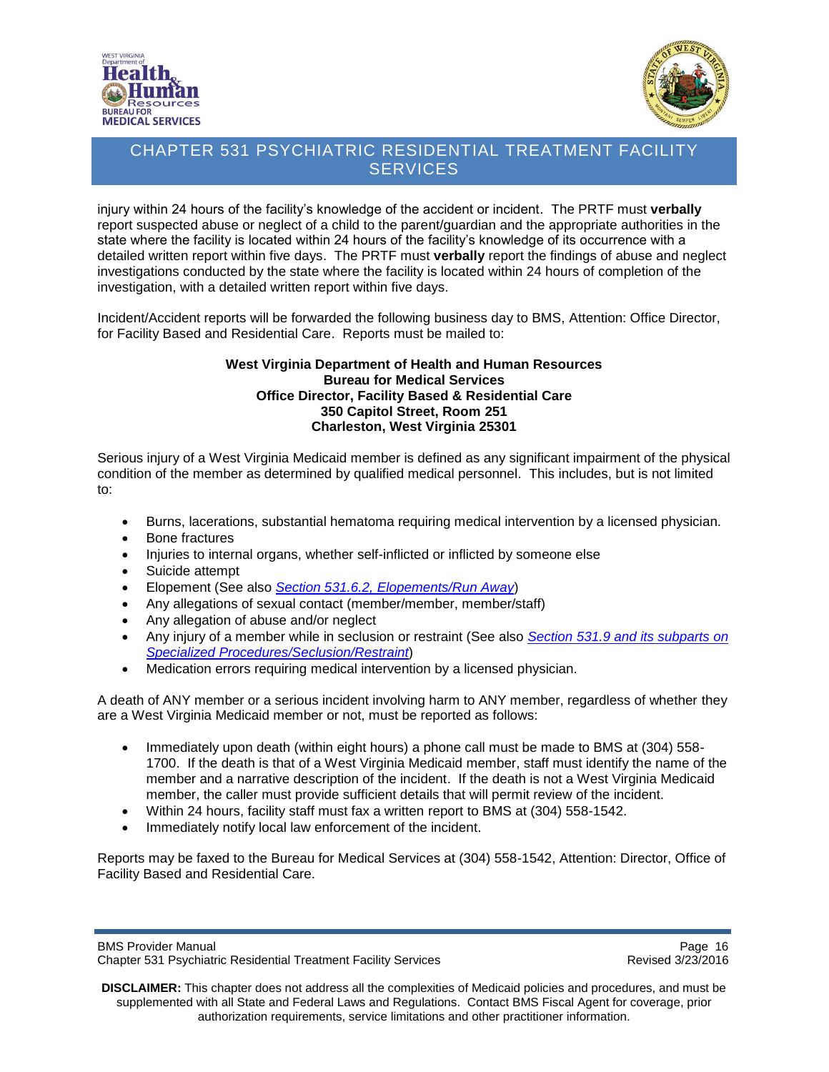



injury within 24 hours of the facility's knowledge of the accident or incident. The PRTF must **verbally** report suspected abuse or neglect of a child to the parent/guardian and the appropriate authorities in the state where the facility is located within 24 hours of the facility's knowledge of its occurrence with a detailed written report within five days. The PRTF must **verbally** report the findings of abuse and neglect investigations conducted by the state where the facility is located within 24 hours of completion of the investigation, with a detailed written report within five days.

Incident/Accident reports will be forwarded the following business day to BMS, Attention: Office Director, for Facility Based and Residential Care. Reports must be mailed to:

#### **West Virginia Department of Health and Human Resources Bureau for Medical Services Office Director, Facility Based & Residential Care 350 Capitol Street, Room 251 Charleston, West Virginia 25301**

Serious injury of a West Virginia Medicaid member is defined as any significant impairment of the physical condition of the member as determined by qualified medical personnel. This includes, but is not limited to:

- Burns, lacerations, substantial hematoma requiring medical intervention by a licensed physician.
- Bone fractures
- Injuries to internal organs, whether self-inflicted or inflicted by someone else
- Suicide attempt
- Elopement (See also *Section 531.6.2, [Elopements/Run Away](#page-38-0)*)
- Any allegations of sexual contact (member/member, member/staff)
- Any allegation of abuse and/or neglect
- Any injury of a member while in seclusion or restraint (See also *Section [531.9 and its subparts on](#page-41-1)  Specialized [Procedures/Seclusion/Restraint](#page-41-1)*)
- Medication errors requiring medical intervention by a licensed physician.

A death of ANY member or a serious incident involving harm to ANY member, regardless of whether they are a West Virginia Medicaid member or not, must be reported as follows:

- Immediately upon death (within eight hours) a phone call must be made to BMS at (304) 558-1700. If the death is that of a West Virginia Medicaid member, staff must identify the name of the member and a narrative description of the incident. If the death is not a West Virginia Medicaid member, the caller must provide sufficient details that will permit review of the incident.
- Within 24 hours, facility staff must fax a written report to BMS at (304) 558-1542.
- Immediately notify local law enforcement of the incident.

Reports may be faxed to the Bureau for Medical Services at (304) 558-1542, Attention: Director, Office of Facility Based and Residential Care.

BMS Provider Manual Page 16<br>Chapter 531 Psychiatric Residential Treatment Facility Services Chapter 1988 Revised 3/23/2016 Chapter 531 Psychiatric Residential Treatment Facility Services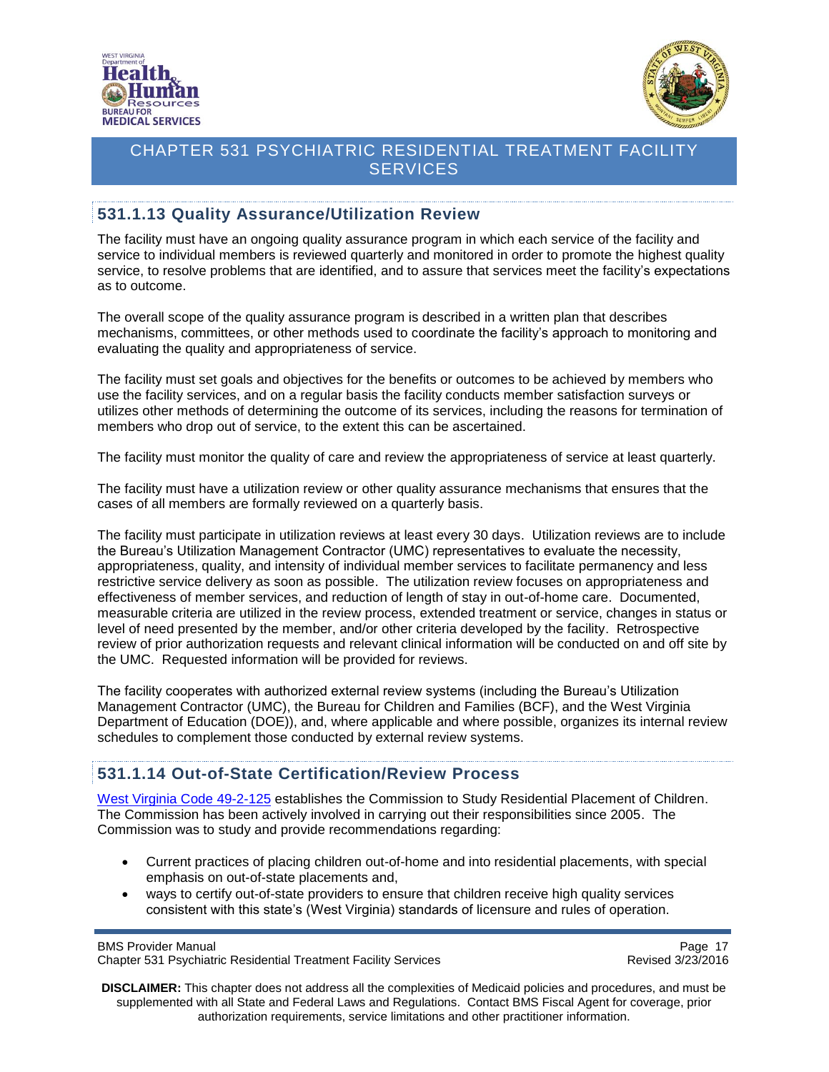



### <span id="page-16-0"></span>**531.1.13 Quality Assurance/Utilization Review**

The facility must have an ongoing quality assurance program in which each service of the facility and service to individual members is reviewed quarterly and monitored in order to promote the highest quality service, to resolve problems that are identified, and to assure that services meet the facility's expectations as to outcome.

The overall scope of the quality assurance program is described in a written plan that describes mechanisms, committees, or other methods used to coordinate the facility's approach to monitoring and evaluating the quality and appropriateness of service.

The facility must set goals and objectives for the benefits or outcomes to be achieved by members who use the facility services, and on a regular basis the facility conducts member satisfaction surveys or utilizes other methods of determining the outcome of its services, including the reasons for termination of members who drop out of service, to the extent this can be ascertained.

The facility must monitor the quality of care and review the appropriateness of service at least quarterly.

The facility must have a utilization review or other quality assurance mechanisms that ensures that the cases of all members are formally reviewed on a quarterly basis.

The facility must participate in utilization reviews at least every 30 days. Utilization reviews are to include the Bureau's Utilization Management Contractor (UMC) representatives to evaluate the necessity, appropriateness, quality, and intensity of individual member services to facilitate permanency and less restrictive service delivery as soon as possible. The utilization review focuses on appropriateness and effectiveness of member services, and reduction of length of stay in out-of-home care. Documented, measurable criteria are utilized in the review process, extended treatment or service, changes in status or level of need presented by the member, and/or other criteria developed by the facility. Retrospective review of prior authorization requests and relevant clinical information will be conducted on and off site by the UMC. Requested information will be provided for reviews.

The facility cooperates with authorized external review systems (including the Bureau's Utilization Management Contractor (UMC), the Bureau for Children and Families (BCF), and the West Virginia Department of Education (DOE)), and, where applicable and where possible, organizes its internal review schedules to complement those conducted by external review systems.

### <span id="page-16-1"></span>**531.1.14 Out-of-State Certification/Review Process**

[West Virginia Code 49-2-125](http://www.legis.state.wv.us/WVCODE/ChapterEntire.cfm?chap=49&art=2§ion=125#02) establishes the Commission to Study Residential Placement of Children. The Commission has been actively involved in carrying out their responsibilities since 2005. The Commission was to study and provide recommendations regarding:

- Current practices of placing children out-of-home and into residential placements, with special emphasis on out-of-state placements and,
- ways to certify out-of-state providers to ensure that children receive high quality services consistent with this state's (West Virginia) standards of licensure and rules of operation.

BMS Provider Manual Page 17<br>Chapter 531 Psychiatric Residential Treatment Facility Services Chapter 1988 Revised 3/23/2016 Chapter 531 Psychiatric Residential Treatment Facility Services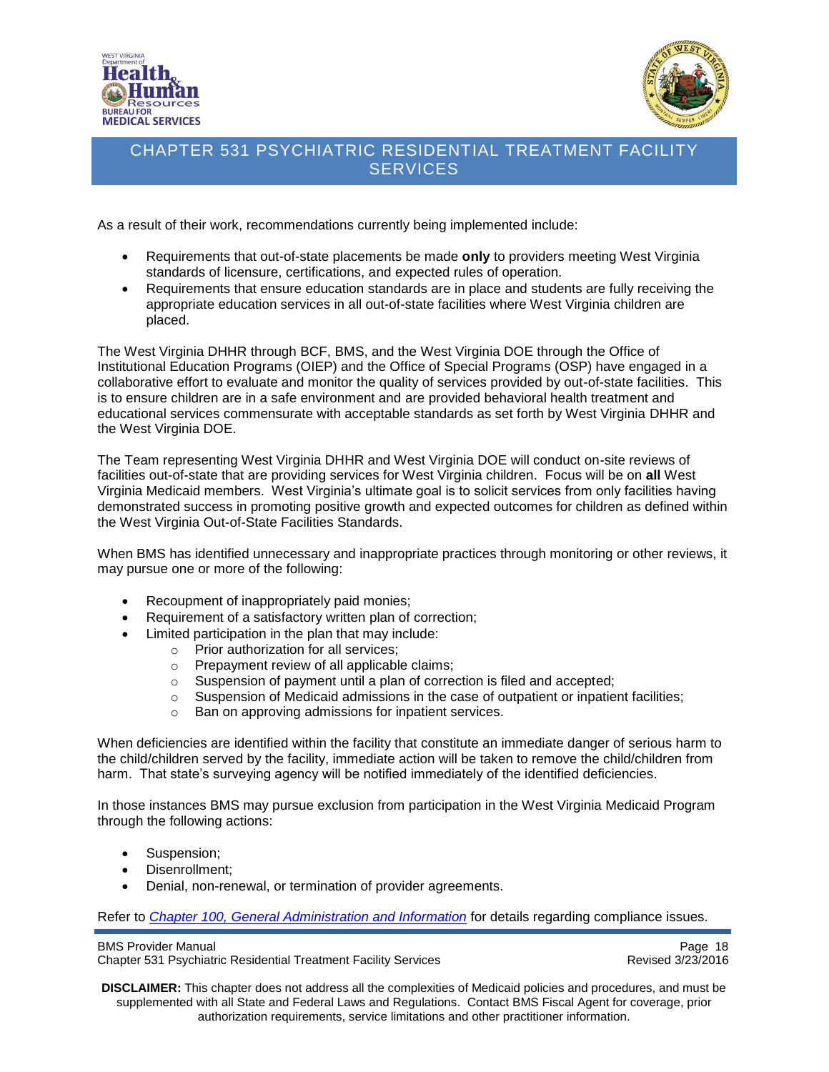



As a result of their work, recommendations currently being implemented include:

- Requirements that out-of-state placements be made **only** to providers meeting West Virginia standards of licensure, certifications, and expected rules of operation.
- Requirements that ensure education standards are in place and students are fully receiving the appropriate education services in all out-of-state facilities where West Virginia children are placed.

The West Virginia DHHR through BCF, BMS, and the West Virginia DOE through the Office of Institutional Education Programs (OIEP) and the Office of Special Programs (OSP) have engaged in a collaborative effort to evaluate and monitor the quality of services provided by out-of-state facilities. This is to ensure children are in a safe environment and are provided behavioral health treatment and educational services commensurate with acceptable standards as set forth by West Virginia DHHR and the West Virginia DOE.

The Team representing West Virginia DHHR and West Virginia DOE will conduct on-site reviews of facilities out-of-state that are providing services for West Virginia children. Focus will be on **all** West Virginia Medicaid members. West Virginia's ultimate goal is to solicit services from only facilities having demonstrated success in promoting positive growth and expected outcomes for children as defined within the West Virginia Out-of-State Facilities Standards.

When BMS has identified unnecessary and inappropriate practices through monitoring or other reviews, it may pursue one or more of the following:

- Recoupment of inappropriately paid monies;
- Requirement of a satisfactory written plan of correction;
- Limited participation in the plan that may include:
	- o Prior authorization for all services;
	- o Prepayment review of all applicable claims;
	- o Suspension of payment until a plan of correction is filed and accepted;
	- $\circ$  Suspension of Medicaid admissions in the case of outpatient or inpatient facilities;
	- o Ban on approving admissions for inpatient services.

When deficiencies are identified within the facility that constitute an immediate danger of serious harm to the child/children served by the facility, immediate action will be taken to remove the child/children from harm. That state's surveying agency will be notified immediately of the identified deficiencies.

In those instances BMS may pursue exclusion from participation in the West Virginia Medicaid Program through the following actions:

- Suspension;
- Disenrollment;
- Denial, non-renewal, or termination of provider agreements.

Refer to *[Chapter 100, General Administration and Information](http://www.dhhr.wv.gov/bms/Pages/Manuals.aspx)* for details regarding compliance issues.

BMS Provider Manual Page 18<br>Chapter 531 Psychiatric Residential Treatment Facility Services Chapter 1988 Revised 3/23/2016 Chapter 531 Psychiatric Residential Treatment Facility Services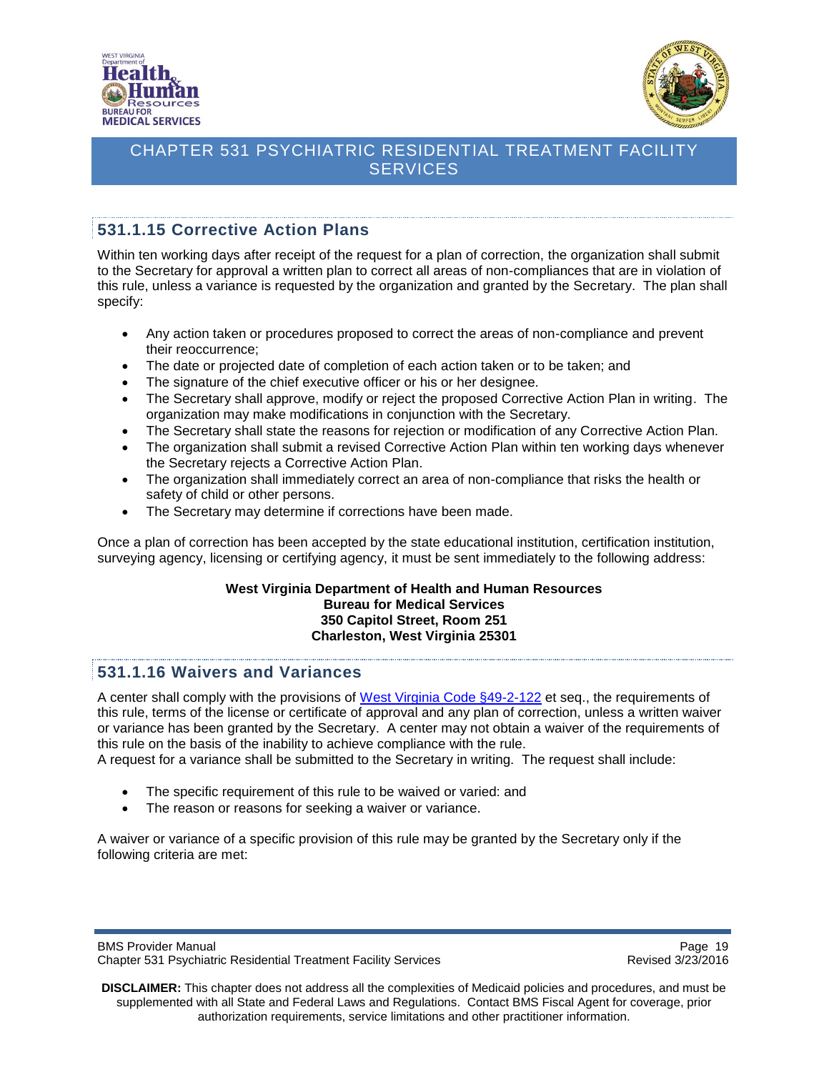



# <span id="page-18-0"></span>**531.1.15 Corrective Action Plans**

Within ten working days after receipt of the request for a plan of correction, the organization shall submit to the Secretary for approval a written plan to correct all areas of non-compliances that are in violation of this rule, unless a variance is requested by the organization and granted by the Secretary. The plan shall specify:

- Any action taken or procedures proposed to correct the areas of non-compliance and prevent their reoccurrence;
- The date or projected date of completion of each action taken or to be taken; and
- The signature of the chief executive officer or his or her designee.
- The Secretary shall approve, modify or reject the proposed Corrective Action Plan in writing. The organization may make modifications in conjunction with the Secretary.
- The Secretary shall state the reasons for rejection or modification of any Corrective Action Plan.
- The organization shall submit a revised Corrective Action Plan within ten working days whenever the Secretary rejects a Corrective Action Plan.
- The organization shall immediately correct an area of non-compliance that risks the health or safety of child or other persons.
- The Secretary may determine if corrections have been made.

Once a plan of correction has been accepted by the state educational institution, certification institution, surveying agency, licensing or certifying agency, it must be sent immediately to the following address:

#### **West Virginia Department of Health and Human Resources Bureau for Medical Services 350 Capitol Street, Room 251 Charleston, West Virginia 25301**

#### <span id="page-18-1"></span>**531.1.16 Waivers and Variances**

A center shall comply with the provisions of [West Virginia Code §49-2-122](http://www.legis.state.wv.us/WVCODE/ChapterEntire.cfm?chap=49&art=2§ion=122#02) et seq., the requirements of this rule, terms of the license or certificate of approval and any plan of correction, unless a written waiver or variance has been granted by the Secretary. A center may not obtain a waiver of the requirements of this rule on the basis of the inability to achieve compliance with the rule.

A request for a variance shall be submitted to the Secretary in writing. The request shall include:

- The specific requirement of this rule to be waived or varied: and
- The reason or reasons for seeking a waiver or variance.

A waiver or variance of a specific provision of this rule may be granted by the Secretary only if the following criteria are met: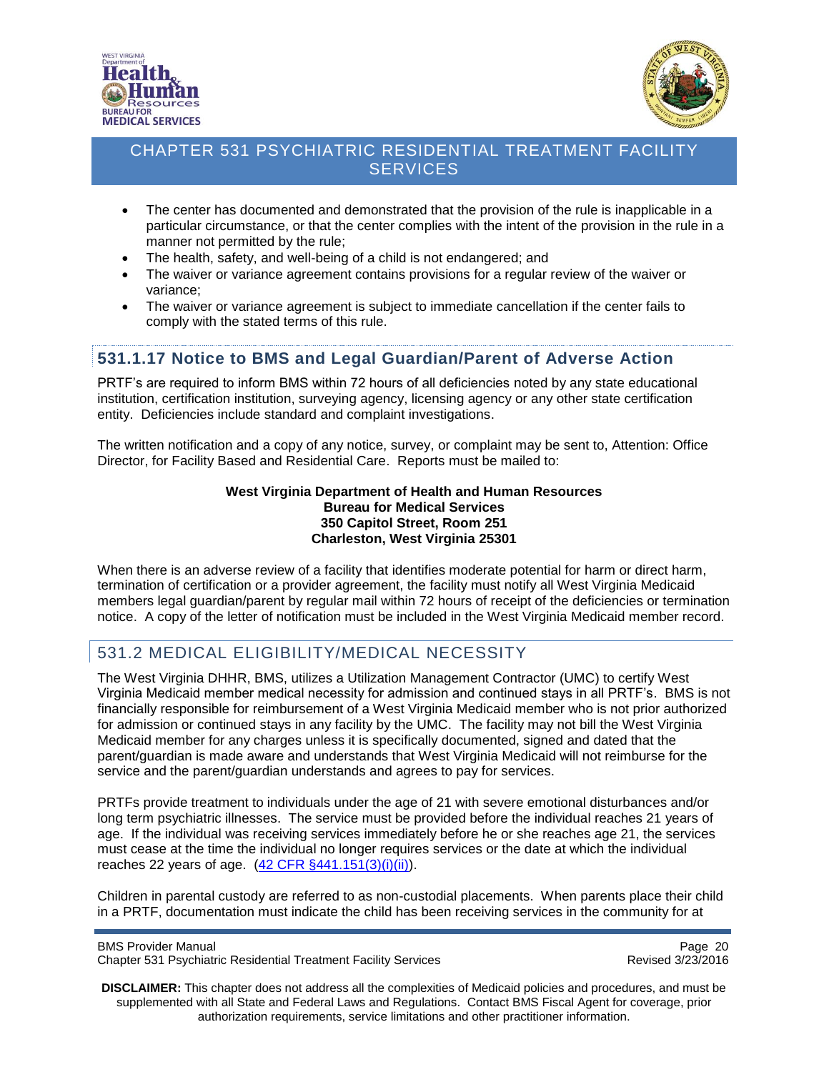



- The center has documented and demonstrated that the provision of the rule is inapplicable in a particular circumstance, or that the center complies with the intent of the provision in the rule in a manner not permitted by the rule;
- The health, safety, and well-being of a child is not endangered; and
- The waiver or variance agreement contains provisions for a regular review of the waiver or variance;
- The waiver or variance agreement is subject to immediate cancellation if the center fails to comply with the stated terms of this rule.

### <span id="page-19-0"></span>**531.1.17 Notice to BMS and Legal Guardian/Parent of Adverse Action**

PRTF's are required to inform BMS within 72 hours of all deficiencies noted by any state educational institution, certification institution, surveying agency, licensing agency or any other state certification entity. Deficiencies include standard and complaint investigations.

The written notification and a copy of any notice, survey, or complaint may be sent to, Attention: Office Director, for Facility Based and Residential Care. Reports must be mailed to:

> **West Virginia Department of Health and Human Resources Bureau for Medical Services 350 Capitol Street, Room 251 Charleston, West Virginia 25301**

When there is an adverse review of a facility that identifies moderate potential for harm or direct harm, termination of certification or a provider agreement, the facility must notify all West Virginia Medicaid members legal guardian/parent by regular mail within 72 hours of receipt of the deficiencies or termination notice. A copy of the letter of notification must be included in the West Virginia Medicaid member record.

# <span id="page-19-1"></span>531.2 MEDICAL ELIGIBILITY/MEDICAL NECESSITY

The West Virginia DHHR, BMS, utilizes a Utilization Management Contractor (UMC) to certify West Virginia Medicaid member medical necessity for admission and continued stays in all PRTF's. BMS is not financially responsible for reimbursement of a West Virginia Medicaid member who is not prior authorized for admission or continued stays in any facility by the UMC. The facility may not bill the West Virginia Medicaid member for any charges unless it is specifically documented, signed and dated that the parent/guardian is made aware and understands that West Virginia Medicaid will not reimburse for the service and the parent/guardian understands and agrees to pay for services.

PRTFs provide treatment to individuals under the age of 21 with severe emotional disturbances and/or long term psychiatric illnesses. The service must be provided before the individual reaches 21 years of age. If the individual was receiving services immediately before he or she reaches age 21, the services must cease at the time the individual no longer requires services or the date at which the individual reaches 22 years of age.  $(42 \text{ CFR } \frac{6}{9}441.151(3)(i)(ii))$ .

Children in parental custody are referred to as non-custodial placements. When parents place their child in a PRTF, documentation must indicate the child has been receiving services in the community for at

BMS Provider Manual Page 20<br>Chapter 531 Psychiatric Residential Treatment Facility Services Chapter 531 Psychiatric Residential Treatment Facility Services Chapter 531 Psychiatric Residential Treatment Facility Services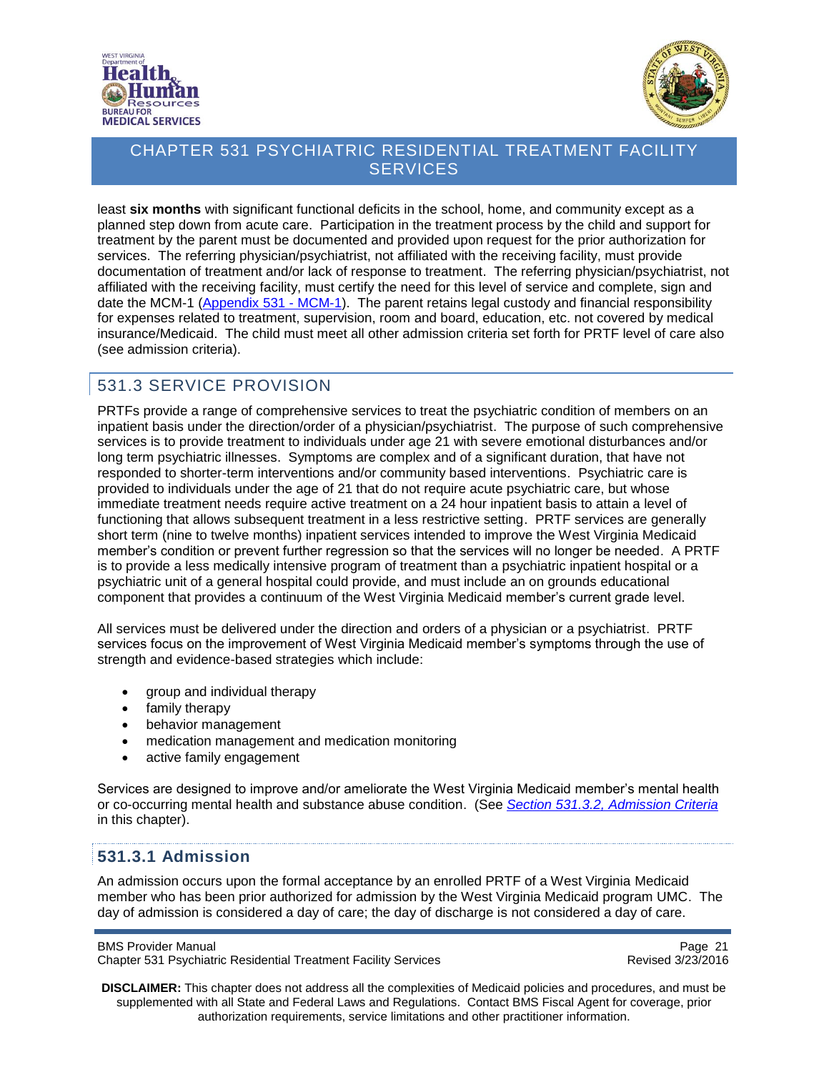



least **six months** with significant functional deficits in the school, home, and community except as a planned step down from acute care. Participation in the treatment process by the child and support for treatment by the parent must be documented and provided upon request for the prior authorization for services. The referring physician/psychiatrist, not affiliated with the receiving facility, must provide documentation of treatment and/or lack of response to treatment. The referring physician/psychiatrist, not affiliated with the receiving facility, must certify the need for this level of service and complete, sign and date the MCM-1 [\(Appendix 531](http://www.dhhr.wv.gov/bms/Pages/Manuals.aspx) - MCM-1). The parent retains legal custody and financial responsibility for expenses related to treatment, supervision, room and board, education, etc. not covered by medical insurance/Medicaid. The child must meet all other admission criteria set forth for PRTF level of care also (see admission criteria).

# <span id="page-20-0"></span>531.3 SERVICE PROVISION

PRTFs provide a range of comprehensive services to treat the psychiatric condition of members on an inpatient basis under the direction/order of a physician/psychiatrist. The purpose of such comprehensive services is to provide treatment to individuals under age 21 with severe emotional disturbances and/or long term psychiatric illnesses. Symptoms are complex and of a significant duration, that have not responded to shorter-term interventions and/or community based interventions. Psychiatric care is provided to individuals under the age of 21 that do not require acute psychiatric care, but whose immediate treatment needs require active treatment on a 24 hour inpatient basis to attain a level of functioning that allows subsequent treatment in a less restrictive setting. PRTF services are generally short term (nine to twelve months) inpatient services intended to improve the West Virginia Medicaid member's condition or prevent further regression so that the services will no longer be needed. A PRTF is to provide a less medically intensive program of treatment than a psychiatric inpatient hospital or a psychiatric unit of a general hospital could provide, and must include an on grounds educational component that provides a continuum of the West Virginia Medicaid member's current grade level.

All services must be delivered under the direction and orders of a physician or a psychiatrist. PRTF services focus on the improvement of West Virginia Medicaid member's symptoms through the use of strength and evidence-based strategies which include:

- group and individual therapy
- family therapy
- behavior management
- medication management and medication monitoring
- active family engagement

Services are designed to improve and/or ameliorate the West Virginia Medicaid member's mental health or co-occurring mental health and substance abuse condition. (See *Section 531.3.2, [Admission Criteria](#page-22-0)* in this chapter).

#### <span id="page-20-1"></span>**531.3.1 Admission**

An admission occurs upon the formal acceptance by an enrolled PRTF of a West Virginia Medicaid member who has been prior authorized for admission by the West Virginia Medicaid program UMC. The day of admission is considered a day of care; the day of discharge is not considered a day of care.

Page 21<br>Chapter 531 Psychiatric Residential Treatment Facility Services<br>Revised 3/23/2016 Chapter 531 Psychiatric Residential Treatment Facility Services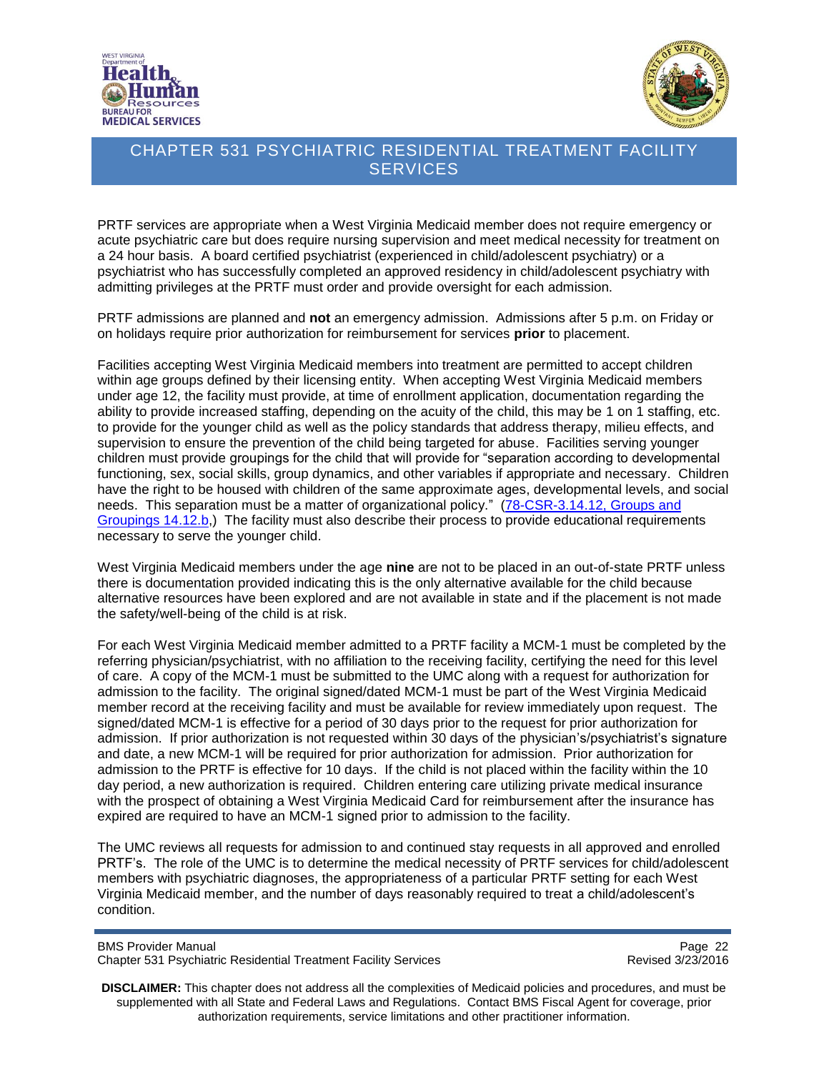



PRTF services are appropriate when a West Virginia Medicaid member does not require emergency or acute psychiatric care but does require nursing supervision and meet medical necessity for treatment on a 24 hour basis. A board certified psychiatrist (experienced in child/adolescent psychiatry) or a psychiatrist who has successfully completed an approved residency in child/adolescent psychiatry with admitting privileges at the PRTF must order and provide oversight for each admission.

PRTF admissions are planned and **not** an emergency admission. Admissions after 5 p.m. on Friday or on holidays require prior authorization for reimbursement for services **prior** to placement.

Facilities accepting West Virginia Medicaid members into treatment are permitted to accept children within age groups defined by their licensing entity. When accepting West Virginia Medicaid members under age 12, the facility must provide, at time of enrollment application, documentation regarding the ability to provide increased staffing, depending on the acuity of the child, this may be 1 on 1 staffing, etc. to provide for the younger child as well as the policy standards that address therapy, milieu effects, and supervision to ensure the prevention of the child being targeted for abuse. Facilities serving younger children must provide groupings for the child that will provide for "separation according to developmental functioning, sex, social skills, group dynamics, and other variables if appropriate and necessary. Children have the right to be housed with children of the same approximate ages, developmental levels, and social needs. This separation must be a matter of organizational policy." [\(78-CSR-3.14.12, Groups and](http://apps.sos.wv.gov/adlaw/csr/readfile.aspx?DocId=24530&Format=PDF)  [Groupings](http://apps.sos.wv.gov/adlaw/csr/readfile.aspx?DocId=24530&Format=PDF) 14.12.b,) The facility must also describe their process to provide educational requirements necessary to serve the younger child.

West Virginia Medicaid members under the age **nine** are not to be placed in an out-of-state PRTF unless there is documentation provided indicating this is the only alternative available for the child because alternative resources have been explored and are not available in state and if the placement is not made the safety/well-being of the child is at risk.

For each West Virginia Medicaid member admitted to a PRTF facility a MCM-1 must be completed by the referring physician/psychiatrist, with no affiliation to the receiving facility, certifying the need for this level of care. A copy of the MCM-1 must be submitted to the UMC along with a request for authorization for admission to the facility. The original signed/dated MCM-1 must be part of the West Virginia Medicaid member record at the receiving facility and must be available for review immediately upon request. The signed/dated MCM-1 is effective for a period of 30 days prior to the request for prior authorization for admission. If prior authorization is not requested within 30 days of the physician's/psychiatrist's signature and date, a new MCM-1 will be required for prior authorization for admission. Prior authorization for admission to the PRTF is effective for 10 days. If the child is not placed within the facility within the 10 day period, a new authorization is required. Children entering care utilizing private medical insurance with the prospect of obtaining a West Virginia Medicaid Card for reimbursement after the insurance has expired are required to have an MCM-1 signed prior to admission to the facility.

The UMC reviews all requests for admission to and continued stay requests in all approved and enrolled PRTF's. The role of the UMC is to determine the medical necessity of PRTF services for child/adolescent members with psychiatric diagnoses, the appropriateness of a particular PRTF setting for each West Virginia Medicaid member, and the number of days reasonably required to treat a child/adolescent's condition.

BMS Provider Manual Page 22<br>Chapter 531 Psychiatric Residential Treatment Facility Services Chapter 531 Psychiatric Residential Treatment Facility Services Chapter 531 Psychiatric Residential Treatment Facility Services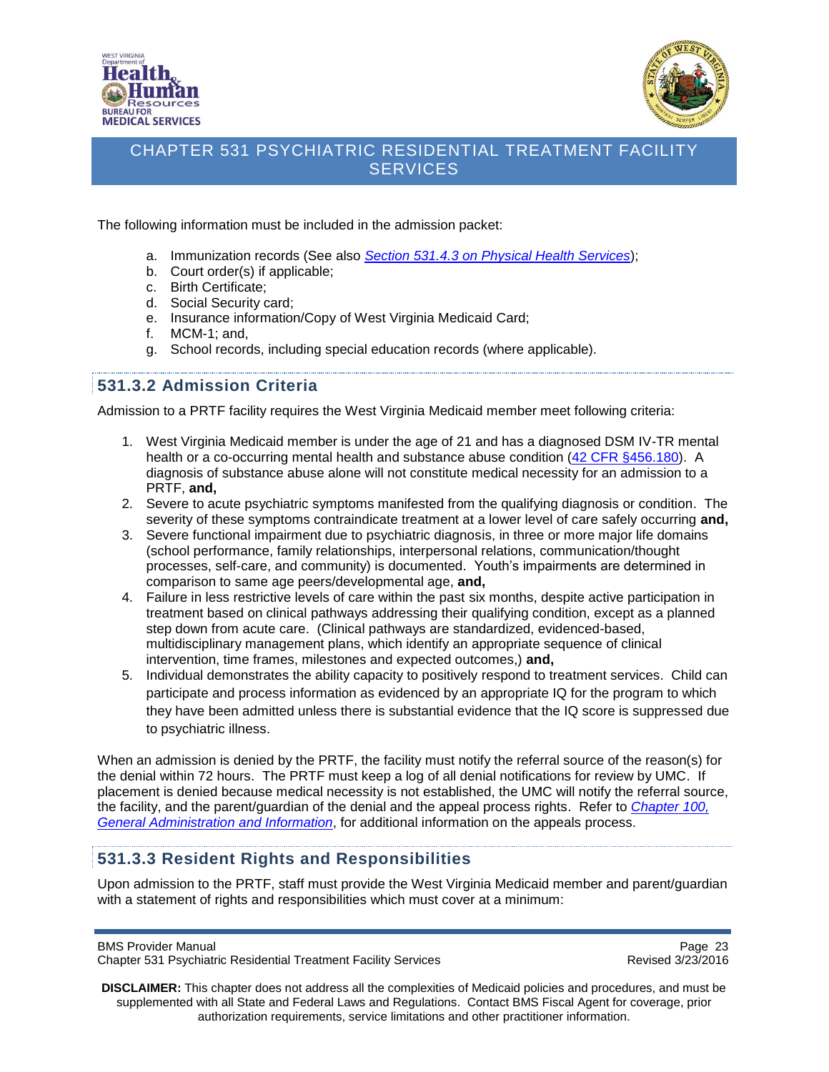



The following information must be included in the admission packet:

- a. Immunization records (See also *Section 531.4.3 on [Physical Health Services](#page-29-1)*);
- b. Court order(s) if applicable;
- c. Birth Certificate;
- d. Social Security card;
- e. Insurance information/Copy of West Virginia Medicaid Card;
- f. MCM-1; and,
- g. School records, including special education records (where applicable).

### <span id="page-22-0"></span>**531.3.2 Admission Criteria**

Admission to a PRTF facility requires the West Virginia Medicaid member meet following criteria:

- 1. West Virginia Medicaid member is under the age of 21 and has a diagnosed DSM IV-TR mental health or a co-occurring mental health and substance abuse condition [\(42 CFR §456.180\)](http://www.ecfr.gov/cgi-bin/text-idx?SID=8fe5c82cfb27f48851974da9e665f9fe&node=se42.4.456_1180&rgn=div8). A diagnosis of substance abuse alone will not constitute medical necessity for an admission to a PRTF, **and,**
- 2. Severe to acute psychiatric symptoms manifested from the qualifying diagnosis or condition. The severity of these symptoms contraindicate treatment at a lower level of care safely occurring **and,**
- 3. Severe functional impairment due to psychiatric diagnosis, in three or more major life domains (school performance, family relationships, interpersonal relations, communication/thought processes, self-care, and community) is documented. Youth's impairments are determined in comparison to same age peers/developmental age, **and,**
- 4. Failure in less restrictive levels of care within the past six months, despite active participation in treatment based on clinical pathways addressing their qualifying condition, except as a planned step down from acute care. (Clinical pathways are standardized, evidenced-based, multidisciplinary management plans, which identify an appropriate sequence of clinical intervention, time frames, milestones and expected outcomes,) **and,**
- 5. Individual demonstrates the ability capacity to positively respond to treatment services. Child can participate and process information as evidenced by an appropriate IQ for the program to which they have been admitted unless there is substantial evidence that the IQ score is suppressed due to psychiatric illness.

When an admission is denied by the PRTF, the facility must notify the referral source of the reason(s) for the denial within 72 hours. The PRTF must keep a log of all denial notifications for review by UMC. If placement is denied because medical necessity is not established, the UMC will notify the referral source, the facility, and the parent/guardian of the denial and the appeal process rights. Refer to *[Chapter 100,](http://www.dhhr.wv.gov/bms/Pages/Manuals.aspx)  [General Administration and Information](http://www.dhhr.wv.gov/bms/Pages/Manuals.aspx)*, for additional information on the appeals process.

#### <span id="page-22-1"></span>**531.3.3 Resident Rights and Responsibilities**

Upon admission to the PRTF, staff must provide the West Virginia Medicaid member and parent/guardian with a statement of rights and responsibilities which must cover at a minimum:

Page 23<br>Chapter 531 Psychiatric Residential Treatment Facility Services<br>Revised 3/23/2016 Chapter 531 Psychiatric Residential Treatment Facility Services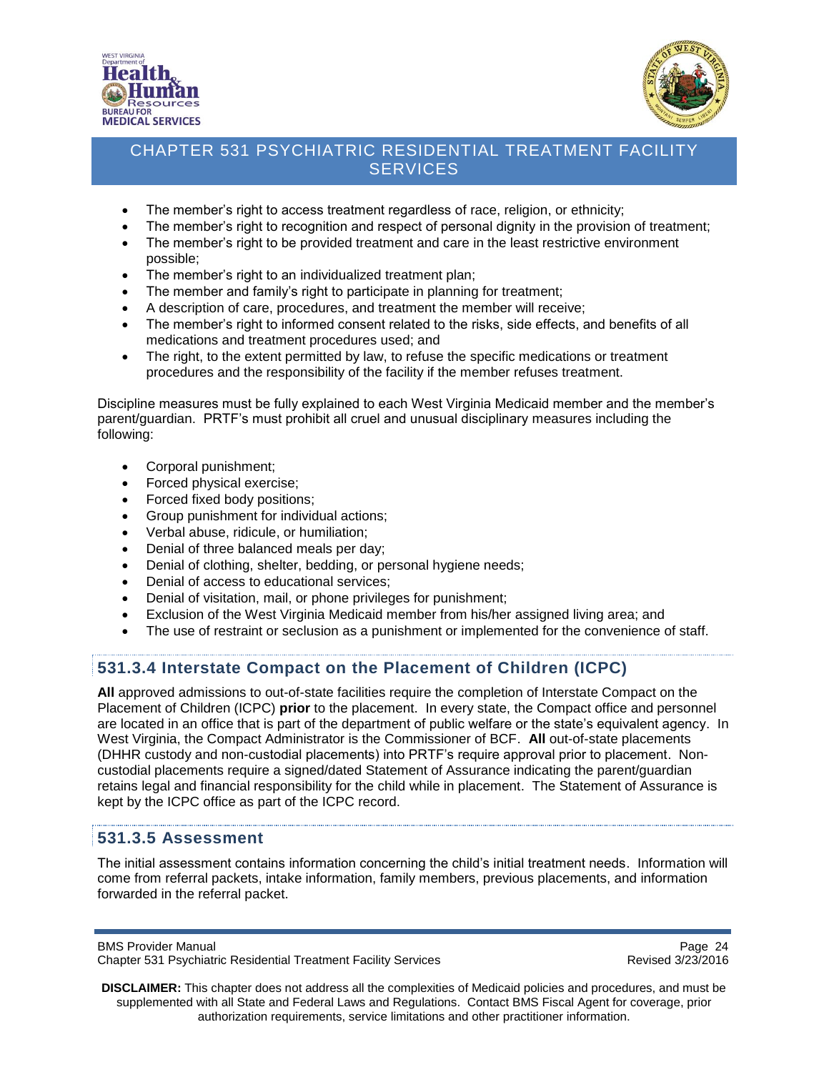



- The member's right to access treatment regardless of race, religion, or ethnicity;
- The member's right to recognition and respect of personal dignity in the provision of treatment;
- The member's right to be provided treatment and care in the least restrictive environment possible;
- The member's right to an individualized treatment plan;
- The member and family's right to participate in planning for treatment;
- A description of care, procedures, and treatment the member will receive;
- The member's right to informed consent related to the risks, side effects, and benefits of all medications and treatment procedures used; and
- The right, to the extent permitted by law, to refuse the specific medications or treatment procedures and the responsibility of the facility if the member refuses treatment.

Discipline measures must be fully explained to each West Virginia Medicaid member and the member's parent/guardian. PRTF's must prohibit all cruel and unusual disciplinary measures including the following:

- Corporal punishment;
- Forced physical exercise;
- Forced fixed body positions;
- Group punishment for individual actions;
- Verbal abuse, ridicule, or humiliation:
- Denial of three balanced meals per day;
- Denial of clothing, shelter, bedding, or personal hygiene needs;
- Denial of access to educational services;
- Denial of visitation, mail, or phone privileges for punishment;
- Exclusion of the West Virginia Medicaid member from his/her assigned living area; and
- The use of restraint or seclusion as a punishment or implemented for the convenience of staff.

### <span id="page-23-0"></span>**531.3.4 Interstate Compact on the Placement of Children (ICPC)**

**All** approved admissions to out-of-state facilities require the completion of Interstate Compact on the Placement of Children (ICPC) **prior** to the placement. In every state, the Compact office and personnel are located in an office that is part of the department of public welfare or the state's equivalent agency. In West Virginia, the Compact Administrator is the Commissioner of BCF. **All** out-of-state placements (DHHR custody and non-custodial placements) into PRTF's require approval prior to placement. Noncustodial placements require a signed/dated Statement of Assurance indicating the parent/guardian retains legal and financial responsibility for the child while in placement. The Statement of Assurance is kept by the ICPC office as part of the ICPC record.

### <span id="page-23-1"></span>**531.3.5 Assessment**

The initial assessment contains information concerning the child's initial treatment needs. Information will come from referral packets, intake information, family members, previous placements, and information forwarded in the referral packet.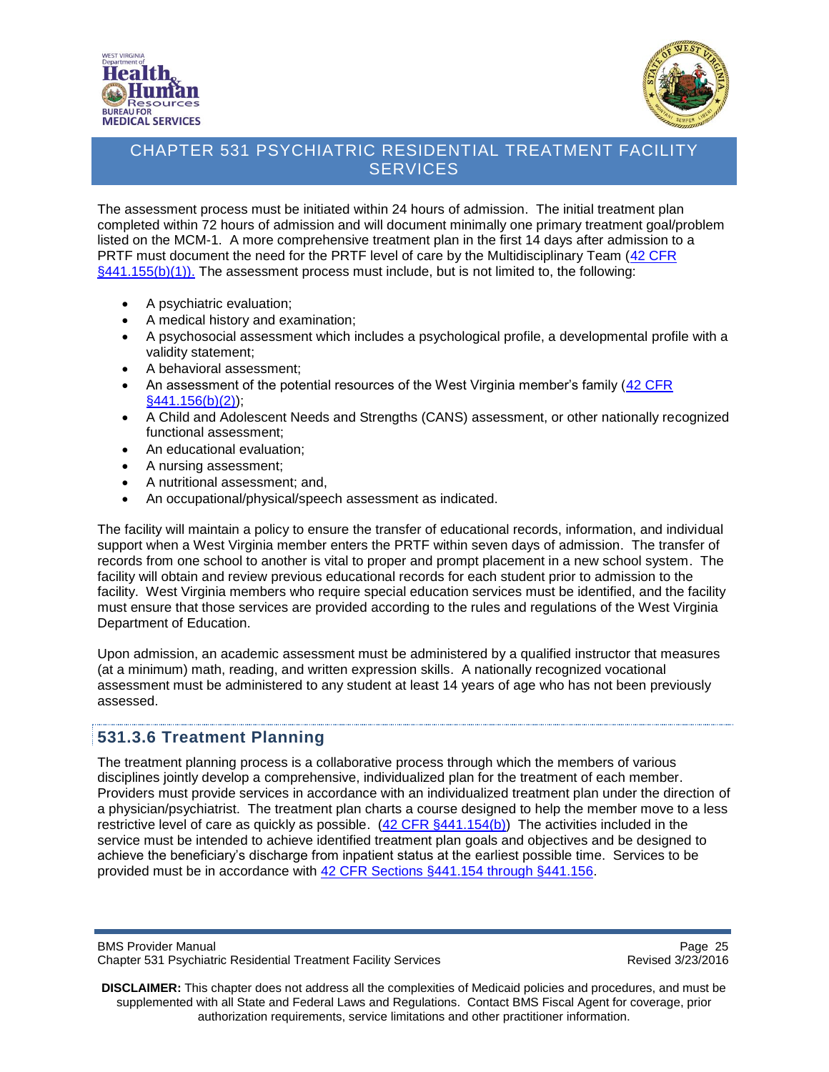



The assessment process must be initiated within 24 hours of admission. The initial treatment plan completed within 72 hours of admission and will document minimally one primary treatment goal/problem listed on the MCM-1. A more comprehensive treatment plan in the first 14 days after admission to a PRTF must document the need for the PRTF level of care by the Multidisciplinary Team (42 CFR [§441.155\(b\)\(1\)\).](http://www.ecfr.gov/cgi-bin/text-idx?SID=8fe5c82cfb27f48851974da9e665f9fe&node=se42.4.441_1155&rgn=div8) The assessment process must include, but is not limited to, the following:

- A psychiatric evaluation;
- A medical history and examination;
- A psychosocial assessment which includes a psychological profile, a developmental profile with a validity statement;
- A behavioral assessment;
- An assessment of the potential resources of the West Virginia member's family [\(42 CFR](http://www.ecfr.gov/cgi-bin/text-idx?SID=8fe5c82cfb27f48851974da9e665f9fe&node=se42.4.441_1156&rgn=div8)  [§441.156\(b\)\(2\)\)](http://www.ecfr.gov/cgi-bin/text-idx?SID=8fe5c82cfb27f48851974da9e665f9fe&node=se42.4.441_1156&rgn=div8);
- A Child and Adolescent Needs and Strengths (CANS) assessment, or other nationally recognized functional assessment;
- An educational evaluation:
- A nursing assessment;
- A nutritional assessment; and,
- An occupational/physical/speech assessment as indicated.

The facility will maintain a policy to ensure the transfer of educational records, information, and individual support when a West Virginia member enters the PRTF within seven days of admission. The transfer of records from one school to another is vital to proper and prompt placement in a new school system. The facility will obtain and review previous educational records for each student prior to admission to the facility. West Virginia members who require special education services must be identified, and the facility must ensure that those services are provided according to the rules and regulations of the West Virginia Department of Education.

Upon admission, an academic assessment must be administered by a qualified instructor that measures (at a minimum) math, reading, and written expression skills. A nationally recognized vocational assessment must be administered to any student at least 14 years of age who has not been previously assessed.

#### <span id="page-24-0"></span>**531.3.6 Treatment Planning**

The treatment planning process is a collaborative process through which the members of various disciplines jointly develop a comprehensive, individualized plan for the treatment of each member. Providers must provide services in accordance with an individualized treatment plan under the direction of a physician/psychiatrist. The treatment plan charts a course designed to help the member move to a less restrictive level of care as quickly as possible. [\(42 CFR §441.154\(b\)\)](http://www.ecfr.gov/cgi-bin/text-idx?SID=8fe5c82cfb27f48851974da9e665f9fe&node=se42.4.441_1154&rgn=div8) The activities included in the service must be intended to achieve identified treatment plan goals and objectives and be designed to achieve the beneficiary's discharge from inpatient status at the earliest possible time. Services to be provided must be in accordance with [42 CFR Sections §441.154 through §441.156.](http://www.ecfr.gov/cgi-bin/text-idx?SID=8fe5c82cfb27f48851974da9e665f9fe&tpl=/ecfrbrowse/Title42/42cfr441_main_02.tpl)

BMS Provider Manual Page 25<br>Chapter 531 Psychiatric Residential Treatment Facility Services Chapter 531 Psychiatric Residential Treatment Facility Services Chapter 531 Psychiatric Residential Treatment Facility Services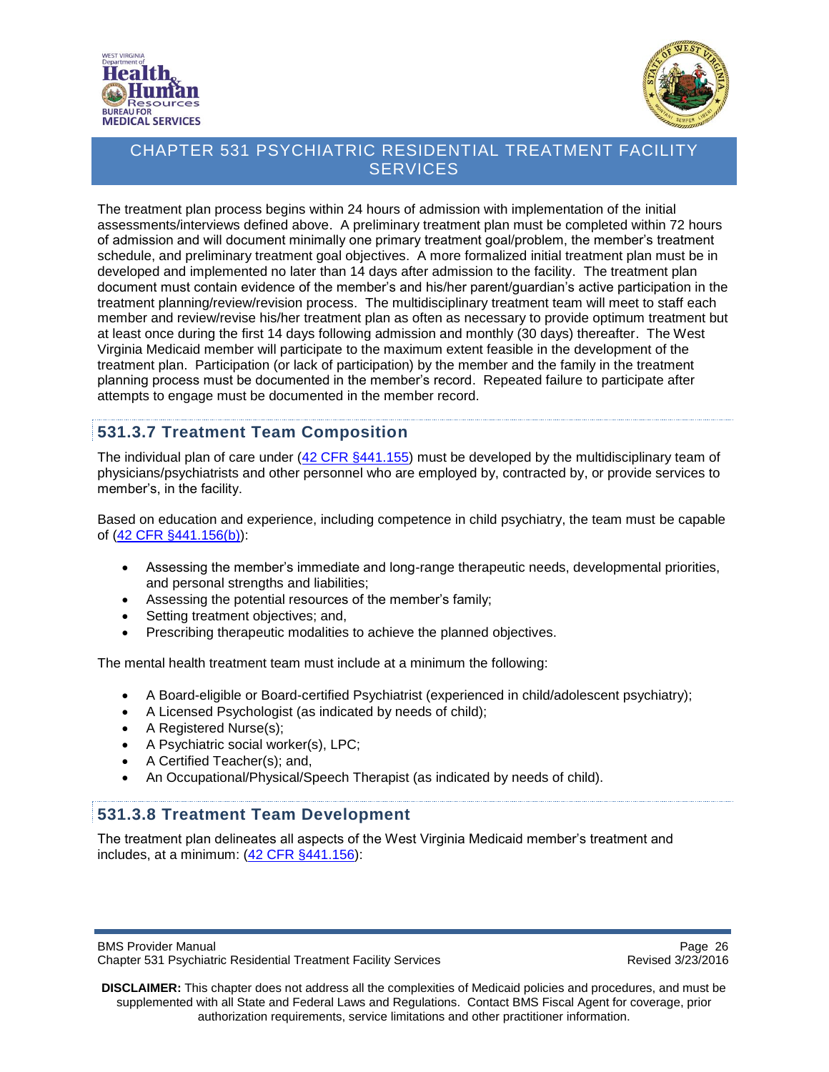



The treatment plan process begins within 24 hours of admission with implementation of the initial assessments/interviews defined above. A preliminary treatment plan must be completed within 72 hours of admission and will document minimally one primary treatment goal/problem, the member's treatment schedule, and preliminary treatment goal objectives. A more formalized initial treatment plan must be in developed and implemented no later than 14 days after admission to the facility. The treatment plan document must contain evidence of the member's and his/her parent/guardian's active participation in the treatment planning/review/revision process. The multidisciplinary treatment team will meet to staff each member and review/revise his/her treatment plan as often as necessary to provide optimum treatment but at least once during the first 14 days following admission and monthly (30 days) thereafter. The West Virginia Medicaid member will participate to the maximum extent feasible in the development of the treatment plan. Participation (or lack of participation) by the member and the family in the treatment planning process must be documented in the member's record. Repeated failure to participate after attempts to engage must be documented in the member record.

### <span id="page-25-0"></span>**531.3.7 Treatment Team Composition**

The individual plan of care under [\(42 CFR §441.155\)](http://www.ecfr.gov/cgi-bin/text-idx?SID=8fe5c82cfb27f48851974da9e665f9fe&node=se42.4.441_1155&rgn=div8) must be developed by the multidisciplinary team of physicians/psychiatrists and other personnel who are employed by, contracted by, or provide services to member's, in the facility.

Based on education and experience, including competence in child psychiatry, the team must be capable of [\(42 CFR §441.156\(b\)\)](http://www.ecfr.gov/cgi-bin/text-idx?SID=8fe5c82cfb27f48851974da9e665f9fe&node=se42.4.441_1156&rgn=div8):

- Assessing the member's immediate and long-range therapeutic needs, developmental priorities, and personal strengths and liabilities;
- Assessing the potential resources of the member's family;
- Setting treatment objectives; and,
- Prescribing therapeutic modalities to achieve the planned objectives.

The mental health treatment team must include at a minimum the following:

- A Board-eligible or Board-certified Psychiatrist (experienced in child/adolescent psychiatry);
- A Licensed Psychologist (as indicated by needs of child);
- A Registered Nurse(s);
- A Psychiatric social worker(s), LPC;
- A Certified Teacher(s); and,
- An Occupational/Physical/Speech Therapist (as indicated by needs of child).

#### <span id="page-25-1"></span>**531.3.8 Treatment Team Development**

The treatment plan delineates all aspects of the West Virginia Medicaid member's treatment and includes, at a minimum:  $(42$  CFR  $§441.156$ ):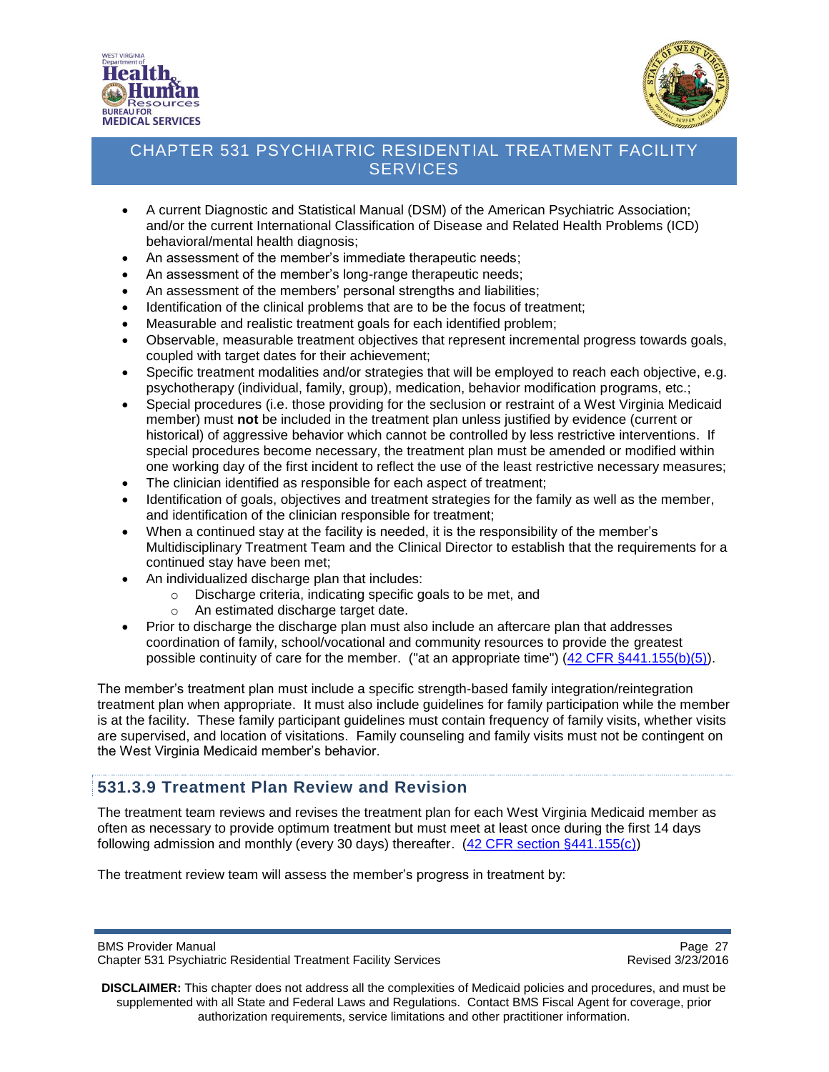



- A current Diagnostic and Statistical Manual (DSM) of the American Psychiatric Association; and/or the current International Classification of Disease and Related Health Problems (ICD) behavioral/mental health diagnosis;
- An assessment of the member's immediate therapeutic needs;
- An assessment of the member's long-range therapeutic needs;
- An assessment of the members' personal strengths and liabilities;
- Identification of the clinical problems that are to be the focus of treatment;
- Measurable and realistic treatment goals for each identified problem;
- Observable, measurable treatment objectives that represent incremental progress towards goals, coupled with target dates for their achievement;
- Specific treatment modalities and/or strategies that will be employed to reach each objective, e.g. psychotherapy (individual, family, group), medication, behavior modification programs, etc.;
- Special procedures (i.e. those providing for the seclusion or restraint of a West Virginia Medicaid member) must **not** be included in the treatment plan unless justified by evidence (current or historical) of aggressive behavior which cannot be controlled by less restrictive interventions. If special procedures become necessary, the treatment plan must be amended or modified within one working day of the first incident to reflect the use of the least restrictive necessary measures;
- The clinician identified as responsible for each aspect of treatment;
- Identification of goals, objectives and treatment strategies for the family as well as the member, and identification of the clinician responsible for treatment;
- When a continued stay at the facility is needed, it is the responsibility of the member's Multidisciplinary Treatment Team and the Clinical Director to establish that the requirements for a continued stay have been met;
- An individualized discharge plan that includes:
	- o Discharge criteria, indicating specific goals to be met, and
	- o An estimated discharge target date.
- Prior to discharge the discharge plan must also include an aftercare plan that addresses coordination of family, school/vocational and community resources to provide the greatest possible continuity of care for the member. ("at an appropriate time")  $(42 \text{ CFR } \frac{5441.155(b)(5))}{6})$ .

The member's treatment plan must include a specific strength-based family integration/reintegration treatment plan when appropriate. It must also include guidelines for family participation while the member is at the facility. These family participant guidelines must contain frequency of family visits, whether visits are supervised, and location of visitations. Family counseling and family visits must not be contingent on the West Virginia Medicaid member's behavior.

#### <span id="page-26-0"></span>**531.3.9 Treatment Plan Review and Revision**

The treatment team reviews and revises the treatment plan for each West Virginia Medicaid member as often as necessary to provide optimum treatment but must meet at least once during the first 14 days following admission and monthly (every 30 days) thereafter. [\(42 CFR section §441.155\(c\)\)](http://www.ecfr.gov/cgi-bin/text-idx?SID=8fe5c82cfb27f48851974da9e665f9fe&node=se42.4.441_1155&rgn=div8)

The treatment review team will assess the member's progress in treatment by:

BMS Provider Manual Page 27<br>Chapter 531 Psychiatric Residential Treatment Facility Services Chapter 1999 Revised 3/23/2016 Chapter 531 Psychiatric Residential Treatment Facility Services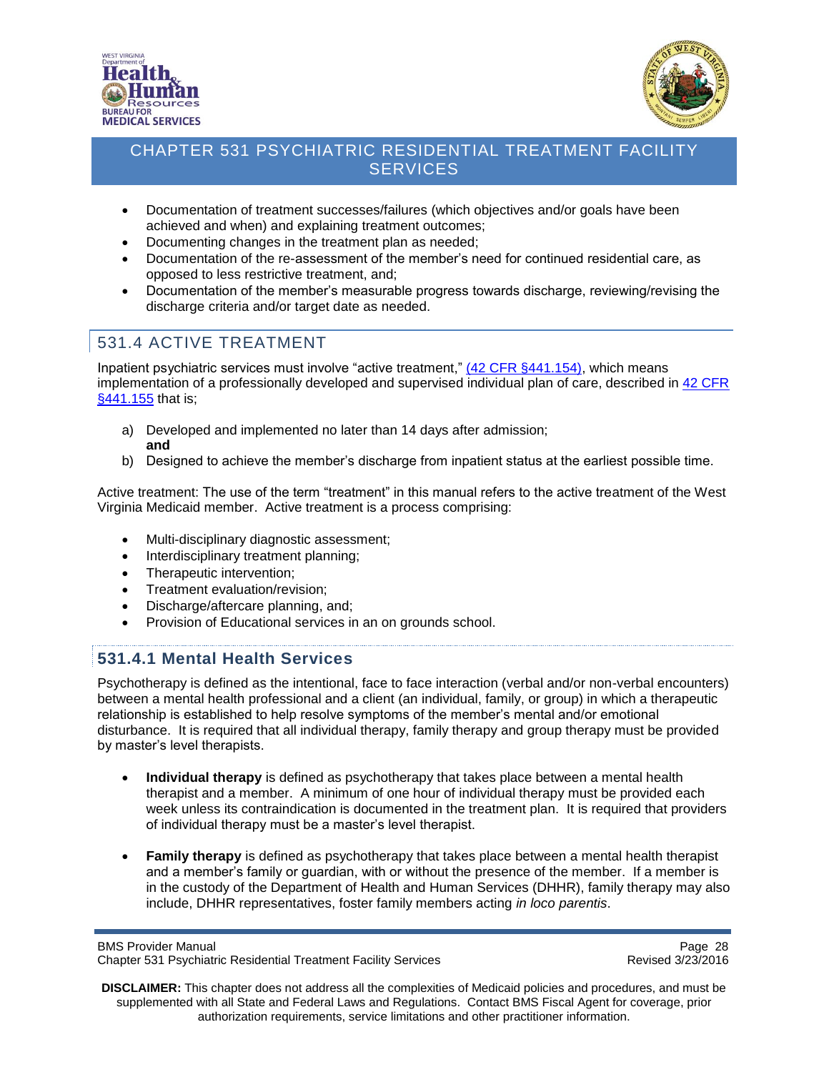



- Documentation of treatment successes/failures (which objectives and/or goals have been achieved and when) and explaining treatment outcomes;
- Documenting changes in the treatment plan as needed;
- Documentation of the re-assessment of the member's need for continued residential care, as opposed to less restrictive treatment, and;
- Documentation of the member's measurable progress towards discharge, reviewing/revising the discharge criteria and/or target date as needed.

## <span id="page-27-0"></span>531.4 ACTIVE TREATMENT

Inpatient psychiatric services must involve "active treatment," [\(42 CFR §441.154\),](http://www.ecfr.gov/cgi-bin/text-idx?SID=8fe5c82cfb27f48851974da9e665f9fe&node=se42.4.441_1154&rgn=div8) which means implementation of a professionally developed and supervised individual plan of care, described in [42 CFR](http://www.ecfr.gov/cgi-bin/text-idx?SID=8fe5c82cfb27f48851974da9e665f9fe&node=se42.4.441_1155&rgn=div8http://www.ecfr.gov/cgi-bin/text-idx?SID=8fe5c82cfb27f48851974da9e665f9fe&node=se42.4.441_1155&rgn=div8)  [§441.155](http://www.ecfr.gov/cgi-bin/text-idx?SID=8fe5c82cfb27f48851974da9e665f9fe&node=se42.4.441_1155&rgn=div8http://www.ecfr.gov/cgi-bin/text-idx?SID=8fe5c82cfb27f48851974da9e665f9fe&node=se42.4.441_1155&rgn=div8) that is;

- a) Developed and implemented no later than 14 days after admission; **and**
- b) Designed to achieve the member's discharge from inpatient status at the earliest possible time.

Active treatment: The use of the term "treatment" in this manual refers to the active treatment of the West Virginia Medicaid member. Active treatment is a process comprising:

- Multi-disciplinary diagnostic assessment;
- Interdisciplinary treatment planning;
- Therapeutic intervention;
- Treatment evaluation/revision;
- Discharge/aftercare planning, and;
- Provision of Educational services in an on grounds school.

#### <span id="page-27-1"></span>**531.4.1 Mental Health Services**

Psychotherapy is defined as the intentional, face to face interaction (verbal and/or non-verbal encounters) between a mental health professional and a client (an individual, family, or group) in which a therapeutic relationship is established to help resolve symptoms of the member's mental and/or emotional disturbance. It is required that all individual therapy, family therapy and group therapy must be provided by master's level therapists.

- **Individual therapy** is defined as psychotherapy that takes place between a mental health therapist and a member. A minimum of one hour of individual therapy must be provided each week unless its contraindication is documented in the treatment plan. It is required that providers of individual therapy must be a master's level therapist.
- **Family therapy** is defined as psychotherapy that takes place between a mental health therapist and a member's family or guardian, with or without the presence of the member. If a member is in the custody of the Department of Health and Human Services (DHHR), family therapy may also include, DHHR representatives, foster family members acting *in loco parentis*.

BMS Provider Manual Page 28<br>Chapter 531 Psychiatric Residential Treatment Facility Services Chapter 531 Psychiatric Residential Treatment Facility Services Chapter 531 Psychiatric Residential Treatment Facility Services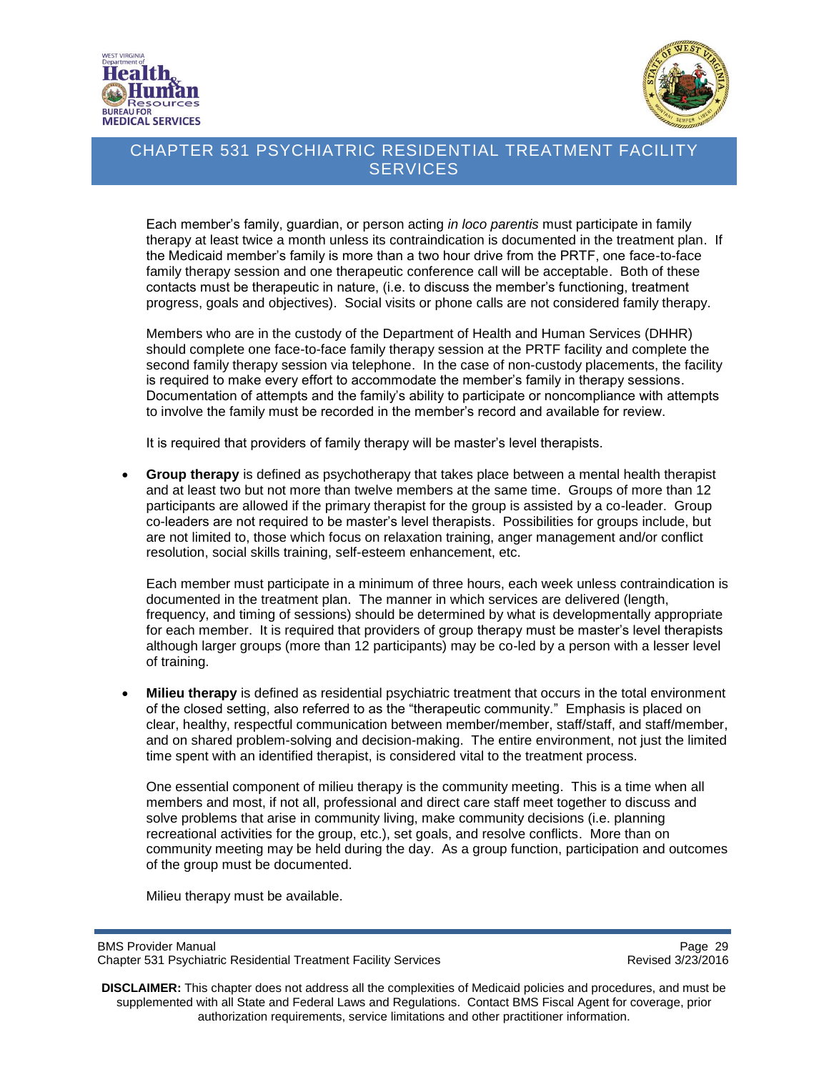



Each member's family, guardian, or person acting *in loco parentis* must participate in family therapy at least twice a month unless its contraindication is documented in the treatment plan. If the Medicaid member's family is more than a two hour drive from the PRTF, one face-to-face family therapy session and one therapeutic conference call will be acceptable. Both of these contacts must be therapeutic in nature, (i.e. to discuss the member's functioning, treatment progress, goals and objectives). Social visits or phone calls are not considered family therapy.

Members who are in the custody of the Department of Health and Human Services (DHHR) should complete one face-to-face family therapy session at the PRTF facility and complete the second family therapy session via telephone. In the case of non-custody placements, the facility is required to make every effort to accommodate the member's family in therapy sessions. Documentation of attempts and the family's ability to participate or noncompliance with attempts to involve the family must be recorded in the member's record and available for review.

It is required that providers of family therapy will be master's level therapists.

 **Group therapy** is defined as psychotherapy that takes place between a mental health therapist and at least two but not more than twelve members at the same time. Groups of more than 12 participants are allowed if the primary therapist for the group is assisted by a co-leader. Group co-leaders are not required to be master's level therapists. Possibilities for groups include, but are not limited to, those which focus on relaxation training, anger management and/or conflict resolution, social skills training, self-esteem enhancement, etc.

Each member must participate in a minimum of three hours, each week unless contraindication is documented in the treatment plan. The manner in which services are delivered (length, frequency, and timing of sessions) should be determined by what is developmentally appropriate for each member. It is required that providers of group therapy must be master's level therapists although larger groups (more than 12 participants) may be co-led by a person with a lesser level of training.

 **Milieu therapy** is defined as residential psychiatric treatment that occurs in the total environment of the closed setting, also referred to as the "therapeutic community." Emphasis is placed on clear, healthy, respectful communication between member/member, staff/staff, and staff/member, and on shared problem-solving and decision-making. The entire environment, not just the limited time spent with an identified therapist, is considered vital to the treatment process.

One essential component of milieu therapy is the community meeting. This is a time when all members and most, if not all, professional and direct care staff meet together to discuss and solve problems that arise in community living, make community decisions (i.e. planning recreational activities for the group, etc.), set goals, and resolve conflicts. More than on community meeting may be held during the day. As a group function, participation and outcomes of the group must be documented.

Milieu therapy must be available.

BMS Provider Manual Page 29<br>Chapter 531 Psychiatric Residential Treatment Facility Services Chapter 531 Psychiatric Residential Treatment Facility Services Chapter 531 Psychiatric Residential Treatment Facility Services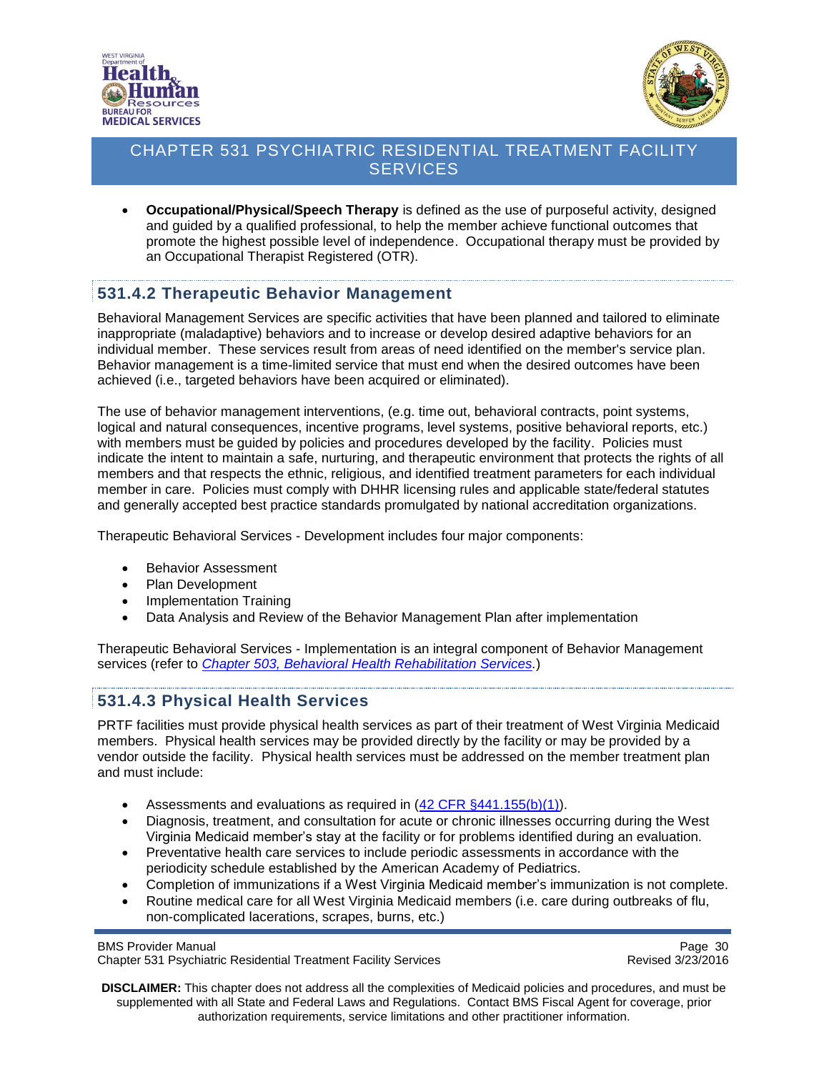



 **Occupational/Physical/Speech Therapy** is defined as the use of purposeful activity, designed and guided by a qualified professional, to help the member achieve functional outcomes that promote the highest possible level of independence. Occupational therapy must be provided by an Occupational Therapist Registered (OTR).

### <span id="page-29-0"></span>**531.4.2 Therapeutic Behavior Management**

Behavioral Management Services are specific activities that have been planned and tailored to eliminate inappropriate (maladaptive) behaviors and to increase or develop desired adaptive behaviors for an individual member. These services result from areas of need identified on the member's service plan. Behavior management is a time-limited service that must end when the desired outcomes have been achieved (i.e., targeted behaviors have been acquired or eliminated).

The use of behavior management interventions, (e.g. time out, behavioral contracts, point systems, logical and natural consequences, incentive programs, level systems, positive behavioral reports, etc.) with members must be guided by policies and procedures developed by the facility. Policies must indicate the intent to maintain a safe, nurturing, and therapeutic environment that protects the rights of all members and that respects the ethnic, religious, and identified treatment parameters for each individual member in care. Policies must comply with DHHR licensing rules and applicable state/federal statutes and generally accepted best practice standards promulgated by national accreditation organizations.

Therapeutic Behavioral Services - Development includes four major components:

- Behavior Assessment
- Plan Development
- Implementation Training
- Data Analysis and Review of the Behavior Management Plan after implementation

Therapeutic Behavioral Services - Implementation is an integral component of Behavior Management services (refer to *[Chapter 503, Behavioral Health Rehabilitation Services.](http://www.dhhr.wv.gov/bms/Pages/Manuals.aspx)*)

#### <span id="page-29-1"></span>**531.4.3 Physical Health Services**

PRTF facilities must provide physical health services as part of their treatment of West Virginia Medicaid members. Physical health services may be provided directly by the facility or may be provided by a vendor outside the facility. Physical health services must be addressed on the member treatment plan and must include:

- Assessments and evaluations as required in  $(42 \text{ CFR } \frac{6441.155(b)(1)}{1}).$
- Diagnosis, treatment, and consultation for acute or chronic illnesses occurring during the West Virginia Medicaid member's stay at the facility or for problems identified during an evaluation.
- Preventative health care services to include periodic assessments in accordance with the periodicity schedule established by the American Academy of Pediatrics.
- Completion of immunizations if a West Virginia Medicaid member's immunization is not complete.
- Routine medical care for all West Virginia Medicaid members (i.e. care during outbreaks of flu, non-complicated lacerations, scrapes, burns, etc.)

BMS Provider Manual Page 30<br>Chapter 531 Psychiatric Residential Treatment Facility Services Chapter 531 Psychiatric Residential Treatment Facility Services Chapter 531 Psychiatric Residential Treatment Facility Services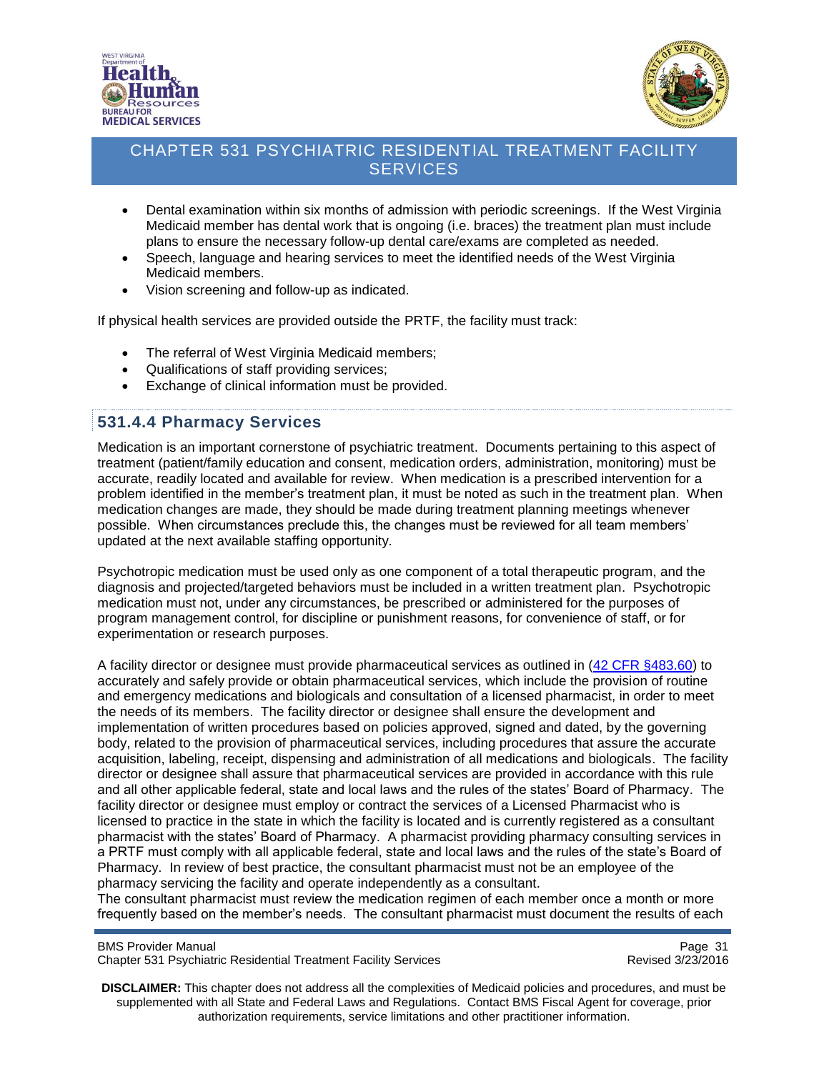



- Dental examination within six months of admission with periodic screenings. If the West Virginia Medicaid member has dental work that is ongoing (i.e. braces) the treatment plan must include plans to ensure the necessary follow-up dental care/exams are completed as needed.
- Speech, language and hearing services to meet the identified needs of the West Virginia Medicaid members.
- Vision screening and follow-up as indicated.

If physical health services are provided outside the PRTF, the facility must track:

- The referral of West Virginia Medicaid members;
- Qualifications of staff providing services;
- Exchange of clinical information must be provided.

### <span id="page-30-0"></span>**531.4.4 Pharmacy Services**

Medication is an important cornerstone of psychiatric treatment. Documents pertaining to this aspect of treatment (patient/family education and consent, medication orders, administration, monitoring) must be accurate, readily located and available for review. When medication is a prescribed intervention for a problem identified in the member's treatment plan, it must be noted as such in the treatment plan. When medication changes are made, they should be made during treatment planning meetings whenever possible. When circumstances preclude this, the changes must be reviewed for all team members' updated at the next available staffing opportunity.

Psychotropic medication must be used only as one component of a total therapeutic program, and the diagnosis and projected/targeted behaviors must be included in a written treatment plan. Psychotropic medication must not, under any circumstances, be prescribed or administered for the purposes of program management control, for discipline or punishment reasons, for convenience of staff, or for experimentation or research purposes.

A facility director or designee must provide pharmaceutical services as outlined in [\(42 CFR §483.60\)](http://www.gpo.gov/fdsys/pkg/CFR-2011-title42-vol5/pdf/CFR-2011-title42-vol5-part483.pdf) to accurately and safely provide or obtain pharmaceutical services, which include the provision of routine and emergency medications and biologicals and consultation of a licensed pharmacist, in order to meet the needs of its members. The facility director or designee shall ensure the development and implementation of written procedures based on policies approved, signed and dated, by the governing body, related to the provision of pharmaceutical services, including procedures that assure the accurate acquisition, labeling, receipt, dispensing and administration of all medications and biologicals. The facility director or designee shall assure that pharmaceutical services are provided in accordance with this rule and all other applicable federal, state and local laws and the rules of the states' Board of Pharmacy. The facility director or designee must employ or contract the services of a Licensed Pharmacist who is licensed to practice in the state in which the facility is located and is currently registered as a consultant pharmacist with the states' Board of Pharmacy. A pharmacist providing pharmacy consulting services in a PRTF must comply with all applicable federal, state and local laws and the rules of the state's Board of Pharmacy. In review of best practice, the consultant pharmacist must not be an employee of the pharmacy servicing the facility and operate independently as a consultant.

The consultant pharmacist must review the medication regimen of each member once a month or more frequently based on the member's needs. The consultant pharmacist must document the results of each

BMS Provider Manual Page 31<br>Chapter 531 Psychiatric Residential Treatment Facility Services Chapter 531 Psychiatric Residential Treatment Facility Services Chapter 531 Psychiatric Residential Treatment Facility Services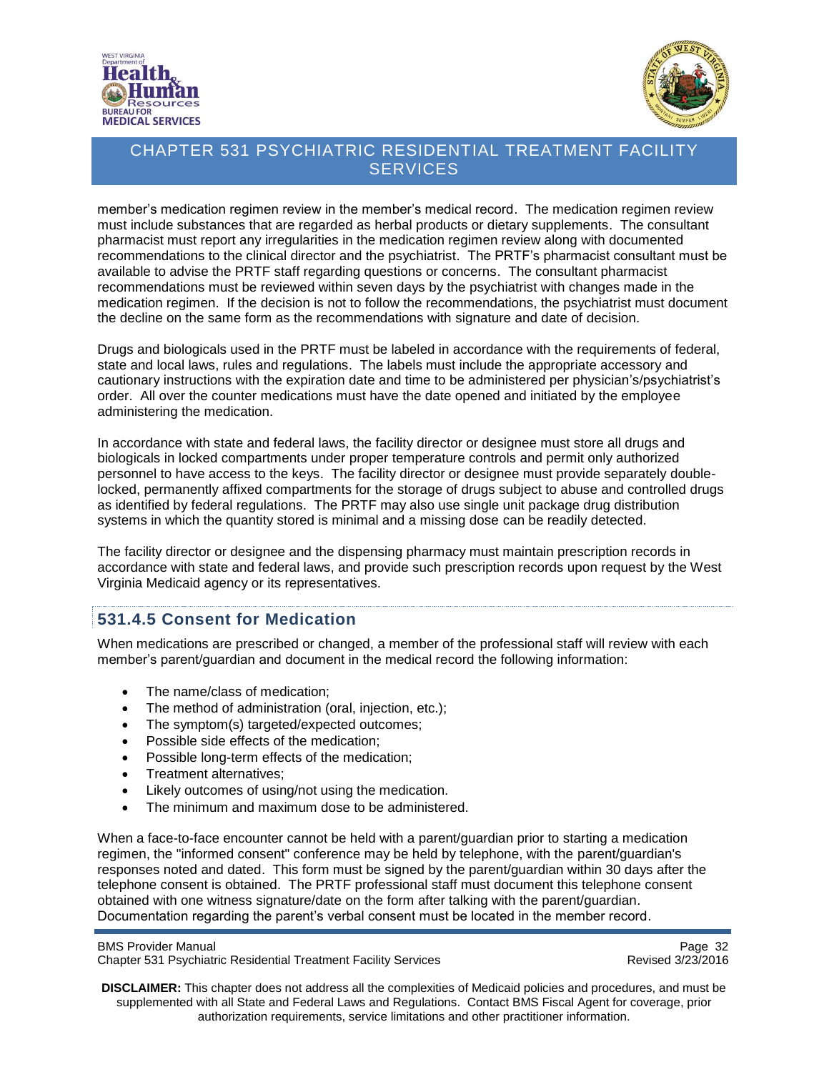



member's medication regimen review in the member's medical record. The medication regimen review must include substances that are regarded as herbal products or dietary supplements. The consultant pharmacist must report any irregularities in the medication regimen review along with documented recommendations to the clinical director and the psychiatrist. The PRTF's pharmacist consultant must be available to advise the PRTF staff regarding questions or concerns. The consultant pharmacist recommendations must be reviewed within seven days by the psychiatrist with changes made in the medication regimen. If the decision is not to follow the recommendations, the psychiatrist must document the decline on the same form as the recommendations with signature and date of decision.

Drugs and biologicals used in the PRTF must be labeled in accordance with the requirements of federal, state and local laws, rules and regulations. The labels must include the appropriate accessory and cautionary instructions with the expiration date and time to be administered per physician's/psychiatrist's order. All over the counter medications must have the date opened and initiated by the employee administering the medication.

In accordance with state and federal laws, the facility director or designee must store all drugs and biologicals in locked compartments under proper temperature controls and permit only authorized personnel to have access to the keys. The facility director or designee must provide separately doublelocked, permanently affixed compartments for the storage of drugs subject to abuse and controlled drugs as identified by federal regulations. The PRTF may also use single unit package drug distribution systems in which the quantity stored is minimal and a missing dose can be readily detected.

The facility director or designee and the dispensing pharmacy must maintain prescription records in accordance with state and federal laws, and provide such prescription records upon request by the West Virginia Medicaid agency or its representatives.

#### <span id="page-31-0"></span>**531.4.5 Consent for Medication**

When medications are prescribed or changed, a member of the professional staff will review with each member's parent/guardian and document in the medical record the following information:

- The name/class of medication:
- The method of administration (oral, injection, etc.);
- The symptom(s) targeted/expected outcomes;
- Possible side effects of the medication;
- Possible long-term effects of the medication;
- Treatment alternatives;
- Likely outcomes of using/not using the medication.
- The minimum and maximum dose to be administered.

When a face-to-face encounter cannot be held with a parent/guardian prior to starting a medication regimen, the "informed consent" conference may be held by telephone, with the parent/guardian's responses noted and dated. This form must be signed by the parent/guardian within 30 days after the telephone consent is obtained. The PRTF professional staff must document this telephone consent obtained with one witness signature/date on the form after talking with the parent/guardian. Documentation regarding the parent's verbal consent must be located in the member record.

BMS Provider Manual Page 32<br>Chapter 531 Psychiatric Residential Treatment Facility Services Chapter 531 Psychiatric Residential Treatment Facility Services Chapter 531 Psychiatric Residential Treatment Facility Services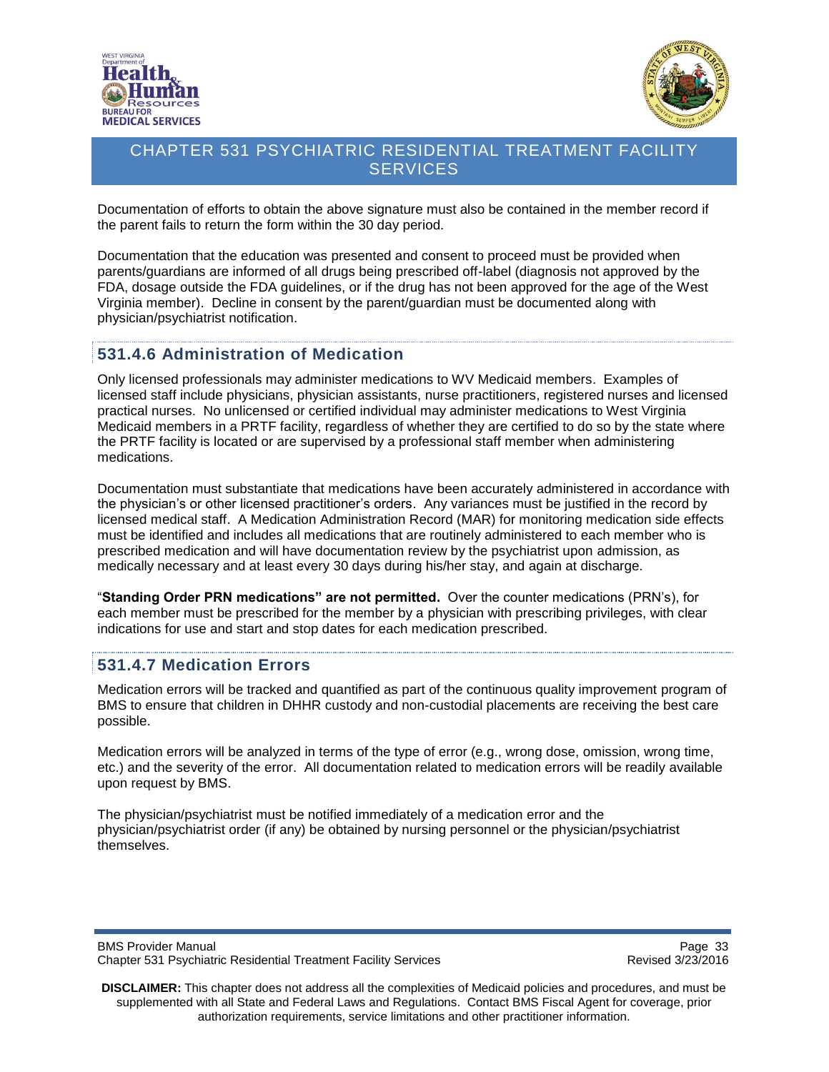



Documentation of efforts to obtain the above signature must also be contained in the member record if the parent fails to return the form within the 30 day period.

Documentation that the education was presented and consent to proceed must be provided when parents/guardians are informed of all drugs being prescribed off-label (diagnosis not approved by the FDA, dosage outside the FDA guidelines, or if the drug has not been approved for the age of the West Virginia member). Decline in consent by the parent/guardian must be documented along with physician/psychiatrist notification.

#### <span id="page-32-0"></span>**531.4.6 Administration of Medication**

Only licensed professionals may administer medications to WV Medicaid members. Examples of licensed staff include physicians, physician assistants, nurse practitioners, registered nurses and licensed practical nurses. No unlicensed or certified individual may administer medications to West Virginia Medicaid members in a PRTF facility, regardless of whether they are certified to do so by the state where the PRTF facility is located or are supervised by a professional staff member when administering medications.

Documentation must substantiate that medications have been accurately administered in accordance with the physician's or other licensed practitioner's orders. Any variances must be justified in the record by licensed medical staff. A Medication Administration Record (MAR) for monitoring medication side effects must be identified and includes all medications that are routinely administered to each member who is prescribed medication and will have documentation review by the psychiatrist upon admission, as medically necessary and at least every 30 days during his/her stay, and again at discharge.

"**Standing Order PRN medications" are not permitted.** Over the counter medications (PRN's), for each member must be prescribed for the member by a physician with prescribing privileges, with clear indications for use and start and stop dates for each medication prescribed.

### <span id="page-32-1"></span>**531.4.7 Medication Errors**

Medication errors will be tracked and quantified as part of the continuous quality improvement program of BMS to ensure that children in DHHR custody and non-custodial placements are receiving the best care possible.

Medication errors will be analyzed in terms of the type of error (e.g., wrong dose, omission, wrong time, etc.) and the severity of the error. All documentation related to medication errors will be readily available upon request by BMS.

The physician/psychiatrist must be notified immediately of a medication error and the physician/psychiatrist order (if any) be obtained by nursing personnel or the physician/psychiatrist themselves.

BMS Provider Manual Page 33<br>Chapter 531 Psychiatric Residential Treatment Facility Services Chapter 531 Psychiatric Residential Treatment Facility Services Chapter 531 Psychiatric Residential Treatment Facility Services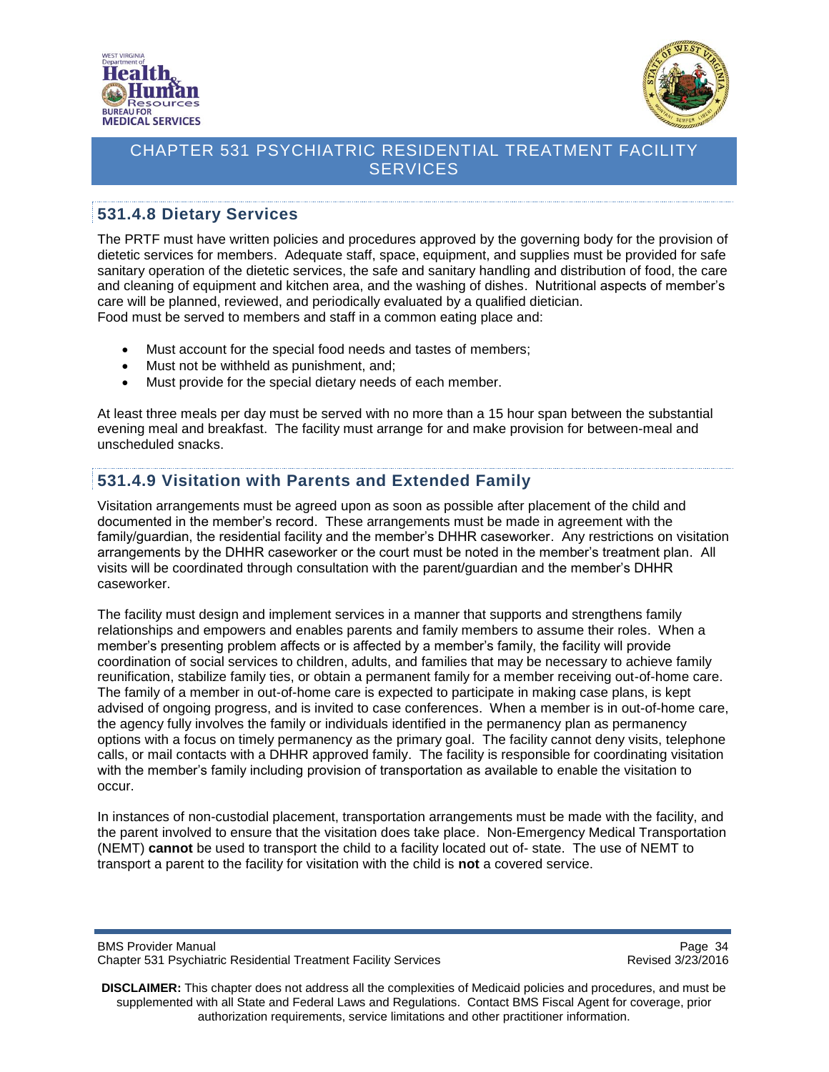



## <span id="page-33-0"></span>**531.4.8 Dietary Services**

The PRTF must have written policies and procedures approved by the governing body for the provision of dietetic services for members. Adequate staff, space, equipment, and supplies must be provided for safe sanitary operation of the dietetic services, the safe and sanitary handling and distribution of food, the care and cleaning of equipment and kitchen area, and the washing of dishes. Nutritional aspects of member's care will be planned, reviewed, and periodically evaluated by a qualified dietician. Food must be served to members and staff in a common eating place and:

- Must account for the special food needs and tastes of members;
- Must not be withheld as punishment, and;
- Must provide for the special dietary needs of each member.

At least three meals per day must be served with no more than a 15 hour span between the substantial evening meal and breakfast. The facility must arrange for and make provision for between-meal and unscheduled snacks.

# <span id="page-33-1"></span>**531.4.9 Visitation with Parents and Extended Family**

Visitation arrangements must be agreed upon as soon as possible after placement of the child and documented in the member's record. These arrangements must be made in agreement with the family/guardian, the residential facility and the member's DHHR caseworker. Any restrictions on visitation arrangements by the DHHR caseworker or the court must be noted in the member's treatment plan. All visits will be coordinated through consultation with the parent/guardian and the member's DHHR caseworker.

The facility must design and implement services in a manner that supports and strengthens family relationships and empowers and enables parents and family members to assume their roles. When a member's presenting problem affects or is affected by a member's family, the facility will provide coordination of social services to children, adults, and families that may be necessary to achieve family reunification, stabilize family ties, or obtain a permanent family for a member receiving out-of-home care. The family of a member in out-of-home care is expected to participate in making case plans, is kept advised of ongoing progress, and is invited to case conferences. When a member is in out-of-home care, the agency fully involves the family or individuals identified in the permanency plan as permanency options with a focus on timely permanency as the primary goal. The facility cannot deny visits, telephone calls, or mail contacts with a DHHR approved family. The facility is responsible for coordinating visitation with the member's family including provision of transportation as available to enable the visitation to occur.

In instances of non-custodial placement, transportation arrangements must be made with the facility, and the parent involved to ensure that the visitation does take place. Non-Emergency Medical Transportation (NEMT) **cannot** be used to transport the child to a facility located out of- state. The use of NEMT to transport a parent to the facility for visitation with the child is **not** a covered service.

BMS Provider Manual Page 34<br>Chapter 531 Psychiatric Residential Treatment Facility Services Chapter 531 Psychiatric Residential Treatment Facility Services Chapter 531 Psychiatric Residential Treatment Facility Services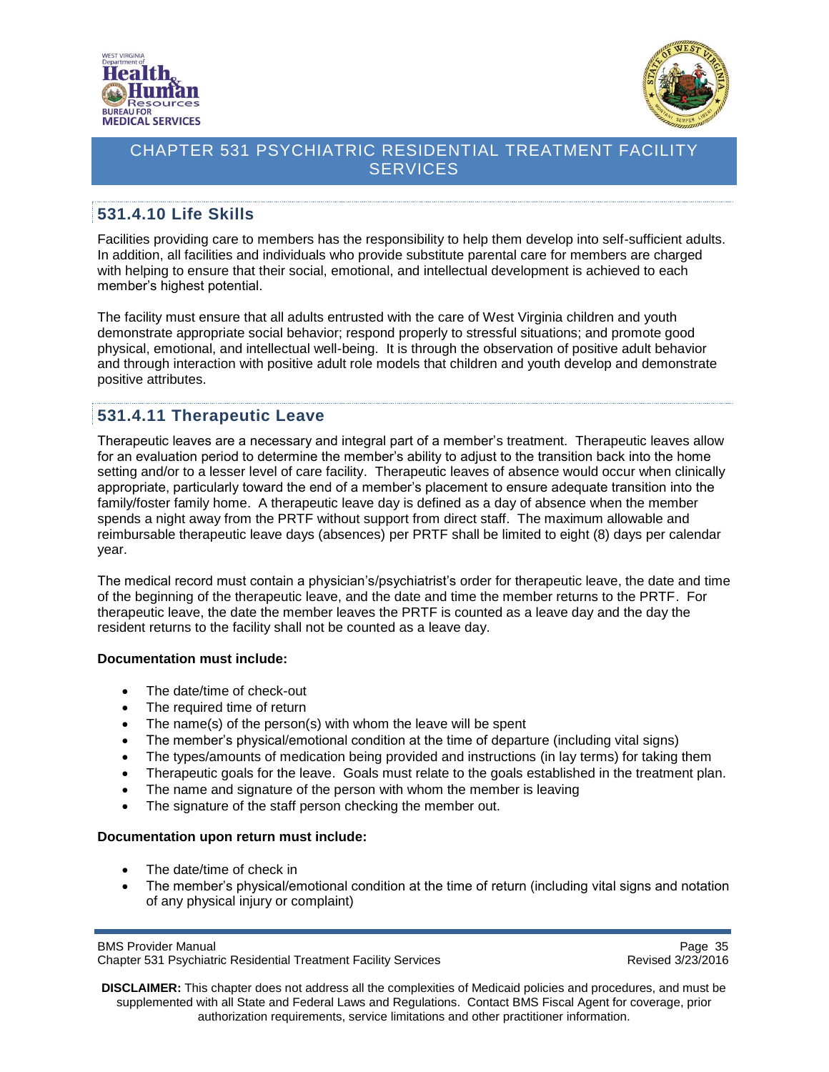



## <span id="page-34-0"></span>**531.4.10 Life Skills**

Facilities providing care to members has the responsibility to help them develop into self-sufficient adults. In addition, all facilities and individuals who provide substitute parental care for members are charged with helping to ensure that their social, emotional, and intellectual development is achieved to each member's highest potential.

The facility must ensure that all adults entrusted with the care of West Virginia children and youth demonstrate appropriate social behavior; respond properly to stressful situations; and promote good physical, emotional, and intellectual well-being. It is through the observation of positive adult behavior and through interaction with positive adult role models that children and youth develop and demonstrate positive attributes.

### <span id="page-34-1"></span>**531.4.11 Therapeutic Leave**

Therapeutic leaves are a necessary and integral part of a member's treatment. Therapeutic leaves allow for an evaluation period to determine the member's ability to adjust to the transition back into the home setting and/or to a lesser level of care facility. Therapeutic leaves of absence would occur when clinically appropriate, particularly toward the end of a member's placement to ensure adequate transition into the family/foster family home. A therapeutic leave day is defined as a day of absence when the member spends a night away from the PRTF without support from direct staff. The maximum allowable and reimbursable therapeutic leave days (absences) per PRTF shall be limited to eight (8) days per calendar year.

The medical record must contain a physician's/psychiatrist's order for therapeutic leave, the date and time of the beginning of the therapeutic leave, and the date and time the member returns to the PRTF. For therapeutic leave, the date the member leaves the PRTF is counted as a leave day and the day the resident returns to the facility shall not be counted as a leave day.

#### **Documentation must include:**

- The date/time of check-out
- The required time of return
- The name(s) of the person(s) with whom the leave will be spent
- The member's physical/emotional condition at the time of departure (including vital signs)
- The types/amounts of medication being provided and instructions (in lay terms) for taking them
- Therapeutic goals for the leave. Goals must relate to the goals established in the treatment plan.
- The name and signature of the person with whom the member is leaving
- The signature of the staff person checking the member out.

#### **Documentation upon return must include:**

- The date/time of check in
- The member's physical/emotional condition at the time of return (including vital signs and notation of any physical injury or complaint)

BMS Provider Manual Page 35<br>Chapter 531 Psychiatric Residential Treatment Facility Services Chapter 531 Psychiatric Residential Treatment Facility Services Chapter 531 Psychiatric Residential Treatment Facility Services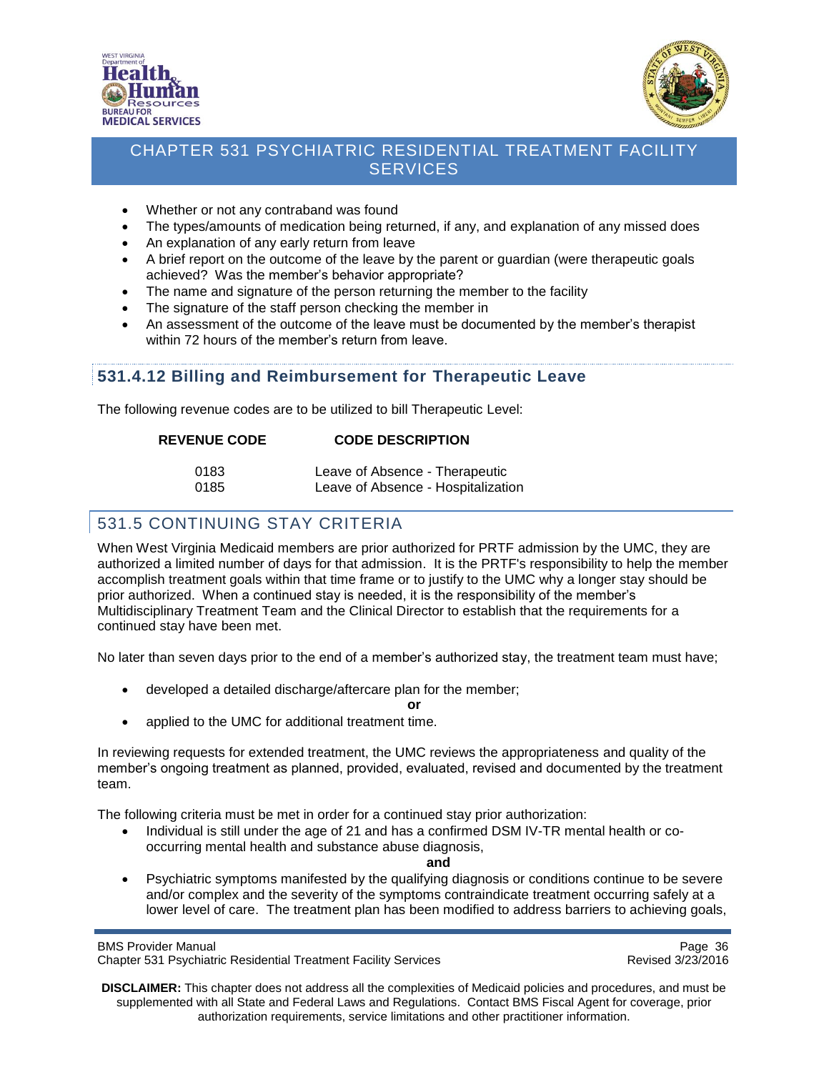



- Whether or not any contraband was found
- The types/amounts of medication being returned, if any, and explanation of any missed does
- An explanation of any early return from leave
- A brief report on the outcome of the leave by the parent or guardian (were therapeutic goals achieved? Was the member's behavior appropriate?
- The name and signature of the person returning the member to the facility
- The signature of the staff person checking the member in
- An assessment of the outcome of the leave must be documented by the member's therapist within 72 hours of the member's return from leave.

#### <span id="page-35-0"></span>**531.4.12 Billing and Reimbursement for Therapeutic Leave**

The following revenue codes are to be utilized to bill Therapeutic Level:

| <b>REVENUE CODE</b> | <b>CODE DESCRIPTION</b> |
|---------------------|-------------------------|
|                     |                         |

| 0183 | Leave of Absence - Therapeutic     |
|------|------------------------------------|
| 0185 | Leave of Absence - Hospitalization |

# <span id="page-35-1"></span>531.5 CONTINUING STAY CRITERIA

When West Virginia Medicaid members are prior authorized for PRTF admission by the UMC, they are authorized a limited number of days for that admission. It is the PRTF's responsibility to help the member accomplish treatment goals within that time frame or to justify to the UMC why a longer stay should be prior authorized. When a continued stay is needed, it is the responsibility of the member's Multidisciplinary Treatment Team and the Clinical Director to establish that the requirements for a continued stay have been met.

No later than seven days prior to the end of a member's authorized stay, the treatment team must have;

developed a detailed discharge/aftercare plan for the member;

**or**

applied to the UMC for additional treatment time.

In reviewing requests for extended treatment, the UMC reviews the appropriateness and quality of the member's ongoing treatment as planned, provided, evaluated, revised and documented by the treatment team.

The following criteria must be met in order for a continued stay prior authorization:

• Individual is still under the age of 21 and has a confirmed DSM IV-TR mental health or cooccurring mental health and substance abuse diagnosis,

**and**

 Psychiatric symptoms manifested by the qualifying diagnosis or conditions continue to be severe and/or complex and the severity of the symptoms contraindicate treatment occurring safely at a lower level of care. The treatment plan has been modified to address barriers to achieving goals,

BMS Provider Manual Page 36<br>Chapter 531 Psychiatric Residential Treatment Facility Services Chapter 531 Psychiatric Residential Treatment Facility Services Chapter 531 Psychiatric Residential Treatment Facility Services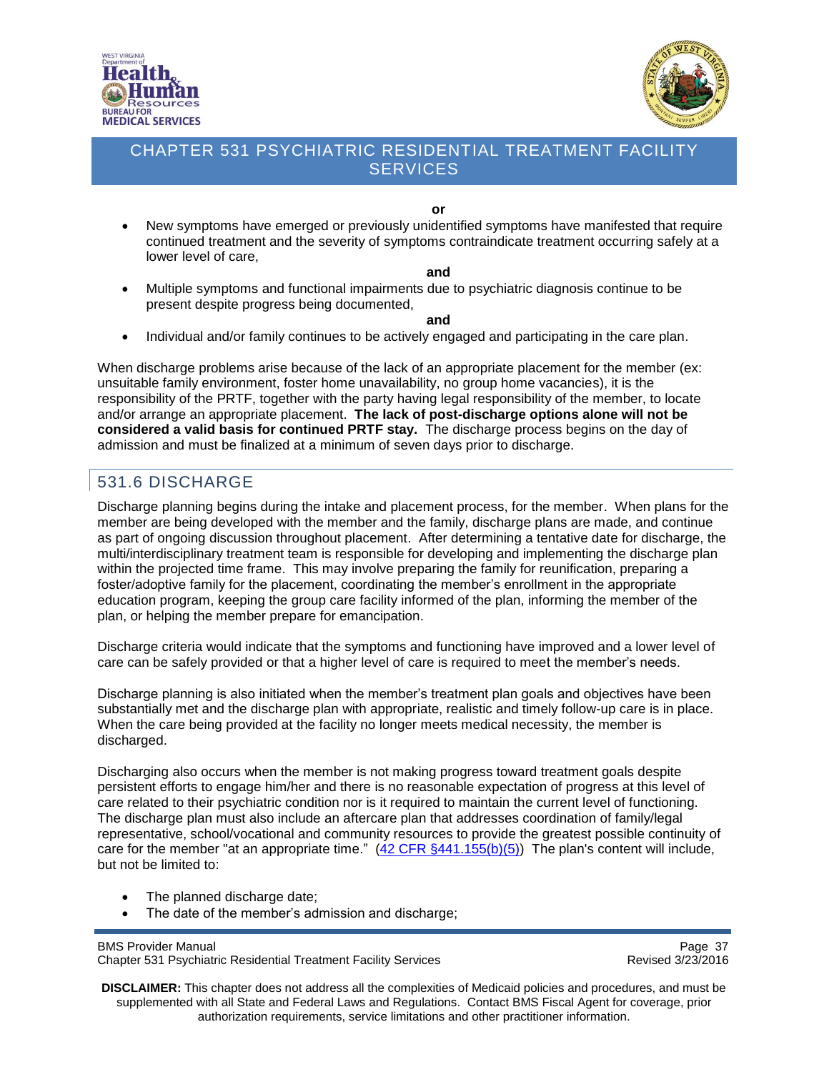



**or**

 New symptoms have emerged or previously unidentified symptoms have manifested that require continued treatment and the severity of symptoms contraindicate treatment occurring safely at a lower level of care,

#### **and**

 Multiple symptoms and functional impairments due to psychiatric diagnosis continue to be present despite progress being documented,

**and**

• Individual and/or family continues to be actively engaged and participating in the care plan.

When discharge problems arise because of the lack of an appropriate placement for the member (ex: unsuitable family environment, foster home unavailability, no group home vacancies), it is the responsibility of the PRTF, together with the party having legal responsibility of the member, to locate and/or arrange an appropriate placement. **The lack of post-discharge options alone will not be considered a valid basis for continued PRTF stay.** The discharge process begins on the day of admission and must be finalized at a minimum of seven days prior to discharge.

## <span id="page-36-0"></span>531.6 DISCHARGE

Discharge planning begins during the intake and placement process, for the member. When plans for the member are being developed with the member and the family, discharge plans are made, and continue as part of ongoing discussion throughout placement. After determining a tentative date for discharge, the multi/interdisciplinary treatment team is responsible for developing and implementing the discharge plan within the projected time frame. This may involve preparing the family for reunification, preparing a foster/adoptive family for the placement, coordinating the member's enrollment in the appropriate education program, keeping the group care facility informed of the plan, informing the member of the plan, or helping the member prepare for emancipation.

Discharge criteria would indicate that the symptoms and functioning have improved and a lower level of care can be safely provided or that a higher level of care is required to meet the member's needs.

Discharge planning is also initiated when the member's treatment plan goals and objectives have been substantially met and the discharge plan with appropriate, realistic and timely follow-up care is in place. When the care being provided at the facility no longer meets medical necessity, the member is discharged.

Discharging also occurs when the member is not making progress toward treatment goals despite persistent efforts to engage him/her and there is no reasonable expectation of progress at this level of care related to their psychiatric condition nor is it required to maintain the current level of functioning. The discharge plan must also include an aftercare plan that addresses coordination of family/legal representative, school/vocational and community resources to provide the greatest possible continuity of care for the member "at an appropriate time."  $(42 \text{ CFR } \frac{6441.155(b)(5)}{2}$  The plan's content will include, but not be limited to:

- The planned discharge date:
- The date of the member's admission and discharge;

BMS Provider Manual Page 37<br>Chapter 531 Psychiatric Residential Treatment Facility Services Chapter 531 Psychiatric Residential Treatment Facility Services Chapter 531 Psychiatric Residential Treatment Facility Services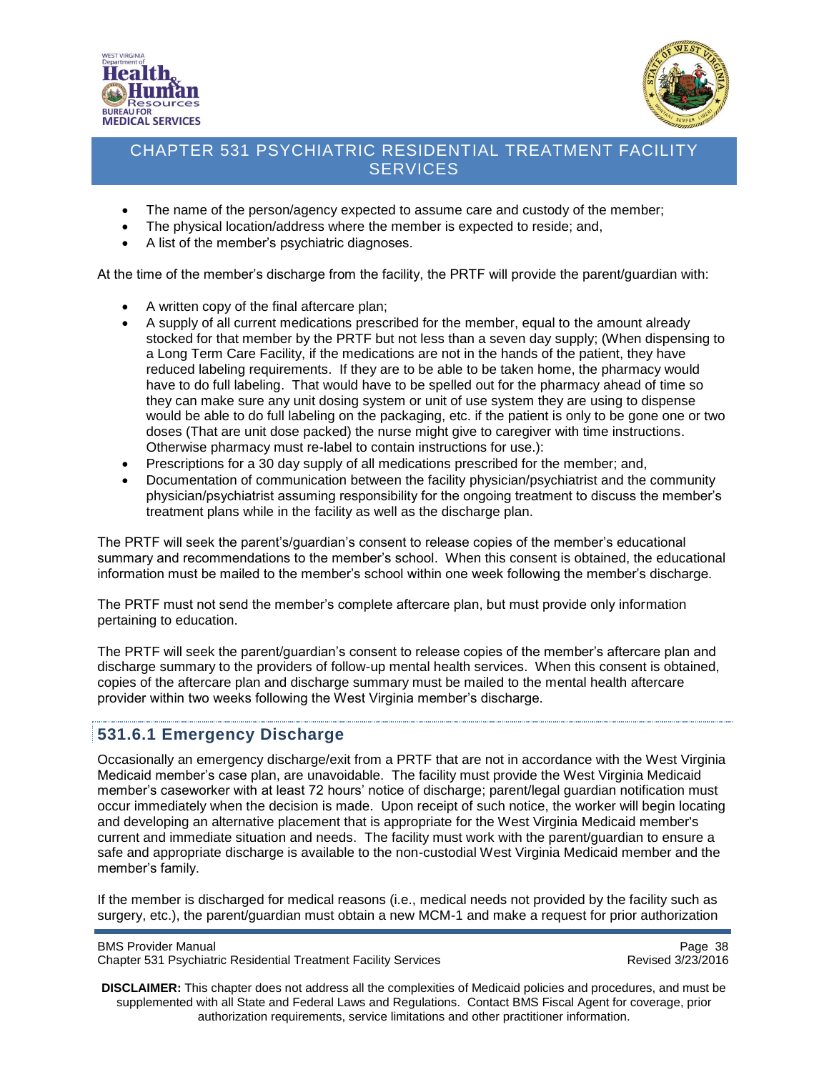



- The name of the person/agency expected to assume care and custody of the member;
- The physical location/address where the member is expected to reside; and,
- A list of the member's psychiatric diagnoses.

At the time of the member's discharge from the facility, the PRTF will provide the parent/guardian with:

- A written copy of the final aftercare plan;
- A supply of all current medications prescribed for the member, equal to the amount already stocked for that member by the PRTF but not less than a seven day supply; (When dispensing to a Long Term Care Facility, if the medications are not in the hands of the patient, they have reduced labeling requirements. If they are to be able to be taken home, the pharmacy would have to do full labeling. That would have to be spelled out for the pharmacy ahead of time so they can make sure any unit dosing system or unit of use system they are using to dispense would be able to do full labeling on the packaging, etc. if the patient is only to be gone one or two doses (That are unit dose packed) the nurse might give to caregiver with time instructions. Otherwise pharmacy must re-label to contain instructions for use.):
- Prescriptions for a 30 day supply of all medications prescribed for the member; and,
- Documentation of communication between the facility physician/psychiatrist and the community physician/psychiatrist assuming responsibility for the ongoing treatment to discuss the member's treatment plans while in the facility as well as the discharge plan.

The PRTF will seek the parent's/guardian's consent to release copies of the member's educational summary and recommendations to the member's school. When this consent is obtained, the educational information must be mailed to the member's school within one week following the member's discharge.

The PRTF must not send the member's complete aftercare plan, but must provide only information pertaining to education.

The PRTF will seek the parent/guardian's consent to release copies of the member's aftercare plan and discharge summary to the providers of follow-up mental health services. When this consent is obtained, copies of the aftercare plan and discharge summary must be mailed to the mental health aftercare provider within two weeks following the West Virginia member's discharge.

#### <span id="page-37-0"></span>**531.6.1 Emergency Discharge**

Occasionally an emergency discharge/exit from a PRTF that are not in accordance with the West Virginia Medicaid member's case plan, are unavoidable. The facility must provide the West Virginia Medicaid member's caseworker with at least 72 hours' notice of discharge; parent/legal guardian notification must occur immediately when the decision is made. Upon receipt of such notice, the worker will begin locating and developing an alternative placement that is appropriate for the West Virginia Medicaid member's current and immediate situation and needs. The facility must work with the parent/guardian to ensure a safe and appropriate discharge is available to the non-custodial West Virginia Medicaid member and the member's family.

If the member is discharged for medical reasons (i.e., medical needs not provided by the facility such as surgery, etc.), the parent/guardian must obtain a new MCM-1 and make a request for prior authorization

BMS Provider Manual Page 38<br>Chapter 531 Psychiatric Residential Treatment Facility Services Chapter 531 Psychiatric Residential Treatment Facility Services Chapter 531 Psychiatric Residential Treatment Facility Services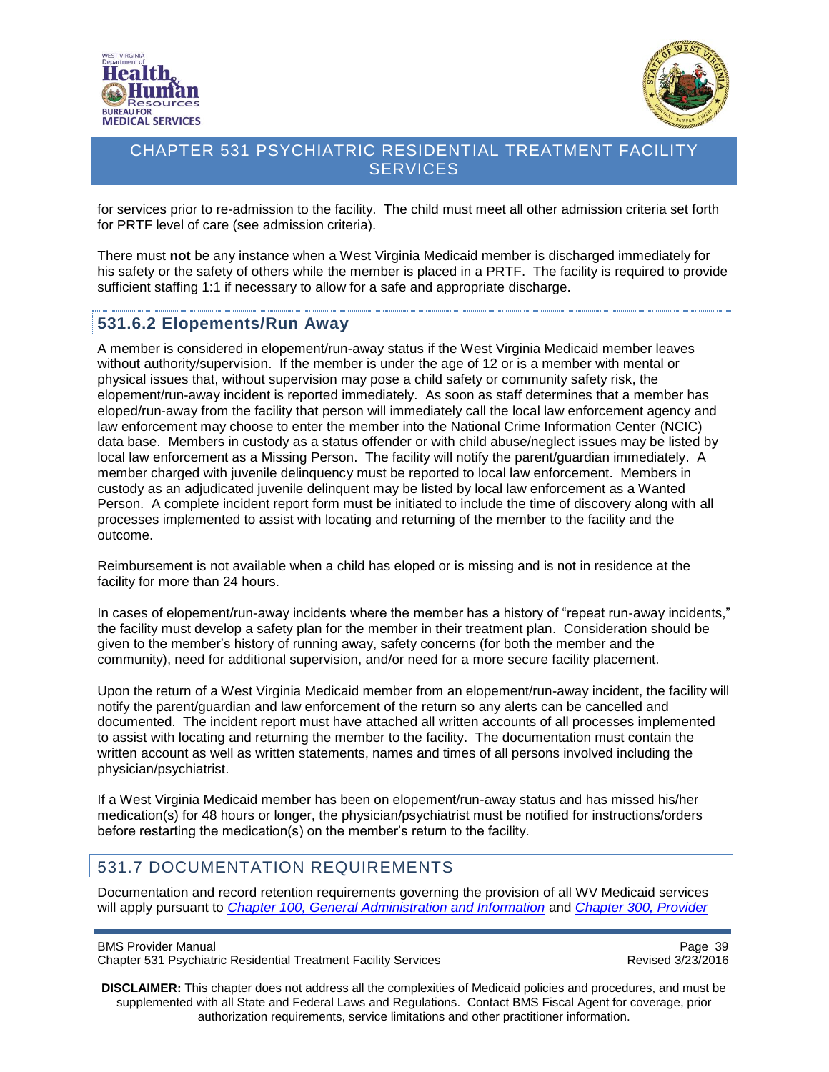



for services prior to re-admission to the facility. The child must meet all other admission criteria set forth for PRTF level of care (see admission criteria).

There must **not** be any instance when a West Virginia Medicaid member is discharged immediately for his safety or the safety of others while the member is placed in a PRTF. The facility is required to provide sufficient staffing 1:1 if necessary to allow for a safe and appropriate discharge.

#### <span id="page-38-0"></span>**531.6.2 Elopements/Run Away**

A member is considered in elopement/run-away status if the West Virginia Medicaid member leaves without authority/supervision. If the member is under the age of 12 or is a member with mental or physical issues that, without supervision may pose a child safety or community safety risk, the elopement/run-away incident is reported immediately. As soon as staff determines that a member has eloped/run-away from the facility that person will immediately call the local law enforcement agency and law enforcement may choose to enter the member into the National Crime Information Center (NCIC) data base. Members in custody as a status offender or with child abuse/neglect issues may be listed by local law enforcement as a Missing Person. The facility will notify the parent/guardian immediately. A member charged with juvenile delinquency must be reported to local law enforcement. Members in custody as an adjudicated juvenile delinquent may be listed by local law enforcement as a Wanted Person. A complete incident report form must be initiated to include the time of discovery along with all processes implemented to assist with locating and returning of the member to the facility and the outcome.

Reimbursement is not available when a child has eloped or is missing and is not in residence at the facility for more than 24 hours.

In cases of elopement/run-away incidents where the member has a history of "repeat run-away incidents," the facility must develop a safety plan for the member in their treatment plan. Consideration should be given to the member's history of running away, safety concerns (for both the member and the community), need for additional supervision, and/or need for a more secure facility placement.

Upon the return of a West Virginia Medicaid member from an elopement/run-away incident, the facility will notify the parent/guardian and law enforcement of the return so any alerts can be cancelled and documented. The incident report must have attached all written accounts of all processes implemented to assist with locating and returning the member to the facility. The documentation must contain the written account as well as written statements, names and times of all persons involved including the physician/psychiatrist.

If a West Virginia Medicaid member has been on elopement/run-away status and has missed his/her medication(s) for 48 hours or longer, the physician/psychiatrist must be notified for instructions/orders before restarting the medication(s) on the member's return to the facility.

### <span id="page-38-1"></span>531.7 DOCUMENTATION REQUIREMENTS

Documentation and record retention requirements governing the provision of all WV Medicaid services will apply pursuant to *[Chapter 100, General Administration and Information](http://www.dhhr.wv.gov/bms/Pages/Manuals.aspx)* and *[Chapter 300, Provider](http://www.dhhr.wv.gov/bms/Pages/Manuals.aspx)* 

BMS Provider Manual Page 39<br>Chapter 531 Psychiatric Residential Treatment Facility Services Chapter 531 Psychiatric Residential Treatment Facility Services Chapter 531 Psychiatric Residential Treatment Facility Services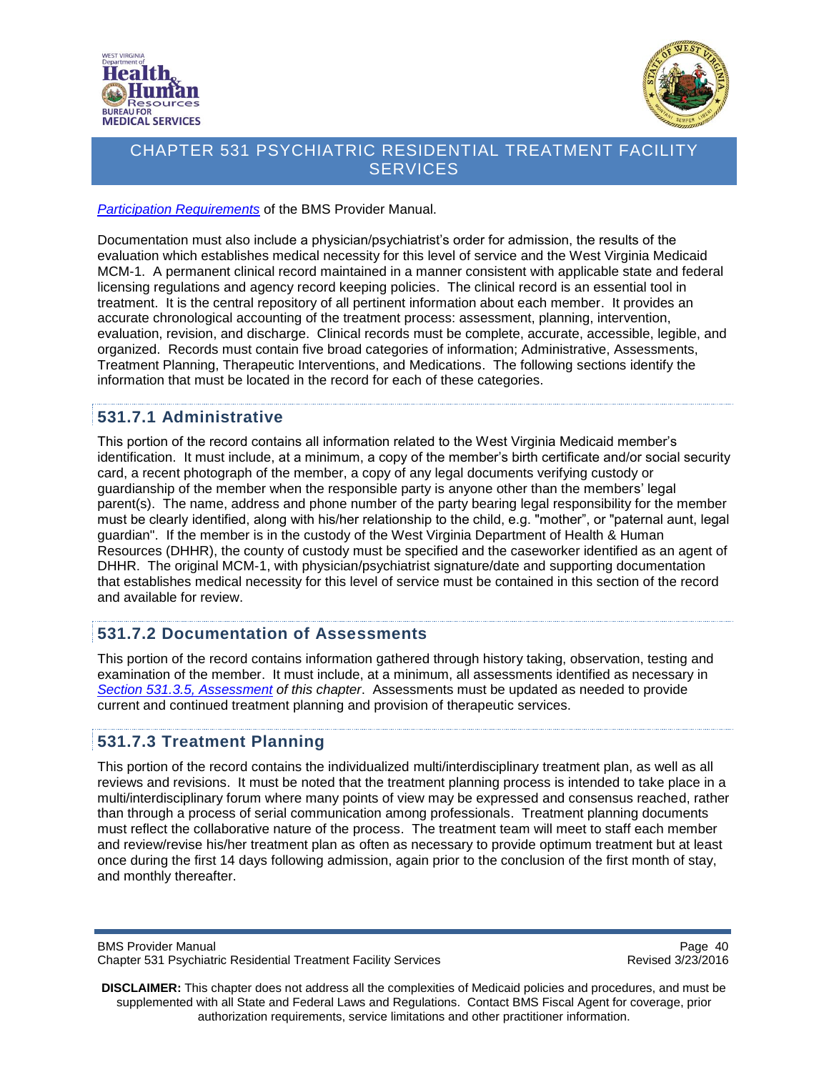



*[Participation Requirements](http://www.dhhr.wv.gov/bms/Pages/Manuals.aspx)* of the BMS Provider Manual.

Documentation must also include a physician/psychiatrist's order for admission, the results of the evaluation which establishes medical necessity for this level of service and the West Virginia Medicaid MCM-1. A permanent clinical record maintained in a manner consistent with applicable state and federal licensing regulations and agency record keeping policies. The clinical record is an essential tool in treatment. It is the central repository of all pertinent information about each member. It provides an accurate chronological accounting of the treatment process: assessment, planning, intervention, evaluation, revision, and discharge. Clinical records must be complete, accurate, accessible, legible, and organized. Records must contain five broad categories of information; Administrative, Assessments, Treatment Planning, Therapeutic Interventions, and Medications. The following sections identify the information that must be located in the record for each of these categories.

### <span id="page-39-0"></span>**531.7.1 Administrative**

This portion of the record contains all information related to the West Virginia Medicaid member's identification. It must include, at a minimum, a copy of the member's birth certificate and/or social security card, a recent photograph of the member, a copy of any legal documents verifying custody or guardianship of the member when the responsible party is anyone other than the members' legal parent(s). The name, address and phone number of the party bearing legal responsibility for the member must be clearly identified, along with his/her relationship to the child, e.g. "mother", or "paternal aunt, legal guardian". If the member is in the custody of the West Virginia Department of Health & Human Resources (DHHR), the county of custody must be specified and the caseworker identified as an agent of DHHR. The original MCM-1, with physician/psychiatrist signature/date and supporting documentation that establishes medical necessity for this level of service must be contained in this section of the record and available for review.

#### <span id="page-39-1"></span>**531.7.2 Documentation of Assessments**

This portion of the record contains information gathered through history taking, observation, testing and examination of the member. It must include, at a minimum, all assessments identified as necessary in *Section 531.3.5, [Assessment](#page-23-1) of this chapter*. Assessments must be updated as needed to provide current and continued treatment planning and provision of therapeutic services.

### <span id="page-39-2"></span>**531.7.3 Treatment Planning**

This portion of the record contains the individualized multi/interdisciplinary treatment plan, as well as all reviews and revisions. It must be noted that the treatment planning process is intended to take place in a multi/interdisciplinary forum where many points of view may be expressed and consensus reached, rather than through a process of serial communication among professionals. Treatment planning documents must reflect the collaborative nature of the process. The treatment team will meet to staff each member and review/revise his/her treatment plan as often as necessary to provide optimum treatment but at least once during the first 14 days following admission, again prior to the conclusion of the first month of stay, and monthly thereafter.

BMS Provider Manual Page 40<br>Chapter 531 Psychiatric Residential Treatment Facility Services Chapter 531 Psychiatric Residential Treatment Facility Services Chapter 531 Psychiatric Residential Treatment Facility Services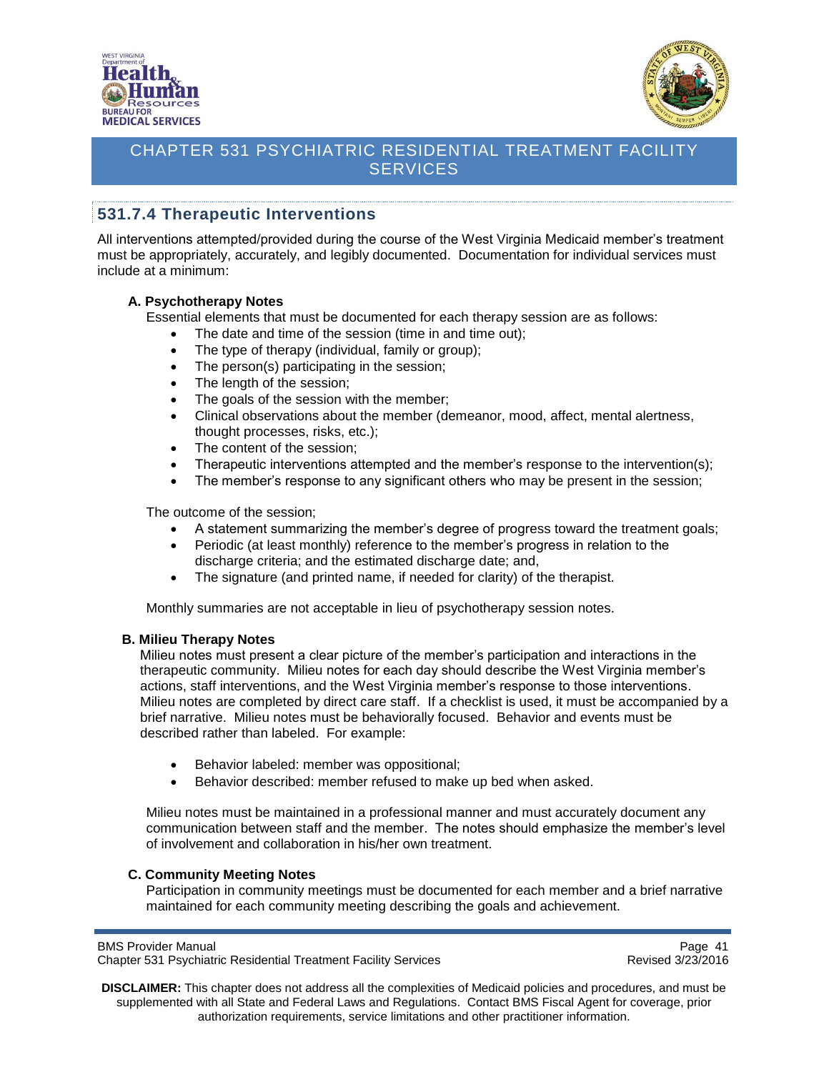



### <span id="page-40-0"></span>**531.7.4 Therapeutic Interventions**

All interventions attempted/provided during the course of the West Virginia Medicaid member's treatment must be appropriately, accurately, and legibly documented. Documentation for individual services must include at a minimum:

#### **A. Psychotherapy Notes**

Essential elements that must be documented for each therapy session are as follows:

- The date and time of the session (time in and time out);
- The type of therapy (individual, family or group);
- The person(s) participating in the session;
- The length of the session;
- The goals of the session with the member;
- Clinical observations about the member (demeanor, mood, affect, mental alertness, thought processes, risks, etc.);
- The content of the session;
- Therapeutic interventions attempted and the member's response to the intervention(s);
- The member's response to any significant others who may be present in the session;

The outcome of the session;

- A statement summarizing the member's degree of progress toward the treatment goals;
- Periodic (at least monthly) reference to the member's progress in relation to the discharge criteria; and the estimated discharge date; and,
- The signature (and printed name, if needed for clarity) of the therapist.

Monthly summaries are not acceptable in lieu of psychotherapy session notes.

#### **B. Milieu Therapy Notes**

Milieu notes must present a clear picture of the member's participation and interactions in the therapeutic community. Milieu notes for each day should describe the West Virginia member's actions, staff interventions, and the West Virginia member's response to those interventions. Milieu notes are completed by direct care staff. If a checklist is used, it must be accompanied by a brief narrative. Milieu notes must be behaviorally focused. Behavior and events must be described rather than labeled. For example:

- Behavior labeled: member was oppositional;
- Behavior described: member refused to make up bed when asked.

Milieu notes must be maintained in a professional manner and must accurately document any communication between staff and the member. The notes should emphasize the member's level of involvement and collaboration in his/her own treatment.

#### **C. Community Meeting Notes**

Participation in community meetings must be documented for each member and a brief narrative maintained for each community meeting describing the goals and achievement.

Page 41<br>Chapter 531 Psychiatric Residential Treatment Facility Services<br>Revised 3/23/2016 Chapter 531 Psychiatric Residential Treatment Facility Services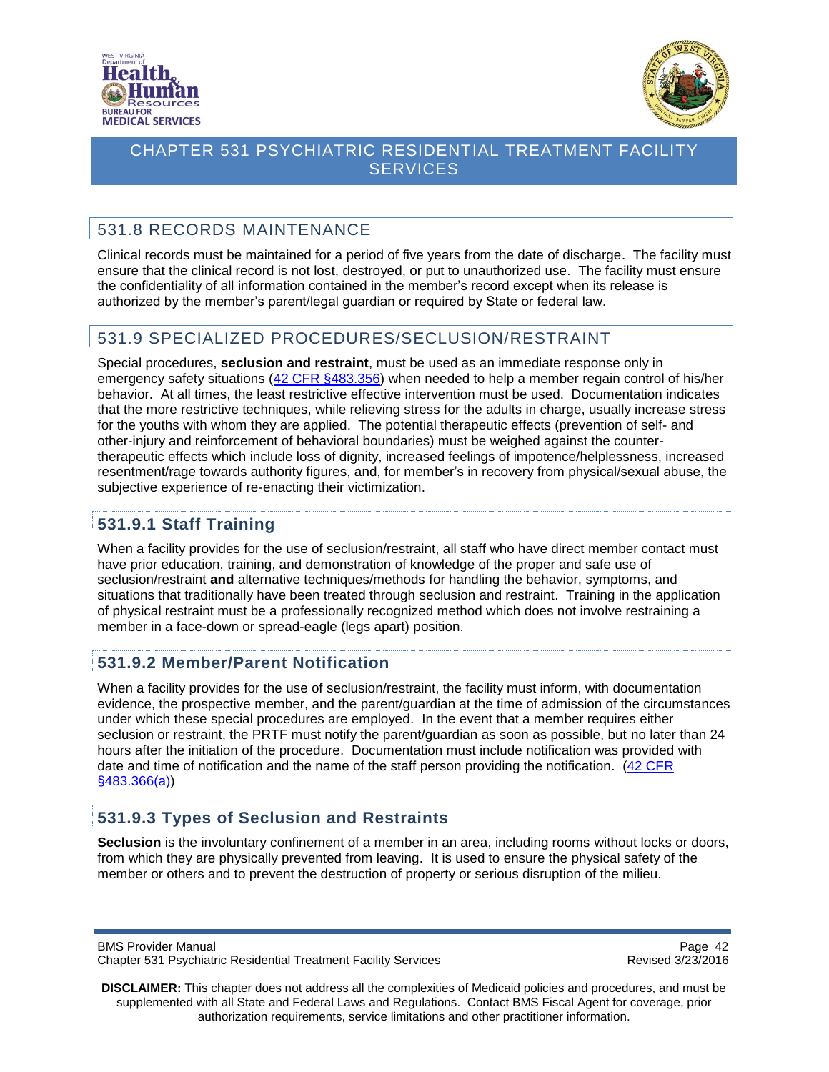



# <span id="page-41-0"></span>531.8 RECORDS MAINTENANCE

Clinical records must be maintained for a period of five years from the date of discharge. The facility must ensure that the clinical record is not lost, destroyed, or put to unauthorized use. The facility must ensure the confidentiality of all information contained in the member's record except when its release is authorized by the member's parent/legal guardian or required by State or federal law.

## <span id="page-41-1"></span>531.9 SPECIALIZED PROCEDURES/SECLUSION/RESTRAINT

Special procedures, **seclusion and restraint**, must be used as an immediate response only in emergency safety situations [\(42 CFR §483.356\)](http://www.ecfr.gov/cgi-bin/text-idx?SID=8fe5c82cfb27f48851974da9e665f9fe&node=se42.5.483_1356&rgn=div8) when needed to help a member regain control of his/her behavior. At all times, the least restrictive effective intervention must be used. Documentation indicates that the more restrictive techniques, while relieving stress for the adults in charge, usually increase stress for the youths with whom they are applied. The potential therapeutic effects (prevention of self- and other-injury and reinforcement of behavioral boundaries) must be weighed against the countertherapeutic effects which include loss of dignity, increased feelings of impotence/helplessness, increased resentment/rage towards authority figures, and, for member's in recovery from physical/sexual abuse, the subjective experience of re-enacting their victimization.

## <span id="page-41-2"></span>**531.9.1 Staff Training**

When a facility provides for the use of seclusion/restraint, all staff who have direct member contact must have prior education, training, and demonstration of knowledge of the proper and safe use of seclusion/restraint **and** alternative techniques/methods for handling the behavior, symptoms, and situations that traditionally have been treated through seclusion and restraint. Training in the application of physical restraint must be a professionally recognized method which does not involve restraining a member in a face-down or spread-eagle (legs apart) position.

#### <span id="page-41-3"></span>**531.9.2 Member/Parent Notification**

When a facility provides for the use of seclusion/restraint, the facility must inform, with documentation evidence, the prospective member, and the parent/guardian at the time of admission of the circumstances under which these special procedures are employed. In the event that a member requires either seclusion or restraint, the PRTF must notify the parent/guardian as soon as possible, but no later than 24 hours after the initiation of the procedure. Documentation must include notification was provided with date and time of notification and the name of the staff person providing the notification. (42 CFR [§483.366\(a\)\)](http://www.ecfr.gov/cgi-bin/retrieveECFR?gp=&SID=c1da1d51305008df1261558646f79cc4&n=sp42.5.483.g&r=SUBPART&ty=HTML#se42.5.483_1366)

### <span id="page-41-4"></span>**531.9.3 Types of Seclusion and Restraints**

**Seclusion** is the involuntary confinement of a member in an area, including rooms without locks or doors, from which they are physically prevented from leaving. It is used to ensure the physical safety of the member or others and to prevent the destruction of property or serious disruption of the milieu.

BMS Provider Manual **Page 42** Chapter 531 Psychiatric Residential Treatment Facility Services Revised 3/23/2016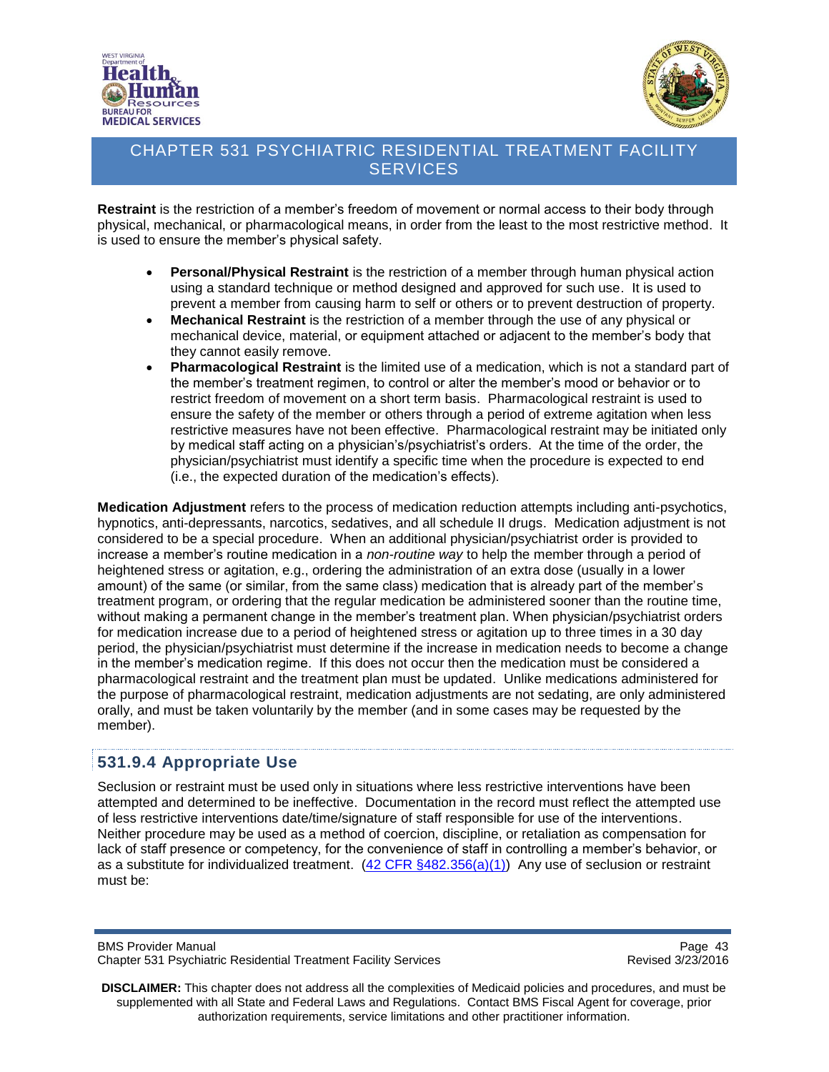



**Restraint** is the restriction of a member's freedom of movement or normal access to their body through physical, mechanical, or pharmacological means, in order from the least to the most restrictive method. It is used to ensure the member's physical safety.

- **Personal/Physical Restraint** is the restriction of a member through human physical action using a standard technique or method designed and approved for such use. It is used to prevent a member from causing harm to self or others or to prevent destruction of property.
- **Mechanical Restraint** is the restriction of a member through the use of any physical or mechanical device, material, or equipment attached or adjacent to the member's body that they cannot easily remove.
- **Pharmacological Restraint** is the limited use of a medication, which is not a standard part of the member's treatment regimen, to control or alter the member's mood or behavior or to restrict freedom of movement on a short term basis. Pharmacological restraint is used to ensure the safety of the member or others through a period of extreme agitation when less restrictive measures have not been effective. Pharmacological restraint may be initiated only by medical staff acting on a physician's/psychiatrist's orders. At the time of the order, the physician/psychiatrist must identify a specific time when the procedure is expected to end (i.e., the expected duration of the medication's effects).

**Medication Adjustment** refers to the process of medication reduction attempts including anti-psychotics, hypnotics, anti-depressants, narcotics, sedatives, and all schedule II drugs. Medication adjustment is not considered to be a special procedure. When an additional physician/psychiatrist order is provided to increase a member's routine medication in a *non-routine way* to help the member through a period of heightened stress or agitation, e.g., ordering the administration of an extra dose (usually in a lower amount) of the same (or similar, from the same class) medication that is already part of the member's treatment program, or ordering that the regular medication be administered sooner than the routine time, without making a permanent change in the member's treatment plan. When physician/psychiatrist orders for medication increase due to a period of heightened stress or agitation up to three times in a 30 day period, the physician/psychiatrist must determine if the increase in medication needs to become a change in the member's medication regime. If this does not occur then the medication must be considered a pharmacological restraint and the treatment plan must be updated. Unlike medications administered for the purpose of pharmacological restraint, medication adjustments are not sedating, are only administered orally, and must be taken voluntarily by the member (and in some cases may be requested by the member).

#### <span id="page-42-0"></span>**531.9.4 Appropriate Use**

Seclusion or restraint must be used only in situations where less restrictive interventions have been attempted and determined to be ineffective. Documentation in the record must reflect the attempted use of less restrictive interventions date/time/signature of staff responsible for use of the interventions. Neither procedure may be used as a method of coercion, discipline, or retaliation as compensation for lack of staff presence or competency, for the convenience of staff in controlling a member's behavior, or as a substitute for individualized treatment. [\(42 CFR §482.356\(a\)\(1\)\)](http://www.ecfr.gov/cgi-bin/text-idx?SID=8fe5c82cfb27f48851974da9e665f9fe&node=se42.5.483_1356&rgn=div8) Any use of seclusion or restraint must be:

Page 43<br>Chapter 531 Psychiatric Residential Treatment Facility Services<br>Revised 3/23/2016 Chapter 531 Psychiatric Residential Treatment Facility Services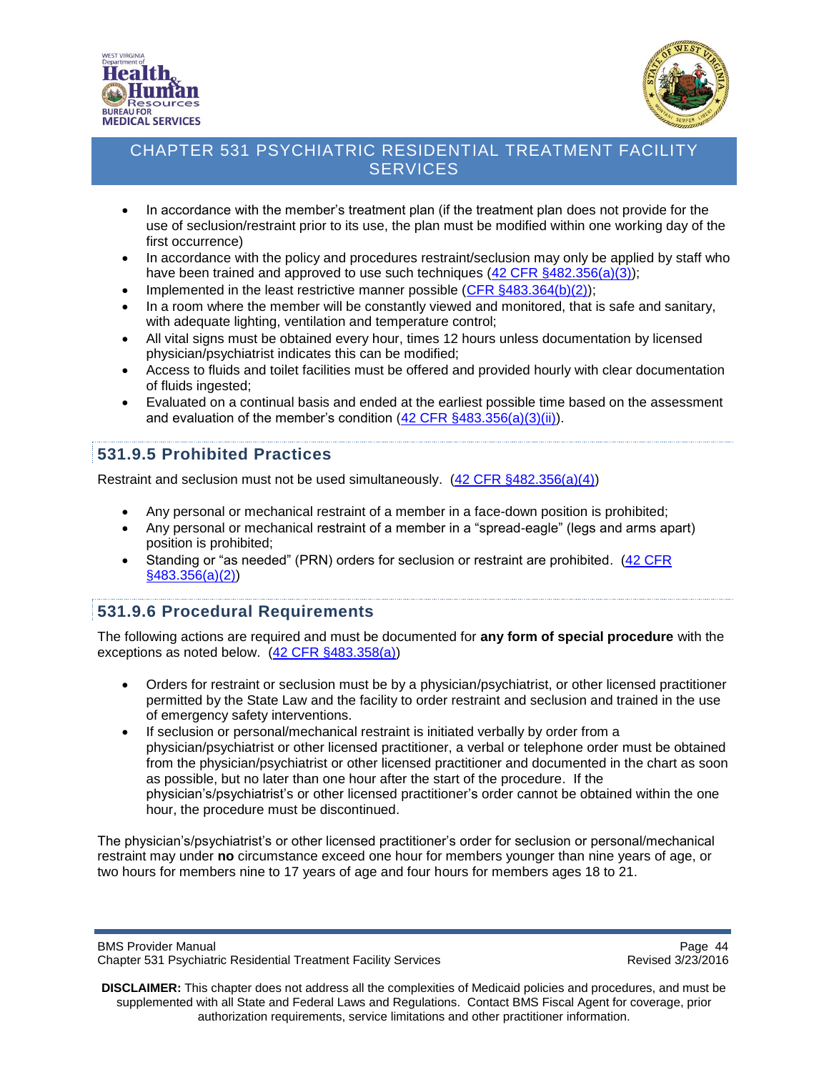



- In accordance with the member's treatment plan (if the treatment plan does not provide for the use of seclusion/restraint prior to its use, the plan must be modified within one working day of the first occurrence)
- In accordance with the policy and procedures restraint/seclusion may only be applied by staff who have been trained and approved to use such techniques [\(42 CFR §482.356\(a\)\(3\)\)](http://www.ecfr.gov/cgi-bin/text-idx?SID=8fe5c82cfb27f48851974da9e665f9fe&node=se42.5.483_1356&rgn=div8);
- Implemented in the least restrictive manner possible [\(CFR §483.364\(b\)\(2\)\)](http://www.ecfr.gov/cgi-bin/text-idx?SID=8fe5c82cfb27f48851974da9e665f9fe&node=se42.5.483_1364&rgn=div8);
- In a room where the member will be constantly viewed and monitored, that is safe and sanitary, with adequate lighting, ventilation and temperature control;
- All vital signs must be obtained every hour, times 12 hours unless documentation by licensed physician/psychiatrist indicates this can be modified;
- Access to fluids and toilet facilities must be offered and provided hourly with clear documentation of fluids ingested;
- Evaluated on a continual basis and ended at the earliest possible time based on the assessment and evaluation of the member's condition [\(42 CFR §483.356\(a\)\(3\)\(ii\)\)](http://www.ecfr.gov/cgi-bin/text-idx?SID=8fe5c82cfb27f48851974da9e665f9fe&node=se42.5.483_1356&rgn=div8).

### <span id="page-43-0"></span>**531.9.5 Prohibited Practices**

Restraint and seclusion must not be used simultaneously. [\(42 CFR §482.356\(a\)\(4\)\)](http://www.ecfr.gov/cgi-bin/text-idx?SID=8fe5c82cfb27f48851974da9e665f9fe&node=se42.5.483_1356&rgn=div8)

- Any personal or mechanical restraint of a member in a face-down position is prohibited;
- Any personal or mechanical restraint of a member in a "spread-eagle" (legs and arms apart) position is prohibited;
- Standing or "as needed" (PRN) orders for seclusion or restraint are prohibited. [\(42 CFR](http://www.ecfr.gov/cgi-bin/text-idx?SID=8fe5c82cfb27f48851974da9e665f9fe&node=se42.5.483_1356&rgn=div8)  [§483.356\(a\)\(2\)\)](http://www.ecfr.gov/cgi-bin/text-idx?SID=8fe5c82cfb27f48851974da9e665f9fe&node=se42.5.483_1356&rgn=div8)

#### <span id="page-43-1"></span>**531.9.6 Procedural Requirements**

The following actions are required and must be documented for **any form of special procedure** with the exceptions as noted below. [\(42 CFR §483.358\(a\)\)](http://www.ecfr.gov/cgi-bin/text-idx?SID=a7d8fb972c2bf5822a9057076f9b38c9&node=se42.5.483_1358&rgn=div8)

- Orders for restraint or seclusion must be by a physician/psychiatrist, or other licensed practitioner permitted by the State Law and the facility to order restraint and seclusion and trained in the use of emergency safety interventions.
- If seclusion or personal/mechanical restraint is initiated verbally by order from a physician/psychiatrist or other licensed practitioner, a verbal or telephone order must be obtained from the physician/psychiatrist or other licensed practitioner and documented in the chart as soon as possible, but no later than one hour after the start of the procedure. If the physician's/psychiatrist's or other licensed practitioner's order cannot be obtained within the one hour, the procedure must be discontinued.

The physician's/psychiatrist's or other licensed practitioner's order for seclusion or personal/mechanical restraint may under **no** circumstance exceed one hour for members younger than nine years of age, or two hours for members nine to 17 years of age and four hours for members ages 18 to 21.

Page 44<br>Chapter 531 Psychiatric Residential Treatment Facility Services<br>Revised 3/23/2016 Chapter 531 Psychiatric Residential Treatment Facility Services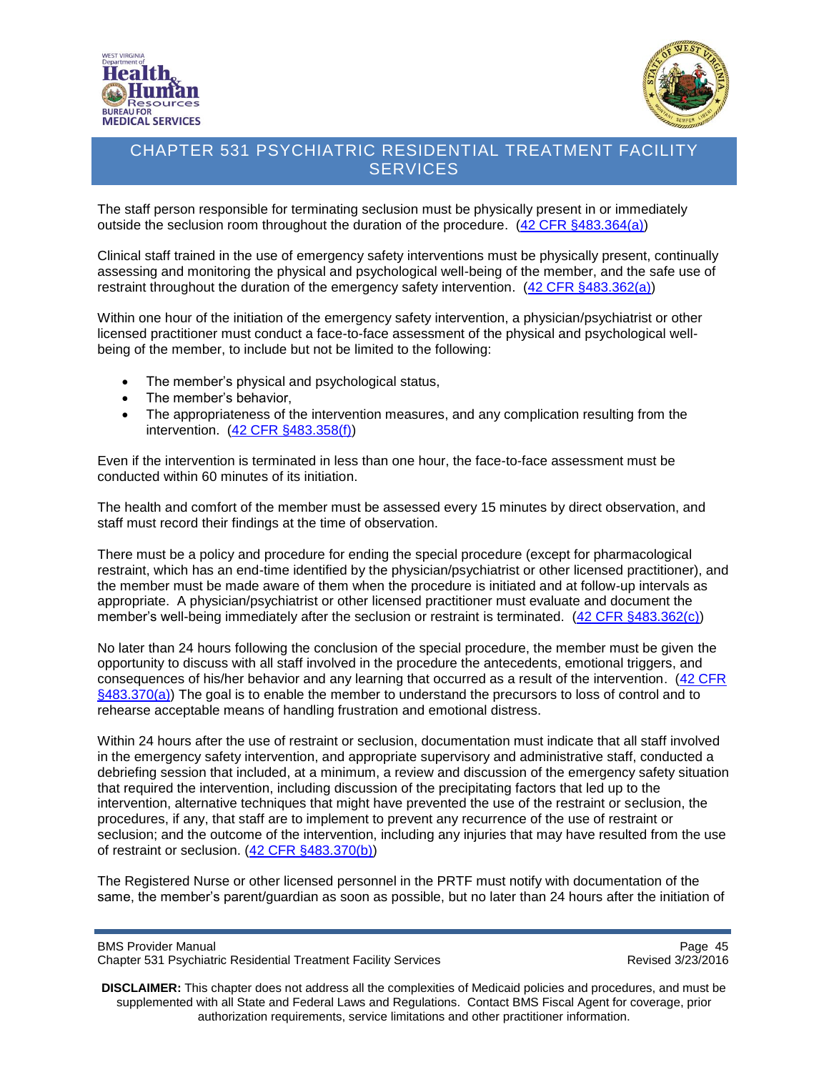



The staff person responsible for terminating seclusion must be physically present in or immediately outside the seclusion room throughout the duration of the procedure. [\(42 CFR §483.364\(a\)\)](http://www.ecfr.gov/cgi-bin/text-idx?SID=df3488064bd4379b6de5fae85a89d6de&node=se42.5.483_1364&rgn=div8)

Clinical staff trained in the use of emergency safety interventions must be physically present, continually assessing and monitoring the physical and psychological well-being of the member, and the safe use of restraint throughout the duration of the emergency safety intervention. [\(42 CFR §483.362\(a\)\)](http://www.ecfr.gov/cgi-bin/text-idx?SID=df3488064bd4379b6de5fae85a89d6de&node=se42.5.483_1362&rgn=div8)

Within one hour of the initiation of the emergency safety intervention, a physician/psychiatrist or other licensed practitioner must conduct a face-to-face assessment of the physical and psychological wellbeing of the member, to include but not be limited to the following:

- The member's physical and psychological status,
- The member's behavior,
- The appropriateness of the intervention measures, and any complication resulting from the intervention. [\(42 CFR §483.358\(f\)\)](http://www.ecfr.gov/cgi-bin/text-idx?SID=df3488064bd4379b6de5fae85a89d6de&node=se42.5.483_1358&rgn=div8)

Even if the intervention is terminated in less than one hour, the face-to-face assessment must be conducted within 60 minutes of its initiation.

The health and comfort of the member must be assessed every 15 minutes by direct observation, and staff must record their findings at the time of observation.

There must be a policy and procedure for ending the special procedure (except for pharmacological restraint, which has an end-time identified by the physician/psychiatrist or other licensed practitioner), and the member must be made aware of them when the procedure is initiated and at follow-up intervals as appropriate. A physician/psychiatrist or other licensed practitioner must evaluate and document the member's well-being immediately after the seclusion or restraint is terminated. [\(42 CFR §483.362\(c\)\)](http://www.ecfr.gov/cgi-bin/text-idx?SID=df3488064bd4379b6de5fae85a89d6de&node=se42.5.483_1362&rgn=div8)

No later than 24 hours following the conclusion of the special procedure, the member must be given the opportunity to discuss with all staff involved in the procedure the antecedents, emotional triggers, and consequences of his/her behavior and any learning that occurred as a result of the intervention. [\(42 CFR](http://www.ecfr.gov/cgi-bin/text-idx?SID=df3488064bd4379b6de5fae85a89d6de&node=se42.5.483_1370&rgn=div8)   $\S$ 483.370(a)) The goal is to enable the member to understand the precursors to loss of control and to rehearse acceptable means of handling frustration and emotional distress.

Within 24 hours after the use of restraint or seclusion, documentation must indicate that all staff involved in the emergency safety intervention, and appropriate supervisory and administrative staff, conducted a debriefing session that included, at a minimum, a review and discussion of the emergency safety situation that required the intervention, including discussion of the precipitating factors that led up to the intervention, alternative techniques that might have prevented the use of the restraint or seclusion, the procedures, if any, that staff are to implement to prevent any recurrence of the use of restraint or seclusion; and the outcome of the intervention, including any injuries that may have resulted from the use of restraint or seclusion. [\(42 CFR §483.370\(b\)\)](http://www.ecfr.gov/cgi-bin/text-idx?SID=df3488064bd4379b6de5fae85a89d6de&node=se42.5.483_1370&rgn=div8)

The Registered Nurse or other licensed personnel in the PRTF must notify with documentation of the same, the member's parent/guardian as soon as possible, but no later than 24 hours after the initiation of

BMS Provider Manual Page 45<br>Chapter 531 Psychiatric Residential Treatment Facility Services Chapter 531 Psychiatric Residential Treatment Facility Services Chapter 531 Psychiatric Residential Treatment Facility Services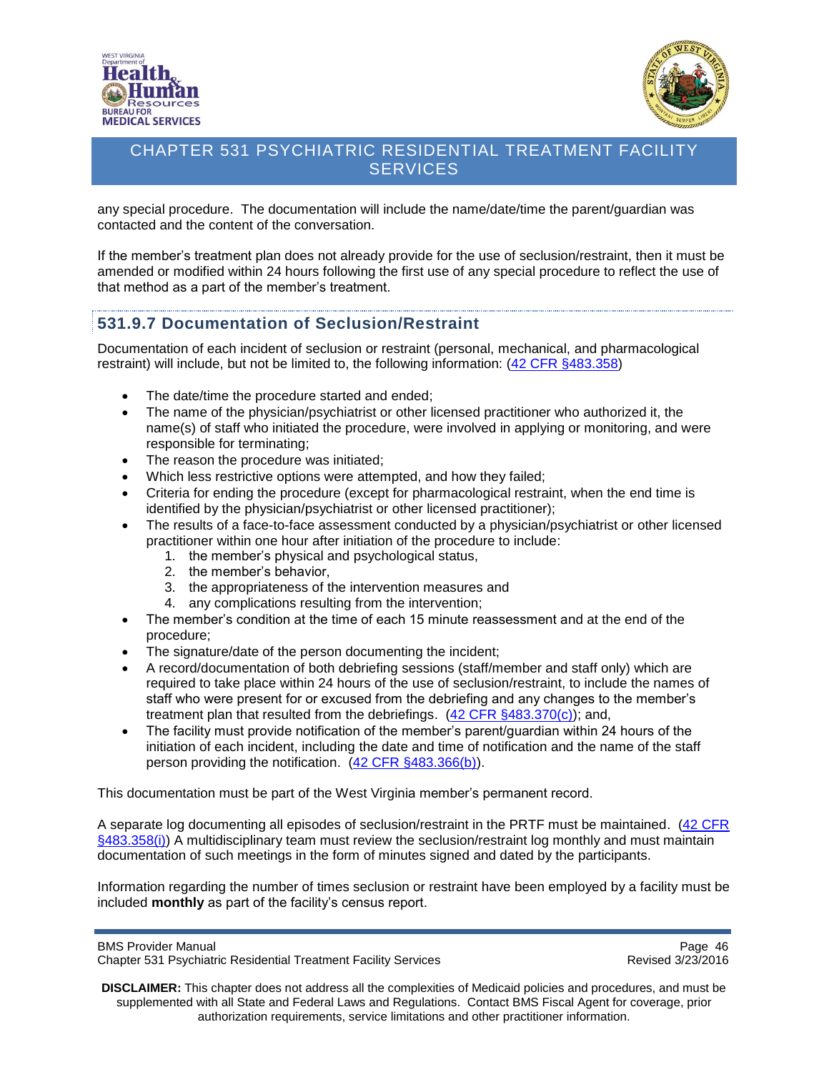



any special procedure. The documentation will include the name/date/time the parent/guardian was contacted and the content of the conversation.

If the member's treatment plan does not already provide for the use of seclusion/restraint, then it must be amended or modified within 24 hours following the first use of any special procedure to reflect the use of that method as a part of the member's treatment.

### <span id="page-45-0"></span>**531.9.7 Documentation of Seclusion/Restraint**

Documentation of each incident of seclusion or restraint (personal, mechanical, and pharmacological restraint) will include, but not be limited to, the following information: [\(42 CFR §483.358\)](http://www.ecfr.gov/cgi-bin/text-idx?SID=df3488064bd4379b6de5fae85a89d6de&node=se42.5.483_1358&rgn=div8)

- The date/time the procedure started and ended;
- The name of the physician/psychiatrist or other licensed practitioner who authorized it, the name(s) of staff who initiated the procedure, were involved in applying or monitoring, and were responsible for terminating;
- The reason the procedure was initiated;
- Which less restrictive options were attempted, and how they failed;
- Criteria for ending the procedure (except for pharmacological restraint, when the end time is identified by the physician/psychiatrist or other licensed practitioner);
- The results of a face-to-face assessment conducted by a physician/psychiatrist or other licensed practitioner within one hour after initiation of the procedure to include:
	- 1. the member's physical and psychological status,
	- 2. the member's behavior,
	- 3. the appropriateness of the intervention measures and
	- 4. any complications resulting from the intervention;
- The member's condition at the time of each 15 minute reassessment and at the end of the procedure;
- The signature/date of the person documenting the incident;
- A record/documentation of both debriefing sessions (staff/member and staff only) which are required to take place within 24 hours of the use of seclusion/restraint, to include the names of staff who were present for or excused from the debriefing and any changes to the member's treatment plan that resulted from the debriefings.  $(42$  CFR  $§483.370(c)$ ; and,
- The facility must provide notification of the member's parent/guardian within 24 hours of the initiation of each incident, including the date and time of notification and the name of the staff person providing the notification. [\(42 CFR §483.366\(b\)\)](http://www.ecfr.gov/cgi-bin/text-idx?SID=df3488064bd4379b6de5fae85a89d6de&node=se42.5.483_1366&rgn=div8).

This documentation must be part of the West Virginia member's permanent record.

A separate log documenting all episodes of seclusion/restraint in the PRTF must be maintained. [\(42 CFR](http://www.ecfr.gov/cgi-bin/text-idx?SID=df3488064bd4379b6de5fae85a89d6de&node=se42.5.483_1358&rgn=div8)  [§483.358\(i\)\)](http://www.ecfr.gov/cgi-bin/text-idx?SID=df3488064bd4379b6de5fae85a89d6de&node=se42.5.483_1358&rgn=div8) A multidisciplinary team must review the seclusion/restraint log monthly and must maintain documentation of such meetings in the form of minutes signed and dated by the participants.

Information regarding the number of times seclusion or restraint have been employed by a facility must be included **monthly** as part of the facility's census report.

BMS Provider Manual Page 46<br>Chapter 531 Psychiatric Residential Treatment Facility Services Chapter 531 Psychiatric Residential Treatment Facility Services Chapter 531 Psychiatric Residential Treatment Facility Services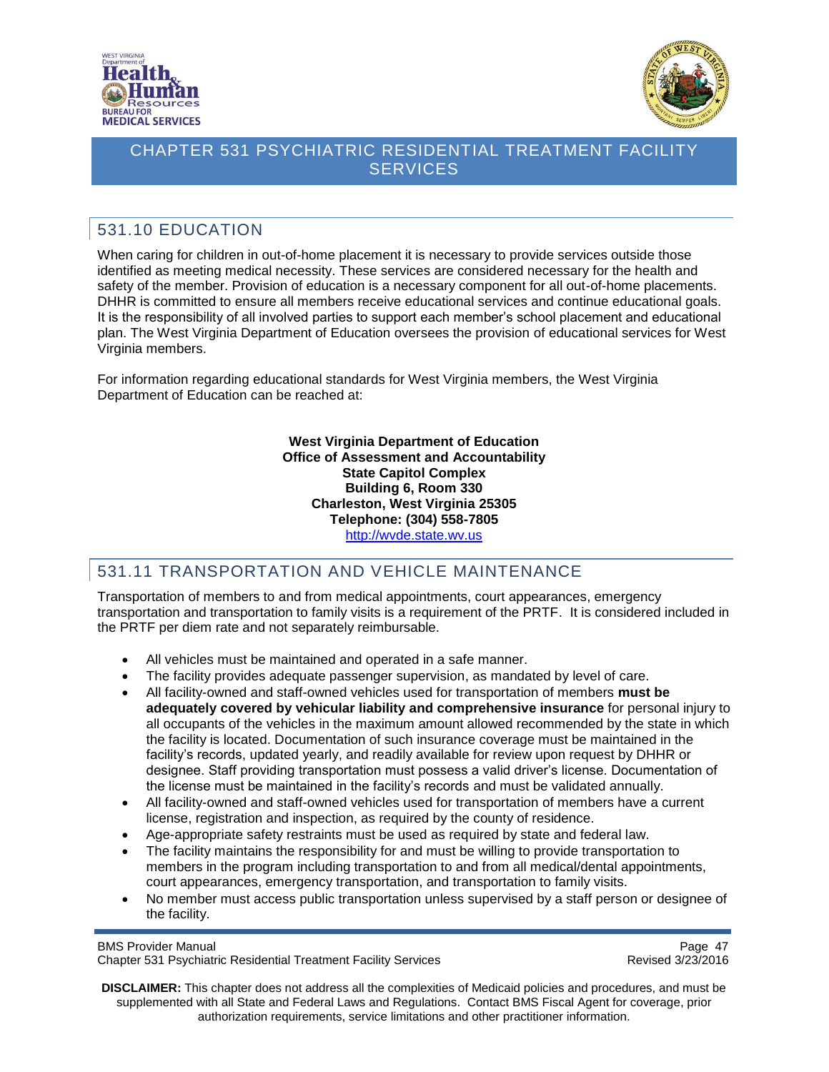



# <span id="page-46-0"></span>531.10 EDUCATION

When caring for children in out-of-home placement it is necessary to provide services outside those identified as meeting medical necessity. These services are considered necessary for the health and safety of the member. Provision of education is a necessary component for all out-of-home placements. DHHR is committed to ensure all members receive educational services and continue educational goals. It is the responsibility of all involved parties to support each member's school placement and educational plan. The West Virginia Department of Education oversees the provision of educational services for West Virginia members.

For information regarding educational standards for West Virginia members, the West Virginia Department of Education can be reached at:

> **West Virginia Department of Education Office of Assessment and Accountability State Capitol Complex Building 6, Room 330 Charleston, West Virginia 25305 Telephone: (304) 558-7805** [http://wvde.state.wv.us](http://wvde.state.wv.us/)

# <span id="page-46-1"></span>531.11 TRANSPORTATION AND VEHICLE MAINTENANCE

Transportation of members to and from medical appointments, court appearances, emergency transportation and transportation to family visits is a requirement of the PRTF. It is considered included in the PRTF per diem rate and not separately reimbursable.

- All vehicles must be maintained and operated in a safe manner.
- The facility provides adequate passenger supervision, as mandated by level of care.
- All facility-owned and staff-owned vehicles used for transportation of members **must be adequately covered by vehicular liability and comprehensive insurance** for personal injury to all occupants of the vehicles in the maximum amount allowed recommended by the state in which the facility is located. Documentation of such insurance coverage must be maintained in the facility's records, updated yearly, and readily available for review upon request by DHHR or designee. Staff providing transportation must possess a valid driver's license. Documentation of the license must be maintained in the facility's records and must be validated annually.
- All facility-owned and staff-owned vehicles used for transportation of members have a current license, registration and inspection, as required by the county of residence.
- Age-appropriate safety restraints must be used as required by state and federal law.
- The facility maintains the responsibility for and must be willing to provide transportation to members in the program including transportation to and from all medical/dental appointments, court appearances, emergency transportation, and transportation to family visits.
- No member must access public transportation unless supervised by a staff person or designee of the facility.

BMS Provider Manual Page 47<br>Chapter 531 Psychiatric Residential Treatment Facility Services Chapter 531 Psychiatric Residential Treatment Facility Services Chapter 531 Psychiatric Residential Treatment Facility Services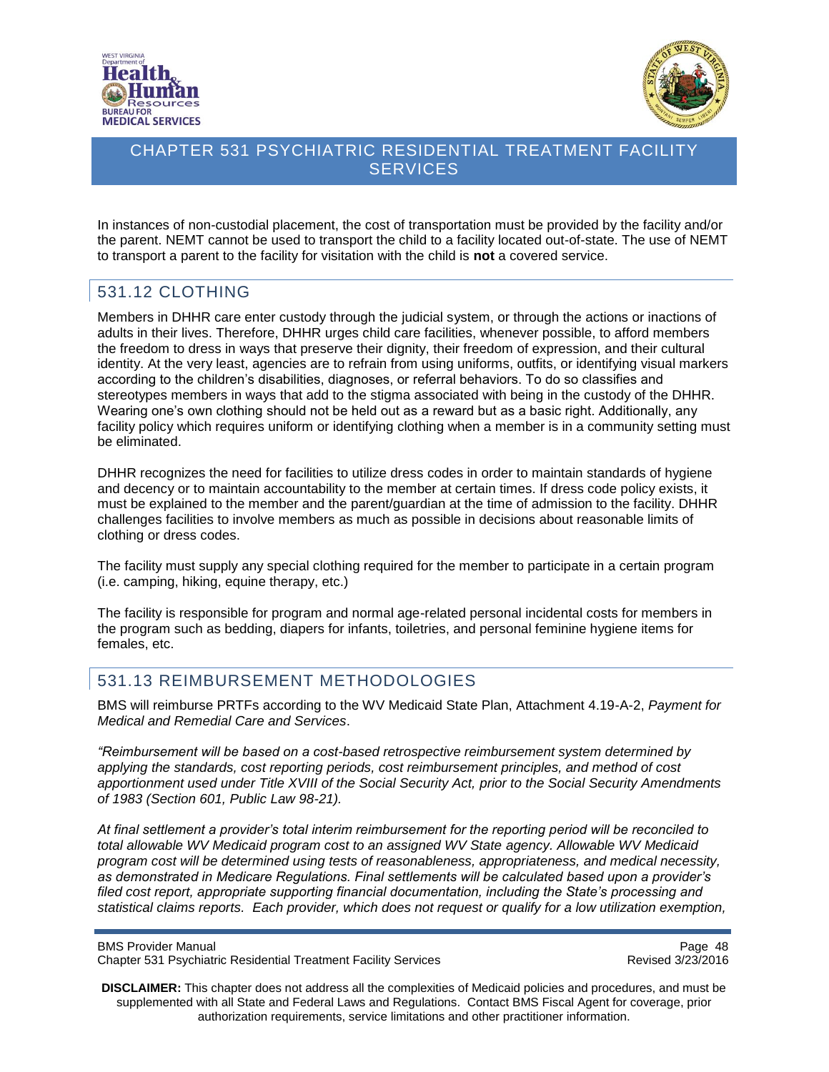![](_page_47_Picture_0.jpeg)

![](_page_47_Picture_1.jpeg)

In instances of non-custodial placement, the cost of transportation must be provided by the facility and/or the parent. NEMT cannot be used to transport the child to a facility located out-of-state. The use of NEMT to transport a parent to the facility for visitation with the child is **not** a covered service.

### <span id="page-47-0"></span>531.12 CLOTHING

Members in DHHR care enter custody through the judicial system, or through the actions or inactions of adults in their lives. Therefore, DHHR urges child care facilities, whenever possible, to afford members the freedom to dress in ways that preserve their dignity, their freedom of expression, and their cultural identity. At the very least, agencies are to refrain from using uniforms, outfits, or identifying visual markers according to the children's disabilities, diagnoses, or referral behaviors. To do so classifies and stereotypes members in ways that add to the stigma associated with being in the custody of the DHHR. Wearing one's own clothing should not be held out as a reward but as a basic right. Additionally, any facility policy which requires uniform or identifying clothing when a member is in a community setting must be eliminated.

DHHR recognizes the need for facilities to utilize dress codes in order to maintain standards of hygiene and decency or to maintain accountability to the member at certain times. If dress code policy exists, it must be explained to the member and the parent/guardian at the time of admission to the facility. DHHR challenges facilities to involve members as much as possible in decisions about reasonable limits of clothing or dress codes.

The facility must supply any special clothing required for the member to participate in a certain program (i.e. camping, hiking, equine therapy, etc.)

The facility is responsible for program and normal age-related personal incidental costs for members in the program such as bedding, diapers for infants, toiletries, and personal feminine hygiene items for females, etc.

### <span id="page-47-1"></span>531.13 REIMBURSEMENT METHODOLOGIES

BMS will reimburse PRTFs according to the WV Medicaid State Plan, Attachment 4.19-A-2, *Payment for Medical and Remedial Care and Services*.

*"Reimbursement will be based on a cost-based retrospective reimbursement system determined by applying the standards, cost reporting periods, cost reimbursement principles, and method of cost apportionment used under Title XVIII of the Social Security Act, prior to the Social Security Amendments of 1983 (Section 601, Public Law 98-21).*

*At final settlement a provider's total interim reimbursement for the reporting period will be reconciled to total allowable WV Medicaid program cost to an assigned WV State agency. Allowable WV Medicaid program cost will be determined using tests of reasonableness, appropriateness, and medical necessity, as demonstrated in Medicare Regulations. Final settlements will be calculated based upon a provider's filed cost report, appropriate supporting financial documentation, including the State's processing and statistical claims reports. Each provider, which does not request or qualify for a low utilization exemption,* 

Page 48<br>Chapter 531 Psychiatric Residential Treatment Facility Services<br>Revised 3/23/2016 Chapter 531 Psychiatric Residential Treatment Facility Services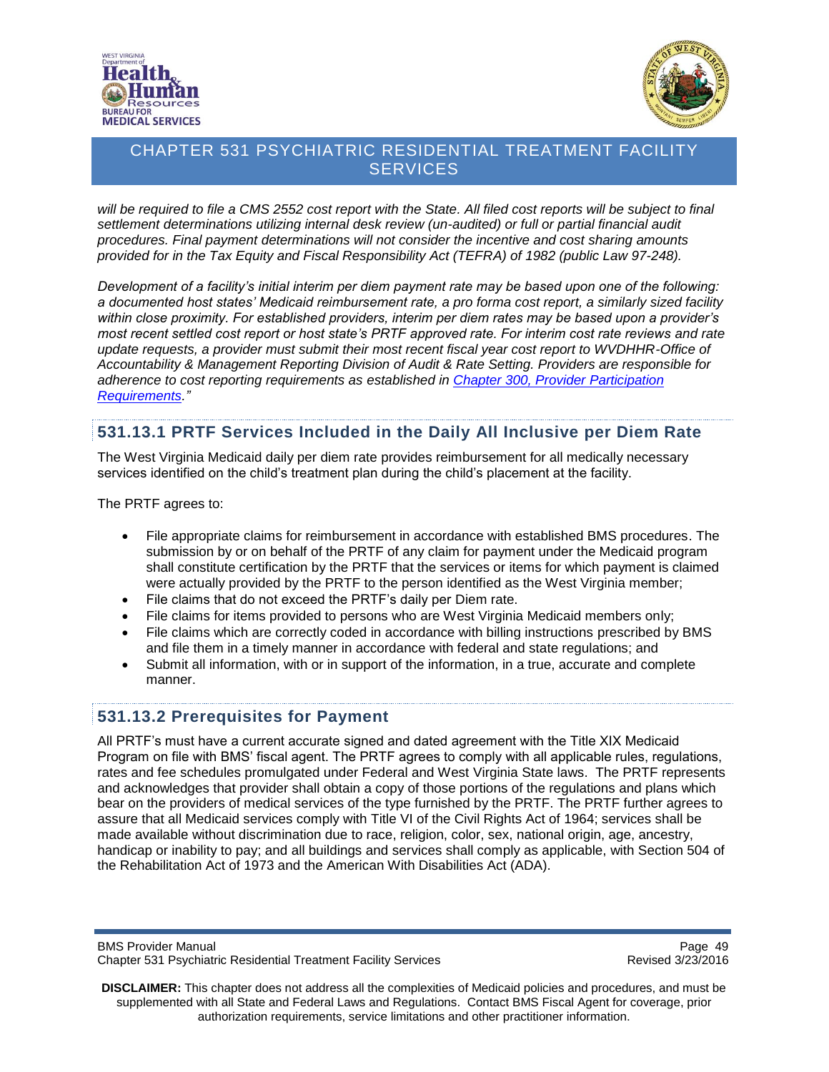![](_page_48_Picture_0.jpeg)

![](_page_48_Picture_1.jpeg)

*will be required to file a CMS 2552 cost report with the State. All filed cost reports will be subject to final settlement determinations utilizing internal desk review (un-audited) or full or partial financial audit procedures. Final payment determinations will not consider the incentive and cost sharing amounts provided for in the Tax Equity and Fiscal Responsibility Act (TEFRA) of 1982 (public Law 97-248).*

*Development of a facility's initial interim per diem payment rate may be based upon one of the following: a documented host states' Medicaid reimbursement rate, a pro forma cost report, a similarly sized facility within close proximity. For established providers, interim per diem rates may be based upon a provider's most recent settled cost report or host state's PRTF approved rate. For interim cost rate reviews and rate update requests, a provider must submit their most recent fiscal year cost report to WVDHHR-Office of Accountability & Management Reporting Division of Audit & Rate Setting. Providers are responsible for adherence to cost reporting requirements as established in [Chapter 300, Provider Participation](http://www.dhhr.wv.gov/bms/Pages/Manuals.aspx)  [Requirements.](http://www.dhhr.wv.gov/bms/Pages/Manuals.aspx)"*

#### <span id="page-48-0"></span>**531.13.1 PRTF Services Included in the Daily All Inclusive per Diem Rate**

The West Virginia Medicaid daily per diem rate provides reimbursement for all medically necessary services identified on the child's treatment plan during the child's placement at the facility.

The PRTF agrees to:

- File appropriate claims for reimbursement in accordance with established BMS procedures. The submission by or on behalf of the PRTF of any claim for payment under the Medicaid program shall constitute certification by the PRTF that the services or items for which payment is claimed were actually provided by the PRTF to the person identified as the West Virginia member;
- File claims that do not exceed the PRTF's daily per Diem rate.
- File claims for items provided to persons who are West Virginia Medicaid members only;
- File claims which are correctly coded in accordance with billing instructions prescribed by BMS and file them in a timely manner in accordance with federal and state regulations; and
- Submit all information, with or in support of the information, in a true, accurate and complete manner.

#### <span id="page-48-1"></span>**531.13.2 Prerequisites for Payment**

All PRTF's must have a current accurate signed and dated agreement with the Title XIX Medicaid Program on file with BMS' fiscal agent. The PRTF agrees to comply with all applicable rules, regulations, rates and fee schedules promulgated under Federal and West Virginia State laws. The PRTF represents and acknowledges that provider shall obtain a copy of those portions of the regulations and plans which bear on the providers of medical services of the type furnished by the PRTF. The PRTF further agrees to assure that all Medicaid services comply with Title VI of the Civil Rights Act of 1964; services shall be made available without discrimination due to race, religion, color, sex, national origin, age, ancestry, handicap or inability to pay; and all buildings and services shall comply as applicable, with Section 504 of the Rehabilitation Act of 1973 and the American With Disabilities Act (ADA).

BMS Provider Manual Page 49<br>Chapter 531 Psychiatric Residential Treatment Facility Services Chapter 531 Psychiatric Residential Treatment Facility Services Chapter 531 Psychiatric Residential Treatment Facility Services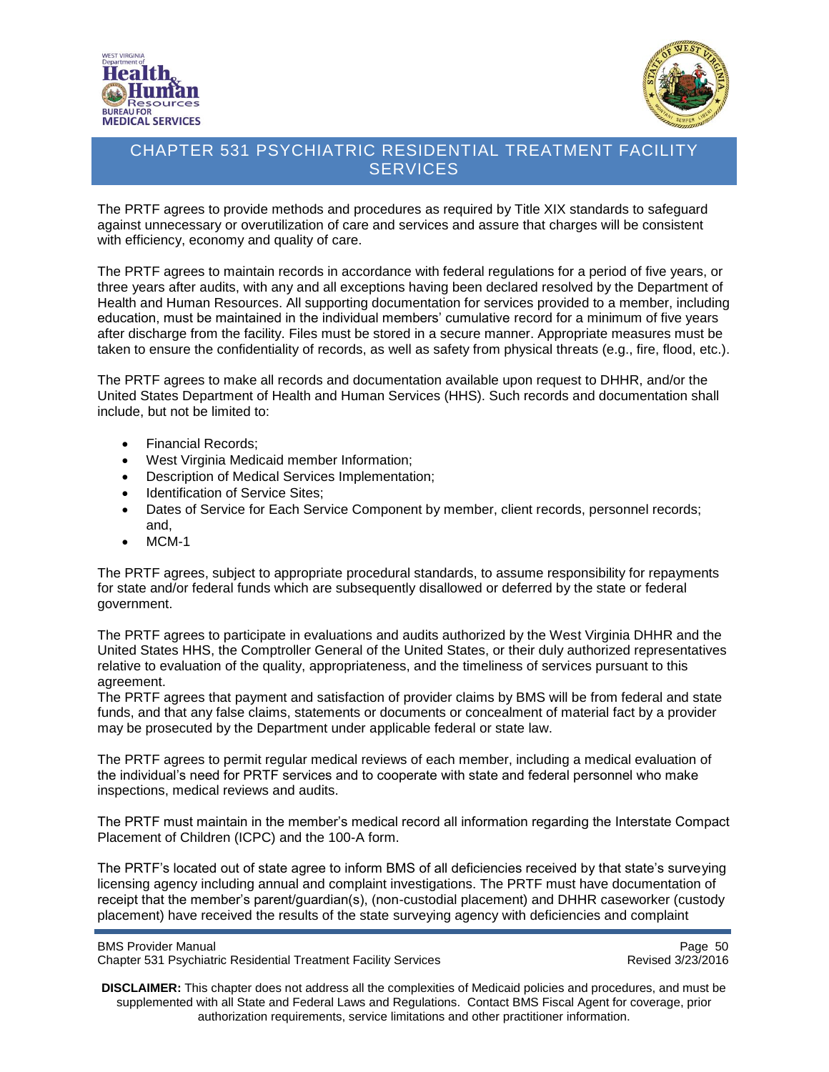![](_page_49_Picture_0.jpeg)

![](_page_49_Picture_1.jpeg)

The PRTF agrees to provide methods and procedures as required by Title XIX standards to safeguard against unnecessary or overutilization of care and services and assure that charges will be consistent with efficiency, economy and quality of care.

The PRTF agrees to maintain records in accordance with federal regulations for a period of five years, or three years after audits, with any and all exceptions having been declared resolved by the Department of Health and Human Resources. All supporting documentation for services provided to a member, including education, must be maintained in the individual members' cumulative record for a minimum of five years after discharge from the facility. Files must be stored in a secure manner. Appropriate measures must be taken to ensure the confidentiality of records, as well as safety from physical threats (e.g., fire, flood, etc.).

The PRTF agrees to make all records and documentation available upon request to DHHR, and/or the United States Department of Health and Human Services (HHS). Such records and documentation shall include, but not be limited to:

- Financial Records;
- West Virginia Medicaid member Information;
- Description of Medical Services Implementation;
- Identification of Service Sites;
- Dates of Service for Each Service Component by member, client records, personnel records; and,
- $\bullet$  MCM-1

The PRTF agrees, subject to appropriate procedural standards, to assume responsibility for repayments for state and/or federal funds which are subsequently disallowed or deferred by the state or federal government.

The PRTF agrees to participate in evaluations and audits authorized by the West Virginia DHHR and the United States HHS, the Comptroller General of the United States, or their duly authorized representatives relative to evaluation of the quality, appropriateness, and the timeliness of services pursuant to this agreement.

The PRTF agrees that payment and satisfaction of provider claims by BMS will be from federal and state funds, and that any false claims, statements or documents or concealment of material fact by a provider may be prosecuted by the Department under applicable federal or state law.

The PRTF agrees to permit regular medical reviews of each member, including a medical evaluation of the individual's need for PRTF services and to cooperate with state and federal personnel who make inspections, medical reviews and audits.

The PRTF must maintain in the member's medical record all information regarding the Interstate Compact Placement of Children (ICPC) and the 100-A form.

The PRTF's located out of state agree to inform BMS of all deficiencies received by that state's surveying licensing agency including annual and complaint investigations. The PRTF must have documentation of receipt that the member's parent/guardian(s), (non-custodial placement) and DHHR caseworker (custody placement) have received the results of the state surveying agency with deficiencies and complaint

BMS Provider Manual Page 50<br>Chapter 531 Psychiatric Residential Treatment Facility Services Chapter 531 Psychiatric Residential Treatment Facility Services Chapter 531 Psychiatric Residential Treatment Facility Services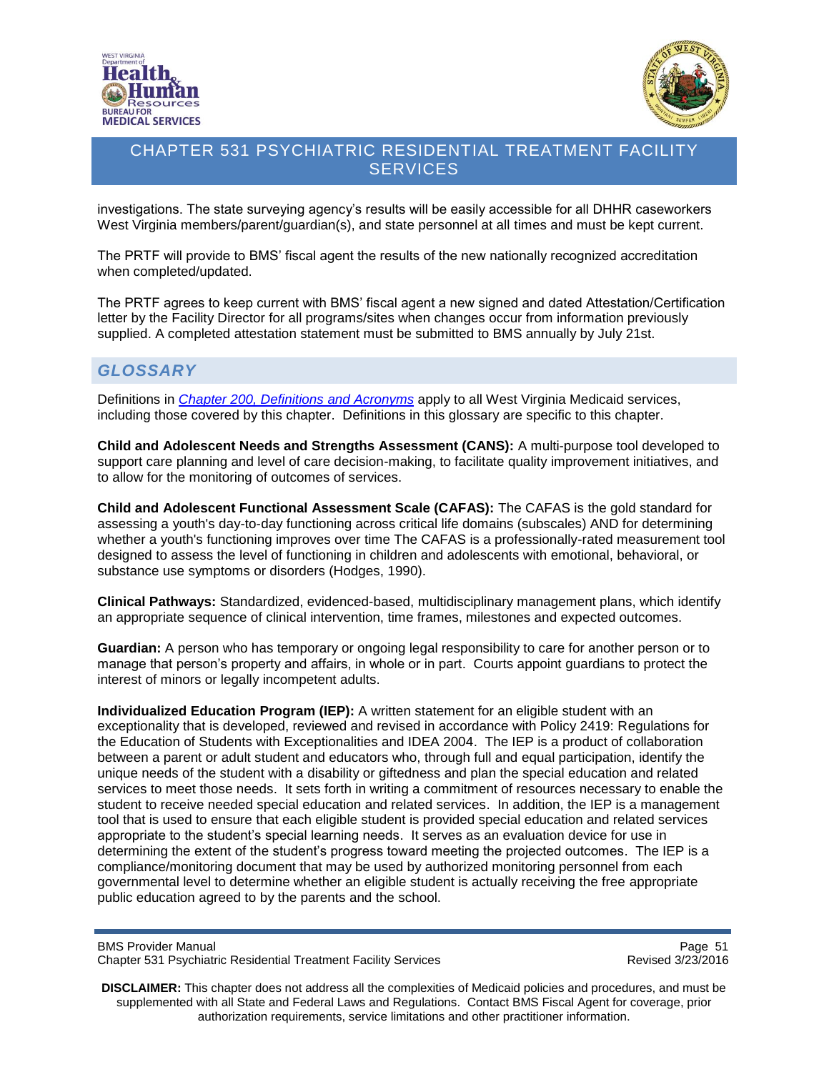![](_page_50_Picture_0.jpeg)

![](_page_50_Picture_1.jpeg)

investigations. The state surveying agency's results will be easily accessible for all DHHR caseworkers West Virginia members/parent/guardian(s), and state personnel at all times and must be kept current.

The PRTF will provide to BMS' fiscal agent the results of the new nationally recognized accreditation when completed/updated.

The PRTF agrees to keep current with BMS' fiscal agent a new signed and dated Attestation/Certification letter by the Facility Director for all programs/sites when changes occur from information previously supplied. A completed attestation statement must be submitted to BMS annually by July 21st.

### <span id="page-50-0"></span>*GLOSSARY*

Definitions in *[Chapter 200, Definitions and](http://www.dhhr.wv.gov/bms/Pages/Manuals.aspx) Acronyms* apply to all West Virginia Medicaid services, including those covered by this chapter. Definitions in this glossary are specific to this chapter.

**Child and Adolescent Needs and Strengths Assessment (CANS):** A multi-purpose tool developed to support care planning and level of care decision-making, to facilitate quality improvement initiatives, and to allow for the monitoring of outcomes of services.

**Child and Adolescent Functional Assessment Scale (CAFAS):** The CAFAS is the gold standard for assessing a youth's day-to-day functioning across critical life domains (subscales) AND for determining whether a youth's functioning improves over time The CAFAS is a professionally-rated measurement tool designed to assess the level of functioning in children and adolescents with emotional, behavioral, or substance use symptoms or disorders (Hodges, 1990).

**Clinical Pathways:** Standardized, evidenced-based, multidisciplinary management plans, which identify an appropriate sequence of clinical intervention, time frames, milestones and expected outcomes.

**Guardian:** A person who has temporary or ongoing legal responsibility to care for another person or to manage that person's property and affairs, in whole or in part. Courts appoint guardians to protect the interest of minors or legally incompetent adults.

**Individualized Education Program (IEP):** A written statement for an eligible student with an exceptionality that is developed, reviewed and revised in accordance with Policy 2419: Regulations for the Education of Students with Exceptionalities and IDEA 2004. The IEP is a product of collaboration between a parent or adult student and educators who, through full and equal participation, identify the unique needs of the student with a disability or giftedness and plan the special education and related services to meet those needs. It sets forth in writing a commitment of resources necessary to enable the student to receive needed special education and related services. In addition, the IEP is a management tool that is used to ensure that each eligible student is provided special education and related services appropriate to the student's special learning needs. It serves as an evaluation device for use in determining the extent of the student's progress toward meeting the projected outcomes. The IEP is a compliance/monitoring document that may be used by authorized monitoring personnel from each governmental level to determine whether an eligible student is actually receiving the free appropriate public education agreed to by the parents and the school.

BMS Provider Manual Page 51<br>Chapter 531 Psychiatric Residential Treatment Facility Services Chapter 531 Psychiatric Residential Treatment Facility Services Chapter 531 Psychiatric Residential Treatment Facility Services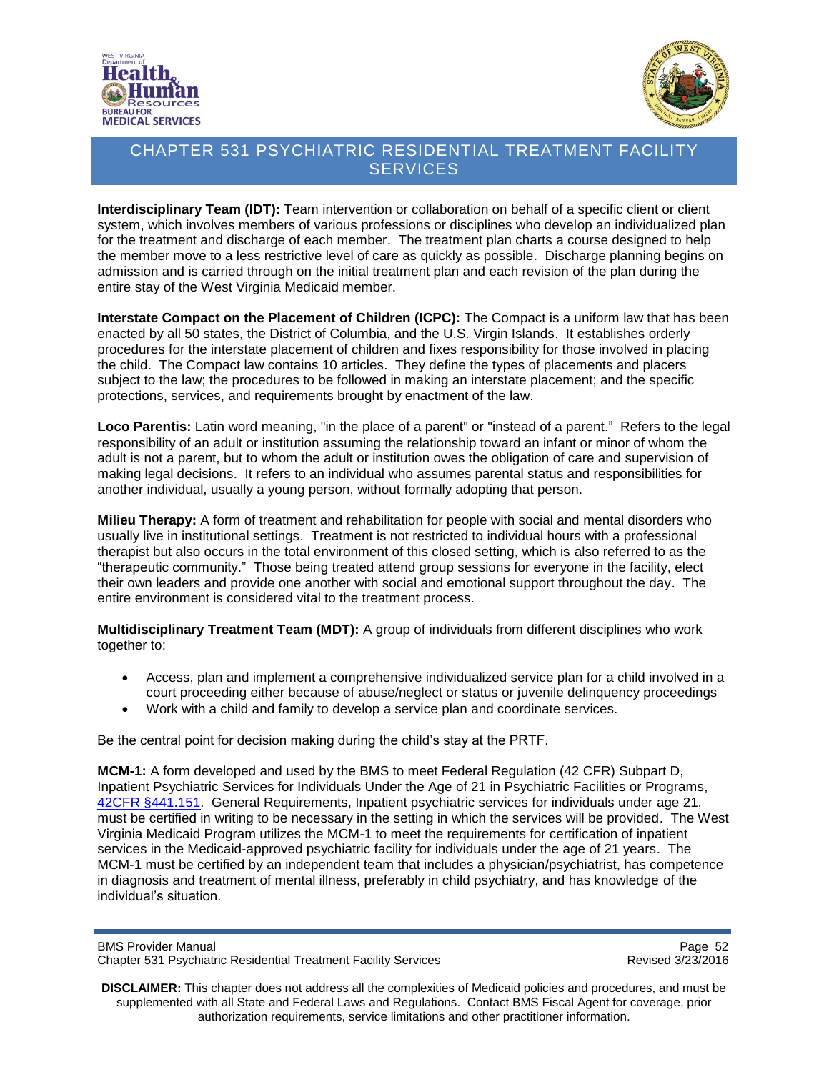![](_page_51_Picture_0.jpeg)

![](_page_51_Picture_1.jpeg)

**Interdisciplinary Team (IDT):** Team intervention or collaboration on behalf of a specific client or client system, which involves members of various professions or disciplines who develop an individualized plan for the treatment and discharge of each member. The treatment plan charts a course designed to help the member move to a less restrictive level of care as quickly as possible. Discharge planning begins on admission and is carried through on the initial treatment plan and each revision of the plan during the entire stay of the West Virginia Medicaid member.

**Interstate Compact on the Placement of Children (ICPC):** The Compact is a uniform law that has been enacted by all 50 states, the District of Columbia, and the U.S. Virgin Islands. It establishes orderly procedures for the interstate placement of children and fixes responsibility for those involved in placing the child. The Compact law contains 10 articles. They define the types of placements and placers subject to the law; the procedures to be followed in making an interstate placement; and the specific protections, services, and requirements brought by enactment of the law.

**Loco Parentis:** Latin word meaning, "in the place of a parent" or "instead of a parent." Refers to the legal responsibility of an adult or institution assuming the relationship toward an infant or minor of whom the adult is not a parent, but to whom the adult or institution owes the obligation of care and supervision of making legal decisions. It refers to an individual who assumes parental status and responsibilities for another individual, usually a young person, without formally adopting that person.

**Milieu Therapy:** A form of treatment and rehabilitation for people with social and mental disorders who usually live in institutional settings. Treatment is not restricted to individual hours with a professional therapist but also occurs in the total environment of this closed setting, which is also referred to as the "therapeutic community." Those being treated attend group sessions for everyone in the facility, elect their own leaders and provide one another with social and emotional support throughout the day. The entire environment is considered vital to the treatment process.

**Multidisciplinary Treatment Team (MDT):** A group of individuals from different disciplines who work together to:

- Access, plan and implement a comprehensive individualized service plan for a child involved in a court proceeding either because of abuse/neglect or status or juvenile delinquency proceedings
- Work with a child and family to develop a service plan and coordinate services.

Be the central point for decision making during the child's stay at the PRTF.

**MCM-1:** A form developed and used by the BMS to meet Federal Regulation (42 CFR) Subpart D, Inpatient Psychiatric Services for Individuals Under the Age of 21 in Psychiatric Facilities or Programs, 42CFR [§441.151.](http://www.ecfr.gov/cgi-bin/text-idx?SID=df3488064bd4379b6de5fae85a89d6de&node=se42.4.441_1151&rgn=div8) General Requirements, Inpatient psychiatric services for individuals under age 21, must be certified in writing to be necessary in the setting in which the services will be provided. The West Virginia Medicaid Program utilizes the MCM-1 to meet the requirements for certification of inpatient services in the Medicaid-approved psychiatric facility for individuals under the age of 21 years. The MCM-1 must be certified by an independent team that includes a physician/psychiatrist, has competence in diagnosis and treatment of mental illness, preferably in child psychiatry, and has knowledge of the individual's situation.

BMS Provider Manual Page 52<br>Chapter 531 Psychiatric Residential Treatment Facility Services Chapter 531 Psychiatric Residential Treatment Facility Services Chapter 531 Psychiatric Residential Treatment Facility Services